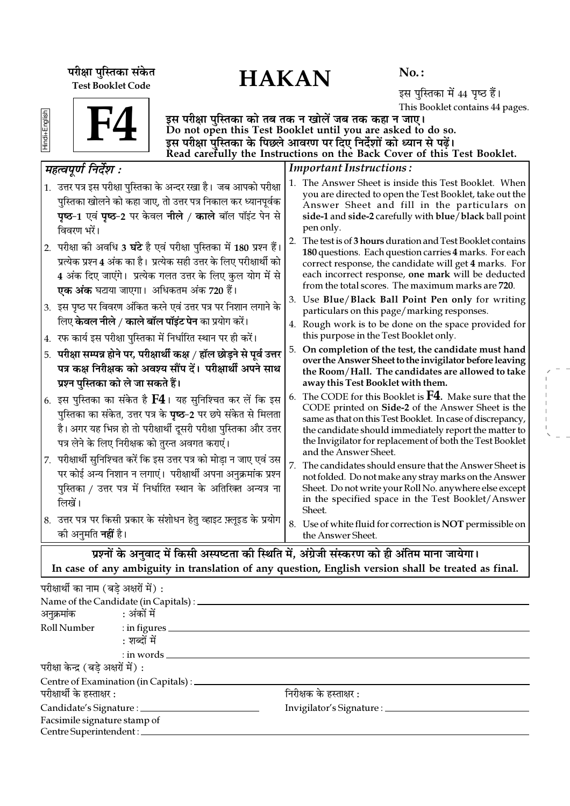परीक्षा पुस्तिका संकेत $\overline{HAKAN}$ Test Booklet Code

No. :

इस पुस्तिका में 44 पृष्ठ हैं। This Booklet contains 44 pages.

| ō |  |  |
|---|--|--|
| ٦ |  |  |
| Ŧ |  |  |
|   |  |  |



इस परीक्षा पुस्तिका को तब तक न खोलें जब तक कहा न जाए। Do not open this Test Booklet until you are asked to do so. इस परीक्षा पुस्तिका के पिछले आवरण पर दिए निर्देशों को ध्यान से पढ़ें। Read carefully the Instructions on the Back Cover of this Test Booklet.

|    | महत्वपूर्ण निर्देश :                                                                                                                                                                                                                                                         |    | <b>Important Instructions:</b>                                                                                                                                                                                                                                                                                          |
|----|------------------------------------------------------------------------------------------------------------------------------------------------------------------------------------------------------------------------------------------------------------------------------|----|-------------------------------------------------------------------------------------------------------------------------------------------------------------------------------------------------------------------------------------------------------------------------------------------------------------------------|
|    | 1. उत्तर पत्र इस परीक्षा पुस्तिका के अन्दर रखा है। जब आपको परीक्षा<br>पुस्तिका खोलने को कहा जाए, तो उत्तर पत्र निकाल कर ध्यानपूर्वक<br><b>पृष्ठ-1</b> एवं <b>पृष्ठ-2</b> पर केवल <b>नीले / काले</b> बॉल पॉइंट पेन से<br>विवरण भरें।                                          |    | 1. The Answer Sheet is inside this Test Booklet. When<br>you are directed to open the Test Booklet, take out the<br>Answer Sheet and fill in the particulars on<br>side-1 and side-2 carefully with blue/black ball point<br>pen only.                                                                                  |
|    | 2.  परीक्षा को अवधि 3 <b>घंटे</b> है एवं परीक्षा पुस्तिका में 180 प्रश्न हैं।<br>प्रत्येक प्रश्न 4 अंक का है। प्रत्येक सही उत्तर के लिए परीक्षार्थी को<br>4 अंक दिए जाएंगे। प्रत्येक गलत उत्तर के लिए कुल योग में से<br>एक अंक घटाया जाएगा। अधिकतम अंक 720 हैं।              | 2. | The test is of 3 hours duration and Test Booklet contains<br>180 questions. Each question carries 4 marks. For each<br>correct response, the candidate will get 4 marks. For<br>each incorrect response, one mark will be deducted<br>from the total scores. The maximum marks are 720.                                 |
|    | 3. इस पृष्ठ पर विवरण अंकित करने एवं उत्तर पत्र पर निशान लगाने के                                                                                                                                                                                                             |    | 3. Use Blue/Black Ball Point Pen only for writing<br>particulars on this page/marking responses.                                                                                                                                                                                                                        |
|    | लिए <b>केवल नीले / काले बॉल पॉइंट पेन</b> का प्रयोग करें।<br>4. रफ कार्य इस परीक्षा पुस्तिका में निर्धारित स्थान पर ही करें।                                                                                                                                                 |    | 4. Rough work is to be done on the space provided for<br>this purpose in the Test Booklet only.                                                                                                                                                                                                                         |
|    | 5. परीक्षा सम्पन्न होने पर, परीक्षार्थी कक्ष / हॉल छोड़ने से पूर्व उत्तर<br>पत्र कक्ष निरीक्षक को अवश्य सौंप दें। परीक्षार्थी अपने साथ<br>प्रश्न पुस्तिका को ले जा सकते हैं।                                                                                                 |    | 5. On completion of the test, the candidate must hand<br>over the Answer Sheet to the invigilator before leaving<br>the Room/Hall. The candidates are allowed to take<br>away this Test Booklet with them.                                                                                                              |
|    | $\vert$ 6. इस पुस्तिका का संकेत है ${\bf F4}$ । यह सुनिश्चित कर लें कि इस<br>पुस्तिका का संकेत, उत्तर पत्र के <b>पृष्ठ</b> -2 पर छपे संकेत से मिलता<br>है। अगर यह भिन्न हो तो परीक्षार्थी दूसरी परीक्षा पुस्तिका और उत्तर<br>पत्र लेने के लिए निरीक्षक को तुरन्त अवगत कराएं। | 6. | The CODE for this Booklet is $F4$ . Make sure that the<br>CODE printed on Side-2 of the Answer Sheet is the<br>same as that on this Test Booklet. In case of discrepancy,<br>the candidate should immediately report the matter to<br>the Invigilator for replacement of both the Test Booklet<br>and the Answer Sheet. |
| 7. | परीक्षार्थी सुनिश्चित करें कि इस उत्तर पत्र को मोड़ा न जाए एवं उस<br>पर कोई अन्य निशान न लगाएं। परीक्षार्थी अपना अनुक्रमांक प्रश्न<br>पुस्तिका / उत्तर पत्र में निर्धारित स्थान के अतिरिक्त अन्यत्र ना<br>लिखें।                                                             |    | 7. The candidates should ensure that the Answer Sheet is<br>not folded. Do not make any stray marks on the Answer<br>Sheet. Do not write your Roll No. anywhere else except<br>in the specified space in the Test Booklet/Answer<br>Sheet.                                                                              |
|    | 8. उत्तर पत्र पर किसी प्रकार के संशोधन हेतु व्हाइट फ़्लूइड के प्रयोग<br>को अनुमति <b>नहीं</b> है।                                                                                                                                                                            |    | 8. Use of white fluid for correction is NOT permissible on<br>the Answer Sheet.                                                                                                                                                                                                                                         |
|    | $\sim$ $\sim$ $\sim$<br>$\ddotsc$                                                                                                                                                                                                                                            |    | $\overline{\phantom{a}}$<br>$\sim$ 0 $\sim$                                                                                                                                                                                                                                                                             |

प्रश्नों के अनुवाद में किसी अस्पष्टता की स्थिति में, अंग्रेजी संस्करण को ही अंतिम माना जायेगा। In case of any ambiguity in translation of any question, English version shall be treated as final.

| परीक्षार्थी का नाम (बडे अक्षरों में) :                        |                                                 |                                  |  |
|---------------------------------------------------------------|-------------------------------------------------|----------------------------------|--|
|                                                               |                                                 |                                  |  |
| अनुक्रमांक : अंकों में                                        |                                                 |                                  |  |
|                                                               | Roll Number : in figures __________             |                                  |  |
|                                                               | : शब्दों में                                    |                                  |  |
|                                                               | $:$ in words $\_\_$                             |                                  |  |
| परीक्षा केन्द्र (बड़े अक्षरों में) :                          |                                                 |                                  |  |
|                                                               | Centre of Examination (in Capitals) : _________ |                                  |  |
| परीक्षार्थी के हस्ताक्षर :                                    |                                                 | निरीक्षक के हस्ताक्षर :          |  |
|                                                               | Candidate's Signature : ______________          | Invigilator's Signature : ______ |  |
| Facsimile signature stamp of<br>Centre Superintendent : _____ |                                                 |                                  |  |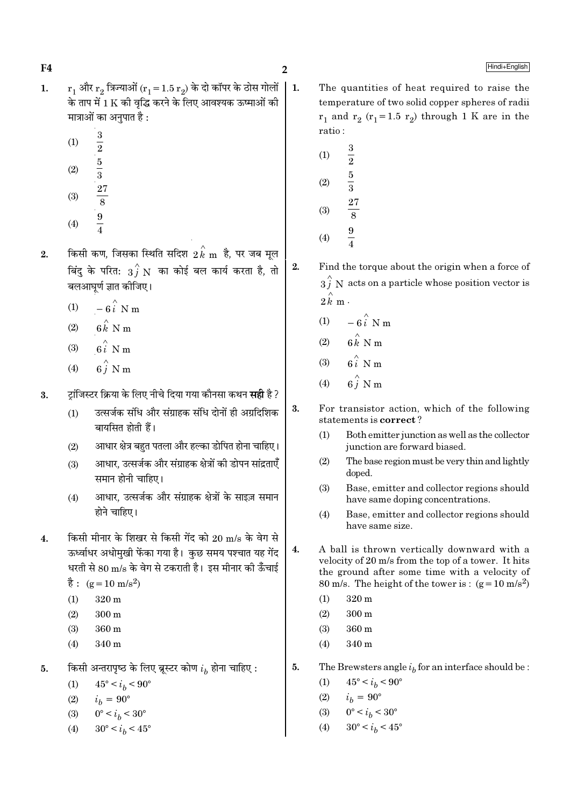$\overline{2}$ 

 $2.$ 

- $r_1$  और  $r_2$  त्रिज्याओं ( $r_1 = 1.5 r_2$ ) के दो कॉपर के ठोस गोलों | 1.  $\mathbf{1}$ . के ताप में 1 K की वद्धि करने के लिए आवश्यक ऊष्माओं की मात्राओं का अनुपात है :
	- $(1)$

 $F<sub>4</sub>$ 

- $rac{3}{2}$   $rac{5}{3}$   $rac{5}{3}$   $rac{27}{8}$   $rac{9}{4}$  $(2)$
- $(3)$
- $(4)$
- किसी कण, जिसका स्थिति सदिश  $\stackrel{\sim}{2}{\stackrel{\sim}{k}}$ m है, पर जब मूल  $2.$ बिंदु के परित:  $\overrightarrow{3f}$  N का कोई बल कार्य करता है, तो बलआघूर्ण ज्ञात कीजिए।
	- $-6\hat{i}$  N m  $(1)$
	- $6 \overset{\wedge}{k}$  N m  $(2)$
	- $6i$  N m  $(3)$
	- $6\hat{i}$  N m  $(4)$
- टॉजिस्टर क्रिया के लिए नीचे दिया गया कौनसा कथन **सही** है ? 3.
	- उत्सर्जक संधि और संग्राहक संधि दोनों ही अग्रदिशिक  $(1)$ बायसित होती हैं।
	- आधार क्षेत्र बहुत पतला और हल्का डोपित होना चाहिए।  $(2)$
	- आधार, उत्सर्जक और संग्राहक क्षेत्रों की डोपन सांद्रताएँ  $(3)$ समान होनी चाहिए।
	- आधार, उत्सर्जक और संग्राहक क्षेत्रों के साइज़ समान  $(4)$ होने चाहिए।
- किसी मीनार के शिखर से किसी गेंद को 20 m/s के वेग से  $\overline{4}$ . ऊर्ध्वाधर अधोमखी फेंका गया है। कछ समय पश्चात यह गेंद धरती से 80 m/s के वेग से टकराती है। इस मीनार की ऊँचाई
	- $\dot{\vec{g}}$ : (g = 10 m/s<sup>2</sup>)
	- $(1)$  $320<sub>m</sub>$
	- $(2)$  $300<sub>m</sub>$
	- $(3)$ 360 m
	- 340 m  $(4)$
- किसी अन्तरापृष्ठ के लिए ब्रूस्टर कोण  $i_h$  होना चाहिए :  $5.$ 
	- $45^{\circ} < i_h < 90^{\circ}$  $(1)$
	- $i_h = 90^{\circ}$  $(2)$
	- $0^{\circ} < i_h < 30^{\circ}$  $(3)$
	- $(4)$  $30^{\circ} < i_h < 45^{\circ}$
- The quantities of heat required to raise the temperature of two solid copper spheres of radii  $r_1$  and  $r_2$  ( $r_1$ =1.5  $r_2$ ) through 1 K are in the ratio:
	- $\frac{3}{2}$  $\frac{5}{3}$  $\frac{27}{8}$  $(1)$  $(2)$  $(3)$  $\frac{9}{4}$  $(4)$
- Find the torque about the origin when a force of  $3i$  N acts on a particle whose position vector is  $2\hat{k}$  m.
	- (1)  $-6\hat{i}$  N m
	- $6 \stackrel{\wedge}{k}$  N m  $(2)$
	- $6\hat{i}$  N m  $(3)$
	- $6\hat{i}$  N m  $(4)$
- 3. For transistor action, which of the following statements is correct?
	- $(1)$ Both emitter junction as well as the collector junction are forward biased.
	- $(2)$ The base region must be very thin and lightly doped.
	- $(3)$ Base, emitter and collector regions should have same doping concentrations.
	- $(4)$ Base, emitter and collector regions should have same size.
- $4.$ A ball is thrown vertically downward with a velocity of 20 m/s from the top of a tower. It hits the ground after some time with a velocity of 80 m/s. The height of the tower is:  $(g=10 \text{ m/s}^2)$ 
	- $(1)$ 320 m
	- $(2)$  $300 \text{ m}$
	- 360 m  $(3)$
	- 340 m  $(4)$
- 5. The Brewsters angle  $i_h$  for an interface should be :
	- $45^{\circ} < i_b < 90^{\circ}$  $(1)$
	- $i_h = 90^{\circ}$  $(2)$
	- $0^{\circ} < i_b < 30^{\circ}$  $(3)$
	- $30^{\circ} < i_h < 45^{\circ}$  $(4)$

Hindi+English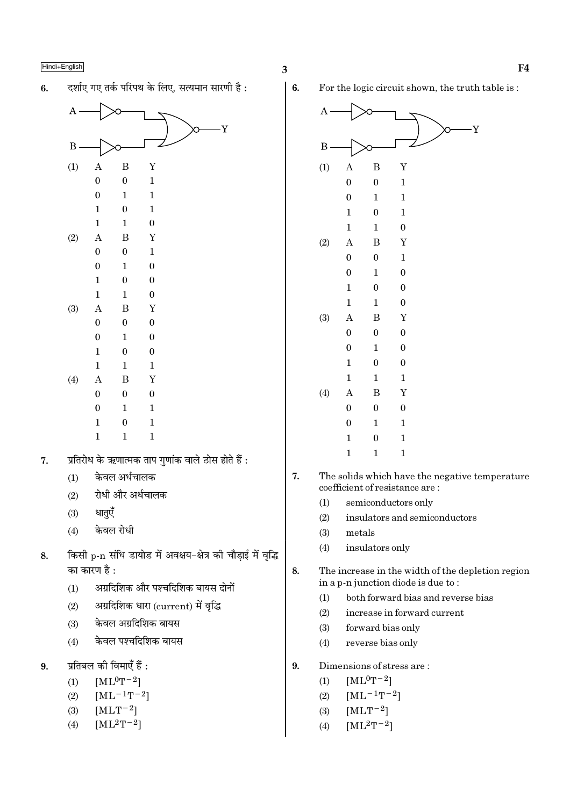दर्शाए गए तर्क परिपथ के लिए. सत्यमान सारणी है:  $6.$ 



- प्रतिरोध के ऋणात्मक ताप गुणांक वाले ठोस होते हैं :  $\overline{7}$ .
	- केवल अर्धचालक  $(1)$
	- रोधी और अर्धचालक  $(2)$
	- धातुएँ  $(3)$
	- केवल रोधी  $(4)$
- किसी p-n संधि डायोड में अवक्षय-क्षेत्र की चौडाई में वृद्धि 8. का कारण है :
	- अग्रदिशिक और पश्चदिशिक बायस दोनों  $(1)$
	- अग्रदिशिक धारा (current) में वृद्धि  $(2)$
	- केवल अग्रदिशिक बायस  $(3)$
	- केवल पश्चदिशिक बायस  $(4)$
- प्रतिबल की विमाएँ हैं :  $9<sub>1</sub>$ 
	- $[ML^0T^{-2}]$  $(1)$
	- $[ML^{-1}T^{-2}]$  $(2)$
	- $[MLT^{-2}]$  $(3)$
	- $[ML^2T^{-2}]$  $(4)$

 $6.$ 

For the logic circuit shown, the truth table is:



- 7. The solids which have the negative temperature coefficient of resistance are:
	- $(1)$ semiconductors only
	- $(2)$ insulators and semiconductors
	- $(3)$ metals
	- insulators only  $(4)$
- 8. The increase in the width of the depletion region in a p-n junction diode is due to:
	- both forward bias and reverse bias  $(1)$
	- increase in forward current  $(2)$
	- $(3)$ forward bias only
	- $(4)$ reverse bias only
- $\mathbf{9}$ Dimensions of stress are:
	- $[ML^0T^{-2}]$  $(1)$
	- $[ML^{-1}T^{-2}]$  $(2)$
	- $[MLT-2]$  $(3)$
	- $[ML^2T^{-2}]$  $(4)$

Ϋ́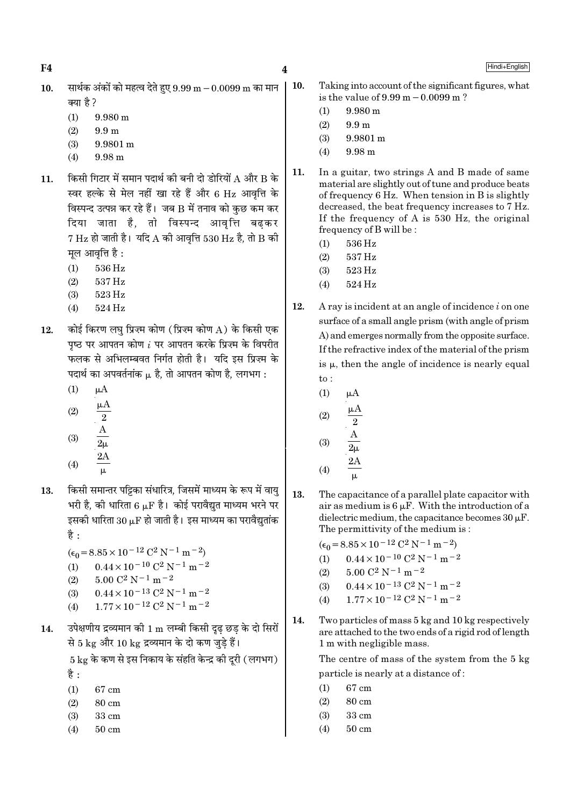$F<sub>4</sub>$ 

Hindi+English

- सार्थक अंकों को महत्व देते हुए  $9.99 \text{ m} 0.0099 \text{ m}$  का मान  $10.$ क्या है ?
	- $(1)$  $9.980 \text{ m}$
	- $(2)$  $9.9 \; \mathrm{m}$
	- $(3)$ 9.9801 m
	- $(4)$  $9.98<sub>m</sub>$
- किसी गिटार में समान पदार्थ की बनी दो डोरियों A और B के 11. स्वर हल्के से मेल नहीं खा रहे हैं और 6 Hz आवृत्ति के विस्पन्द उत्पन्न कर रहे हैं। जब B में तनाव को कुछ कम कर दिया जाता है, तो विस्पन्द आवृत्ति बढकर  $7 \text{ Hz}$  हो जाती है। यदि A की आवत्ति 530 Hz है, तो B की मुल आवृत्ति है :
	- 536 Hz  $(1)$
	- $(2)$ 537 Hz
	- 523 Hz  $(3)$
	- $(4)$ 524 Hz
- कोई किरण लघु प्रिज़्म कोण (प्रिज़्म कोण A) के किसी एक 12. पृष्ठ पर आपतन कोण  $i$  पर आपतन करके प्रिज़्म के विपरीत फलक से अभिलम्बवत निर्गत होती है। यदि इस प्रिज्म के पदार्थ का अपवर्तनांक  $\mu$  है, तो आपतन कोण है, लगभग :
	- $(1)$  $\mu A$
	- $(2)$
	-
	- $(3)$
	- $(4)$
- किसी समान्तर पट्टिका संधारित्र, जिसमें माध्यम के रूप में वायु 13. भरी है, की धारिता 6  $\mu$ F है। कोई परावैद्युत माध्यम भरने पर इसकी धारिता  $30 \mu$ F हो जाती है। इस माध्यम का परावैद्यतांक है $\cdot$ 
	- $(\epsilon_0 = 8.85 \times 10^{-12} \text{ C}^2 \text{ N}^{-1} \text{ m}^{-2})$
	- $0.44 \times 10^{-10}$  C<sup>2</sup> N<sup>-1</sup> m<sup>-2</sup>  $(1)$
	- $5.00 \text{ C}^2 \text{ N}^{-1} \text{ m}^{-2}$  $(2)$
	- $0.44 \times 10^{-13}$  C<sup>2</sup> N<sup>-1</sup> m<sup>-2</sup>  $(3)$
	- $1.77 \times 10^{-12}$  C<sup>2</sup> N<sup>-1</sup> m<sup>-2</sup>  $(4)$
- उपेक्षणीय द्रव्यमान की 1 m लम्बी किसी दढ छड के दो सिरों 14. से 5 kg और 10 kg द्रव्यमान के दो कण जड़े हैं।

 $5 \text{ kg}$  के कण से इस निकाय के संहति केन्द्र की दरी ( लगभग) है :

- $(1)$ 67 cm
- $(2)$ 80 cm
- $(3)$  $33 \text{ cm}$
- $50 \text{ cm}$  $(4)$
- 10. Taking into account of the significant figures, what is the value of  $9.99 \text{ m} - 0.0099 \text{ m}$ ?
	- $(1)$ 9.980 m
	- $(2)$ 99m
	- $(3)$ 9.9801 m
	- $9.98 m$  $(4)$
- 11. In a guitar, two strings A and B made of same material are slightly out of tune and produce beats of frequency 6 Hz. When tension in B is slightly decreased, the beat frequency increases to 7 Hz. If the frequency of A is 530 Hz, the original frequency of B will be:
	- $(1)$  $536\,\mathrm{Hz}$
	- $537\,\mathrm{Hz}$  $(2)$
	- 523 Hz  $(3)$
	- 524 Hz  $(4)$
- 12. A ray is incident at an angle of incidence  $i$  on one surface of a small angle prism (with angle of prism A) and emerges normally from the opposite surface. If the refractive index of the material of the prism is  $\mu$ , then the angle of incidence is nearly equal  $\mathrm{to}$ :
	- $(1)$  $\mu A$
	- $(2)$  $\sqrt{2}$
	- $(3)$

$$
(4) \qquad \frac{24}{\mu}
$$

13. The capacitance of a parallel plate capacitor with air as medium is  $6 \mu$ F. With the introduction of a dielectric medium, the capacitance becomes  $30 \mu$ F. The permittivity of the medium is:

 $(\epsilon_0 = 8.85 \times 10^{-12} \text{ C}^2 \text{ N}^{-1} \text{ m}^{-2})$ 

- $0.44 \times 10^{-10}$  C<sup>2</sup> N<sup>-1</sup> m<sup>-2</sup>  $(1)$
- $5.00 C<sup>2</sup> N<sup>-1</sup> m<sup>-2</sup>$  $(2)$
- $0.44\times10^{-13}$  C<sup>2</sup> N<sup>-1</sup> m<sup>-2</sup>  $(3)$
- $1.77\times10^{-12}$  C<sup>2</sup> N<sup>-1</sup> m<sup>-2</sup>  $(4)$
- 14. Two particles of mass 5 kg and 10 kg respectively are attached to the two ends of a rigid rod of length 1 m with negligible mass.

The centre of mass of the system from the 5 kg particle is nearly at a distance of:

- 67 cm  $(1)$
- $(2)$ 80 cm
- $(3)$ 33 cm
- $(4)$  $50 \text{ cm}$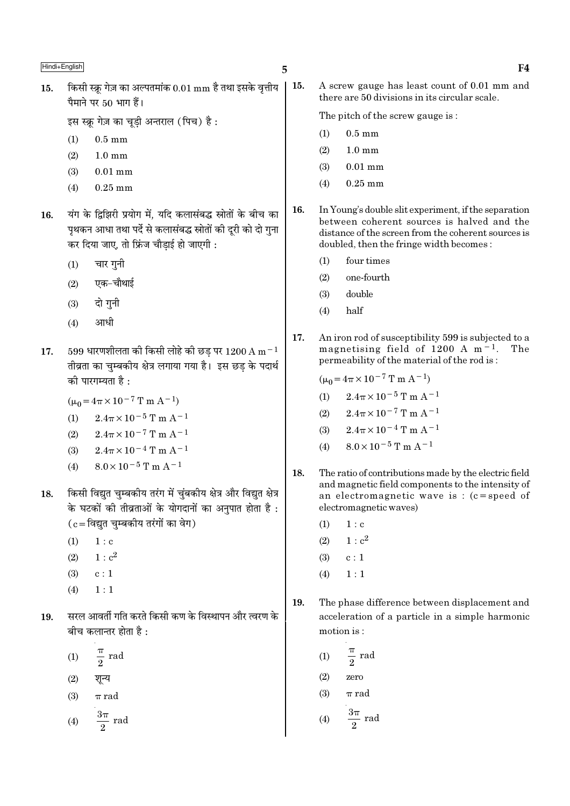किसी स्क्रू गेज़ का अल्पतमांक  $0.01 \text{ mm}$  है तथा इसके वृत्तीय 15. पैमाने पर 50 भाग हैं।

इस स्क्रु गेज़ का चुडी अन्तराल (पिच) है:

- $(1)$  $0.5 \text{ mm}$
- $(2)$  $1.0 \text{ mm}$
- $(3)$  $0.01$  mm
- $0.25$  mm  $(4)$
- यंग के द्विझिरी प्रयोग में. यदि कलासंबद्ध स्रोतों के बीच का 16. पृथकन आधा तथा पर्दे से कलासंबद्ध स्रोतों की दुरी को दो गुना कर दिया जाए, तो फ्रिंज चौडाई हो जाएगी :
	- चार गनी  $(1)$
	- एक-चौथाई  $(2)$
	- दो गुनी  $(3)$
	- आधी  $(4)$
- 599 धारणशीलता की किसी लोहे की छड़ पर 1200 A m $^{-1}$ 17. तीव्रता का चुम्बकीय क्षेत्र लगाया गया है। इस छड के पदार्थ को पारगम्यता है :
	- $(\mu_0 = 4\pi \times 10^{-7} \text{ T m A}^{-1})$
	- (1)  $2.4\pi \times 10^{-5}$  T m A<sup>-1</sup>
	- $(2)$  $2.4\pi \times 10^{-7}$  T m A<sup>-1</sup>
	- $2.4\pi \times 10^{-4}$  T m A<sup>-1</sup>  $(3)$
	- $8.0 \times 10^{-5}$  T m A<sup>-1</sup>  $(4)$
- किसी विद्युत चुम्बकीय तरंग में चुंबकीय क्षेत्र और विद्युत क्षेत्र 18. के घटकों की तीव्रताओं के योगदानों का अनुपात होता है :  $(c = \bar{c}$ द्युत चुम्बकीय तरंगों का वेग)
	- $1:c$  $(1)$
	- $1 : c<sup>2</sup>$  $(2)$
	- $(3)$  $c:1$
	- $(4)$  $1:1$
- सरल आवर्ती गति करते किसी कण के विस्थापन और त्वरण के 19. बीच कलान्तर होता है :
	- $\frac{\pi}{2}$  rad  $(1)$
	- शून्य  $(2)$
	- $(3)$  $\pi$  rad

$$
(4) \qquad \frac{3\pi}{2} \text{ rad}
$$

15. A screw gauge has least count of 0.01 mm and there are 50 divisions in its circular scale.

The pitch of the screw gauge is:

- $0.5 \text{ mm}$  $(1)$
- $(2)$  $1.0 \text{ mm}$
- $(3)$  $0.01$  mm
- $(4)$  $0.25$  mm
- 16. In Young's double slit experiment, if the separation between coherent sources is halved and the distance of the screen from the coherent sources is doubled, then the fringe width becomes:
	- four times  $(1)$
	- one-fourth  $(2)$
	- double  $(3)$
	- half  $(4)$
- 17. An iron rod of susceptibility 599 is subjected to a magnetising field of 1200 A  $m<sup>-1</sup>$ . The permeability of the material of the rod is:

$$
(\mu_0 = 4\pi \times 10^{-7} \text{ T m A}^{-1})
$$

- $2.4\pi \times 10^{-5}$  T m A<sup>-1</sup>  $(1)$
- $2.4\pi \times 10^{-7}$  T m A<sup>-1</sup>  $(2)$
- $2.4\pi \times 10^{-4}$  T m A<sup>-1</sup>  $(3)$
- $8.0\times10^{-5}$  T m A<sup>-1</sup>  $(4)$
- 18. The ratio of contributions made by the electric field and magnetic field components to the intensity of an electromagnetic wave is:  $(c = speed of$ electromagnetic waves)
	- $(1)$  $1 : c$
	- $1 : c<sup>2</sup>$  $(2)$
	- $(3)$  $c:1$
	- $(4)$  $1:1$
- 19. The phase difference between displacement and acceleration of a particle in a simple harmonic motion is:
	- $\frac{\pi}{2}$  rad  $(1)$  $(2)$ zero
	- $\pi$  rad  $(3)$
	- $rac{3\pi}{2}$  rad  $(4)$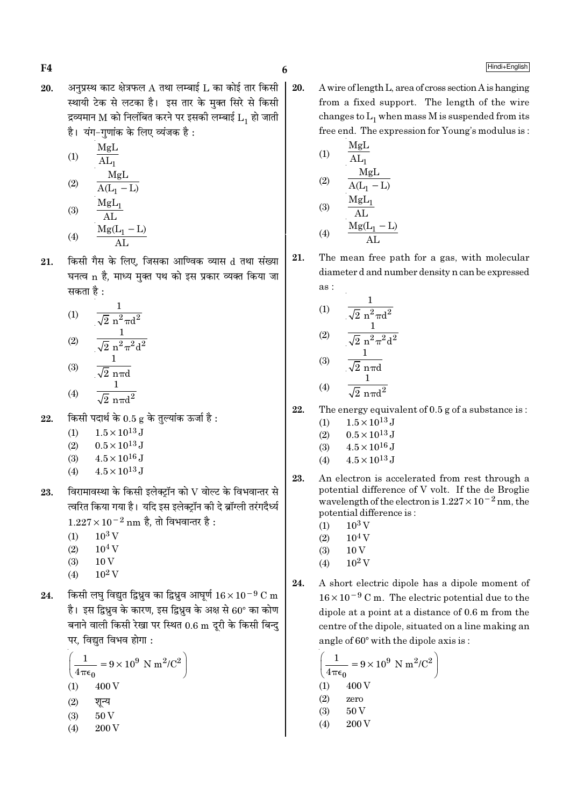अनुप्रस्थ काट क्षेत्रफल  $A$  तथा लम्बाई  $L$  का कोई तार किसी 20. स्थायी टेक से लटका है। इस तार के मक्त सिरे से किसी द्रव्यमान M को निलंबित करने पर इसकी लम्बाई  $L_1$  हो जाती है। यंग-गुणांक के लिए व्यंजक है:

(1)  
\n
$$
\frac{MgL}{AL_{1}}
$$
\n(2)  
\n
$$
\frac{MgL}{A(L_{1} - L)}
$$
\n(3)  
\n
$$
\frac{MgL_{1}}{AL}
$$
\n(4)  
\n
$$
\frac{Mg(L_{1} - L)}{AL}
$$

किसी गैस के लिए. जिसका आण्विक व्यास d तथा संख्या 21. घनत्व n है. माध्य मक्त पथ को इस प्रकार व्यक्त किया जा सकता है :

(1) 
$$
\frac{1}{\sqrt{2} n^{2} \pi d^{2}}
$$
  
(2) 
$$
\frac{1}{\sqrt{2} n^{2} \pi^{2} d^{2}}
$$
  
(3) 
$$
\frac{1}{\sqrt{2} n \pi d}
$$

$$
(4) \qquad \overline{\sqrt{2} \, n \pi d^2}
$$

- किसी पदार्थ के  $0.5$  g के तुल्यांक ऊर्जा है: 22.
	- $1.5 \times 10^{13}$  J  $(1)$
	- $0.5 \times 10^{13}$  J  $(2)$
	- $4.5 \times 10^{16}$  J  $(3)$
	- $4.5 \times 10^{13}$  J  $(4)$
- विरामावस्था के किसी इलेक्ट्रॉन को  ${\rm V}$  वोल्ट के विभवान्तर से 23. त्वरित किया गया है। यदि इस इलेक्टॉन की दे ब्रॉग्ली तरंगदैर्ध्य  $1.227 \times 10^{-2}$  nm है. तो विभवान्तर है:
	- $10^3$  V  $(1)$
	- $(2)$  $10^4$  V
	- $(3)$  $10V$
	- $10^2$  V  $(4)$
- किसी लघु विद्युत द्विध्रुव का द्विध्रुव आघूर्ण  $16 \times 10^{-9}$  C m 24. है। इस द्विध्नुव के कारण, इस द्विध्नुव के अक्ष से 60° का कोण बनाने वाली किसी रेखा पर स्थित 0.6 m दरी के किसी बिन्द पर, विद्युत विभव होगा :

$$
\left(\frac{1}{4\pi\epsilon_0} = 9 \times 10^9 \text{ N m}^2/\text{C}^2\right)
$$
  
(1) 400 V  
(2)  $\overline{R}$   
(3) 50 V  
(4) 200 V

20. A wire of length L, area of cross section A is hanging from a fixed support. The length of the wire changes to  $L_1$  when mass M is suspended from its free end. The expression for Young's modulus is:

(1) 
$$
\frac{MgL}{AL_1}
$$
  
\n(2)  $\frac{MgL}{A(L_1 - L)}$   
\n(3)  $\frac{MgL_1}{AL}$   
\n(4)  $\frac{Mg(L_1 - L)}{AL}$ 

(1) 
$$
\frac{1}{\sqrt{2} n^2 \pi d^2}
$$
  
\n(2) 
$$
\frac{1}{\sqrt{2} n^2 \pi^2 d^2}
$$
  
\n(3) 
$$
\frac{1}{\sqrt{2} n \pi d}
$$
  
\n(4) 
$$
\frac{1}{\sqrt{2} n \pi d^2}
$$

22. The energy equivalent of  $0.5$  g of a substance is:

- $1.5 \times 10^{13}$  J  $(1)$
- $(2)$  $0.5\times10^{13}\,\mathrm{J}$
- $4.5 \times 10^{16}$  J  $(3)$
- $4.5 \times 10^{13}$  J  $(4)$
- 23. An electron is accelerated from rest through a potential difference of V volt. If the de Broglie wavelength of the electron is  $1.227 \times 10^{-2}$  nm, the potential difference is:
	- $10^3$  V  $(1)$
	- $(2)$  $10^4$  V
	- $10V$  $(3)$
	- $10^2$  V  $(4)$
- $24.$ A short electric dipole has a dipole moment of  $16 \times 10^{-9}$  C m. The electric potential due to the dipole at a point at a distance of 0.6 m from the centre of the dipole, situated on a line making an angle of 60° with the dipole axis is:

$$
\left(\frac{1}{4\pi\epsilon_0} = 9 \times 10^9 \text{ N m}^2/\text{C}^2\right)
$$
  
(1) 400 V  
(2) zero  
(3) 50 V  
(4) 200 V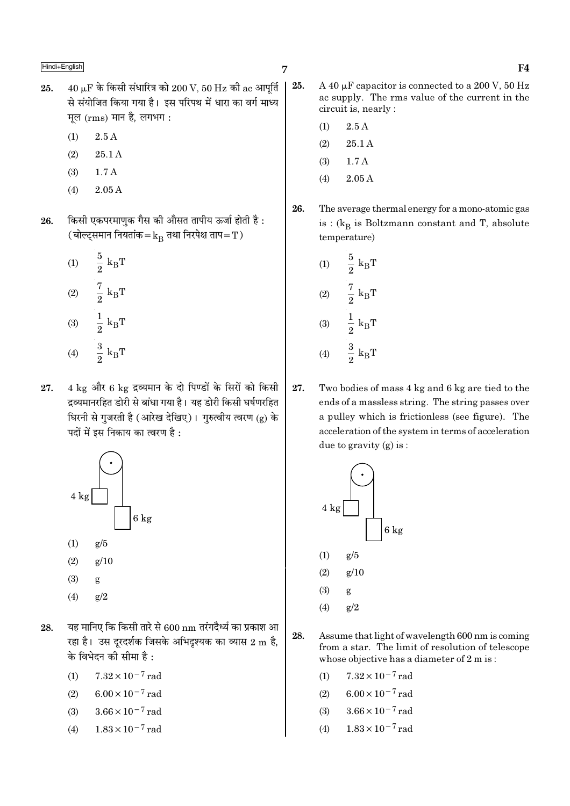- $40 \mu$ F के किसी संधारित्र को  $200 \text{ V}$ ,  $50 \text{ Hz}$  की ac आपूर्ति 25. से संयोजित किया गया है। इस परिपथ में धारा का वर्ग माध्य मूल (rms) मान है, लगभग:
	- $(1)$  $2.5A$
	- $(2)$  $25.1A$
	- $(3)$  $1.7A$
	- $(4)$  $2.05A$
- किसी एकपरमाणक गैस की औसत तापीय ऊर्जा होती है: 26. (बोल्ट्समान नियतांक $=$  $k_{\rm B}$  तथा निरपेक्ष ताप $=$   $\rm T$  )
	- $\frac{5}{2}$   $\mathrm{k}_{\mathrm{B}}\mathrm{T}$  $(1)$  $\frac{7}{2}~\text{k}_{\text{B}}\text{T}$  $(2)$  $\frac{1}{2} k_B T$  $(3)$  $\frac{3}{2}$  k<sub>B</sub>T  $(4)$
- 27. 4 kg और 6 kg द्रव्यमान के दो पिण्डों के सिरों को किसी द्रव्यमानरहित डोरी से बांधा गया है। यह डोरी किसी घर्षणरहित घिरनी से गजरती है (आरेख देखिए)। गरुत्वीय त्वरण (g) के पदों में इस निकाय का त्वरण है :



- $(3)$ g
- $(4)$  $g/2$
- यह मानिए कि किसी तारे से 600 nm तरंगदैर्ध्य का प्रकाश आ 28. रहा है। उस दूरदर्शक जिसके अभिदृश्यक का व्यास 2 m है, के विभेदन की सीमा है :
	- $7.32 \times 10^{-7}$  rad  $(1)$
	- $6.00 \times 10^{-7}$  rad  $(2)$
	- $3.66 \times 10^{-7}$  rad  $(3)$
	- $1.83 \times 10^{-7}$  rad  $(4)$
- 25. A 40  $\mu$ F capacitor is connected to a 200 V, 50 Hz ac supply. The rms value of the current in the circuit is, nearly:
	- $2.5A$  $(1)$
	- $(2)$  $25.1A$
	- $(3)$  $1.7A$
	- $(4)$ 2.05 A
- 26. The average thermal energy for a mono-atomic gas is :  $(k_B$  is Boltzmann constant and T, absolute temperature)
	- $\frac{5}{2}$   $\textbf{k}_{\text{B}}\textbf{T}$  $(1)$  $\frac{7}{2} k_B T$  $(2)$  $\frac{1}{2} k_B T$  $(3)$  $\frac{3}{2}$  k<sub>B</sub>T  $(4)$
- 27. Two bodies of mass 4 kg and 6 kg are tied to the ends of a massless string. The string passes over a pulley which is frictionless (see figure). The acceleration of the system in terms of acceleration due to gravity  $(g)$  is:



- 28. Assume that light of wavelength 600 nm is coming from a star. The limit of resolution of telescope whose objective has a diameter of  $2 \text{ m is}$ :
	- $7.32 \times 10^{-7}$  rad  $(1)$
	- $(2)$  $6.00 \times 10^{-7}$  rad
	- $3.66 \times 10^{-7}$  rad  $(3)$
	- $1.83 \times 10^{-7}$  rad  $(4)$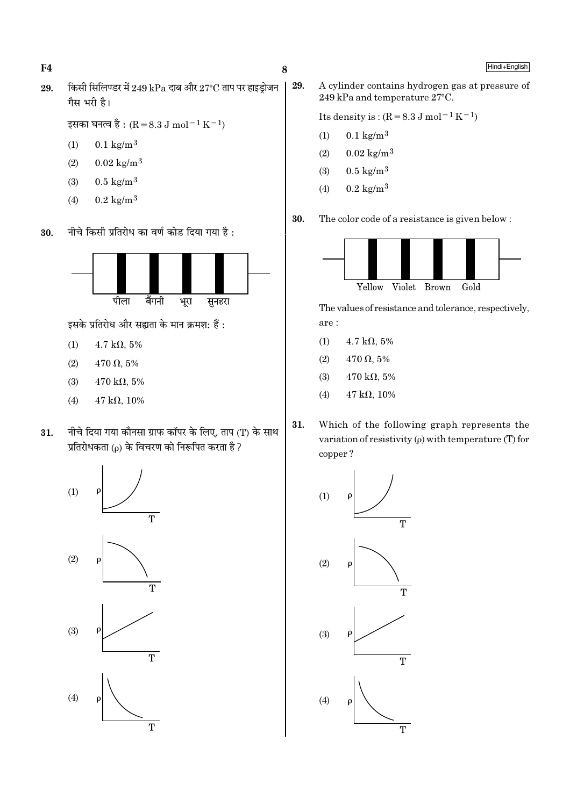$F<sub>4</sub>$ 

Hindi+English

किसी सिलिण्डर में 249 kPa दाब और 27°C ताप पर हाइडोजन 29. गैस भरी है।

```
इसका घनत्व है : (R = 8.3 J mol<sup>-1</sup> K<sup>-1</sup>)
```
- $(1)$  $0.1 \text{ kg/m}^3$
- $0.02 \text{ kg/m}^3$  $(2)$
- $0.5 \text{ kg/m}^3$  $(3)$
- $0.2 \text{ kg/m}^3$  $(4)$
- नीचे किसी प्रतिरोध का वर्ण कोड दिया गया है: 30.



इसके प्रतिरोध और सह्यता के मान क्रमश: हैं:

- $(1)$  $4.7 \text{ k}\Omega, 5\%$
- $(2)$  $470 \Omega, 5\%$
- $(3)$  $470 \text{ k}\Omega, 5\%$
- $47 k\Omega$ , 10%  $(4)$
- नीचे दिया गया कौनसा ग्राफ कॉपर के लिए, ताप (T) के साथ 31. प्रतिरोधकता (o) के विचरण को निरूपित करता है ?



29. A cylinder contains hydrogen gas at pressure of 249 kPa and temperature 27°C.

Its density is:  $(R = 8.3 \text{ J mol}^{-1} \text{ K}^{-1})$ 

- $0.1 \text{ kg/m}^3$  $(1)$
- $0.02 \text{ kg/m}^3$  $(2)$
- $0.5 \text{ kg/m}^3$  $(3)$
- $0.2 \text{ kg/m}^3$  $(4)$
- 30. The color code of a resistance is given below:



The values of resistance and tolerance, respectively,  $are:$ 

- $(1)$  $4.7 \text{ k}\Omega, 5\%$
- $(2)$  $470 \Omega, 5\%$
- $470 \text{ k}\Omega, 5\%$  $(3)$
- $47 k\Omega, 10\%$  $(4)$
- 31. Which of the following graph represents the variation of resistivity  $(\rho)$  with temperature (T) for copper?

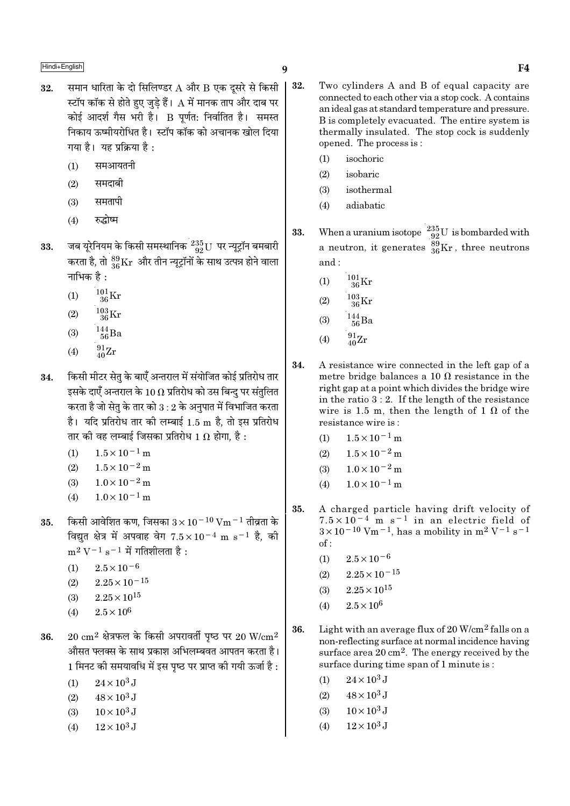- समान धारिता के दो सिलिण्डर A और B एक दूसरे से किसी | 32. स्टॉप कॉक से होते हुए जुड़े हैं।  ${\rm A}$  में मानक ताप और दाब पर कोई आदर्श गैस भरी है। B पूर्णत: निर्वातित है। समस्त निकाय ऊष्मीयरोधित है। स्टॉप कॉक को अचानक खोल दिया गया है। यह प्रक्रिया है:
	- समआयतनी  $(1)$
	- समदाबी  $(2)$
	- समतापी  $(3)$
	- रुद्धोष्म  $(4)$
- जब यूरेनियम के किसी समस्थानिक  $^{235}_{92}$ U पर न्यूट्रॉन बमबारी<br>करता है, तो  $^{89}_{36}\rm{Kr}$  और तीन न्यूट्रॉनों के साथ उत्पन्न होने वाला 33. नाभिक है :
	- $^{101}_{36}\mathrm{Kr}$  $(1)$
	- $(2)$
	- $\frac{144}{56}$ Ba  $(3)$
	- $^{91}_{40}Zr$  $(4)$
- किसी मीटर सेतु के बाएँ अन्तराल में संयोजित कोई प्रतिरोध तार 34. इसके दाएँ अन्तराल के 10  $\Omega$  प्रतिरोध को उस बिन्दु पर संतुलित करता है जो सेतृ के तार को  $3:2$  के अनुपात में विभाजित करता है। यदि प्रतिरोध तार की लम्बाई 1.5 m है, तो इस प्रतिरोध तार की वह लम्बाई जिसका प्रतिरोध 1  $\Omega$  होगा. है :
	- $1.5 \times 10^{-1}$  m  $(1)$
	- $1.5 \times 10^{-2}$  m  $(2)$
	- $1.0 \times 10^{-2}$  m  $(3)$
	- $1.0 \times 10^{-1}$  m  $(4)$
- किसी आवेशित कण, जिसका  $3 \times 10^{-10}$  Vm  $^{-1}$  तीव्रता के 35. विद्यत क्षेत्र में अपवाह वेग  $7.5 \times 10^{-4}$  m s<sup>-1</sup> है, की  $m^2 V^{-1} s^{-1}$  में गतिशीलता है:
	- $(1)$  $2.5 \times 10^{-6}$
	- $2.25 \times 10^{-15}$  $(2)$
	- $2.25 \times 10^{15}$  $(3)$
	- $2.5\times10^6$  $(4)$
- $20 \text{ cm}^2$  क्षेत्रफल के किसी अपरावर्ती पष्ठ पर 20 W/cm<sup>2</sup> 36. औसत फ्लक्स के साथ प्रकाश अभिलम्बवत आपतन करता है। 1 मिनट की समयावधि में इस पष्ठ पर प्राप्त की गयी ऊर्जा है :
	- $24 \times 10^3$  J  $(1)$
	- $48 \times 10^3$  J  $(2)$
	- $10 \times 10^3$  J  $(3)$
	- $12\times10^3$  J  $(4)$
- 32. Two cylinders A and B of equal capacity are connected to each other via a stop cock. A contains an ideal gas at standard temperature and pressure. B is completely evacuated. The entire system is thermally insulated. The stop cock is suddenly opened. The process is:
	- isochoric  $(1)$
	- isobaric  $(2)$
	- $(3)$ isothermal
	- adiabatic  $(4)$
- When a uranium isotope  $\begin{array}{l} 235 \\ 92 \end{array}$  U is bombarded with 33. a neutron, it generates  $^{89}_{36}\text{Kr}$ , three neutrons and:
	- $^{101}_{~36}$ Kr  $(1)$
	- $^{103}_{36}$ Kr  $(2)$
	- $^{144}_{\ 56}$ Ba  $(3)$
	- $^{91}_{40}Zr$  $(4)$
- 34. A resistance wire connected in the left gap of a metre bridge balances a 10  $\Omega$  resistance in the right gap at a point which divides the bridge wire in the ratio  $3:2$ . If the length of the resistance wire is 1.5 m, then the length of 1  $\Omega$  of the resistance wire is:
	- $(1)$  $1.5 \times 10^{-1}$  m
	- $1.5 \times 10^{-2}$  m  $(2)$
	- $1.0 \times 10^{-2}$  m  $(3)$
	- $1.0 \times 10^{-1}$  m  $(4)$
- 35. A charged particle having drift velocity of  $7.5 \times 10^{-4}$  m s<sup>-1</sup> in an electric field of<br> $3 \times 10^{-10}$  Vm<sup>-1</sup>, has a mobility in m<sup>2</sup> V<sup>-1</sup> s<sup>-1</sup>  $of:$ 
	- $(1)$  $2.5 \times 10^{-6}$
	- $(2)$  $2.25 \times 10^{-15}$
	- $2.25 \times 10^{15}$  $(3)$
	- $2.5 \times 10^6$  $(4)$
- 36. Light with an average flux of 20 W/cm<sup>2</sup> falls on a non-reflecting surface at normal incidence having surface area  $20 \text{ cm}^2$ . The energy received by the surface during time span of 1 minute is:
	- $24 \times 10^3$  J  $(1)$
	- $48 \times 10^3$  J  $(2)$
	- $(3)$  $10 \times 10^3$  J
	- $(4)$  $12\times10^3$  J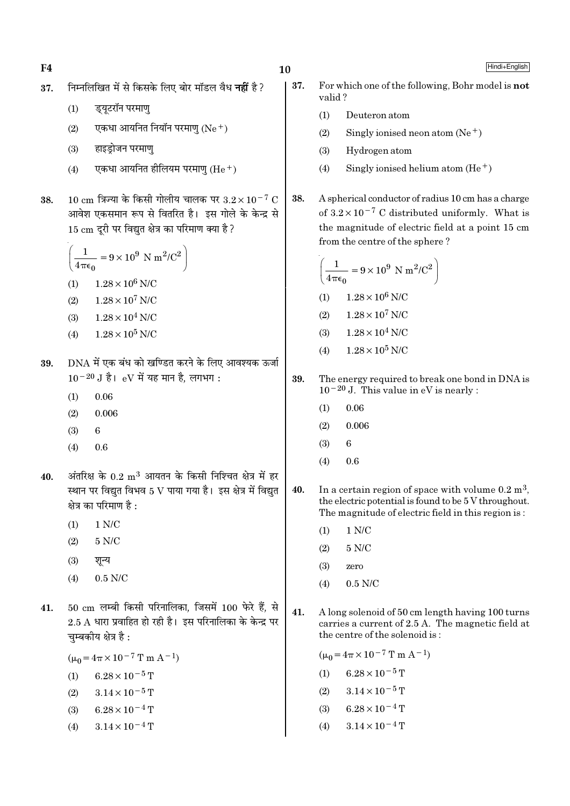$F<sub>4</sub>$ 

- निम्नलिखित में से किसके लिए बोर मॉडल वैध **नहीं** है? 37.
	- ड्यूटरॉन परमाणु  $(1)$
	- एकधा आयनित नियॉन परमाण (Ne+)  $(2)$
	- हाइडोजन परमाण  $(3)$
	- एकधा आयनित हीलियम परमाण  $(He<sup>+</sup>)$  $(4)$
- $10 \text{ cm}$  त्रिज्या के किसी गोलीय चालक पर  $3.2 \times 10^{-7} \text{ C}$ 38. आवेश एकसमान रूप से वितरित है। इस गोले के केन्द्र से 15 cm दूरी पर विद्युत क्षेत्र का परिमाण क्या है?

$$
\left(\frac{1}{4\pi\epsilon_0} = 9 \times 10^9 \text{ N m}^2/\text{C}^2\right)
$$
  
(1) 1.28 × 10<sup>6</sup> N/C  
(2) 1.28 × 10<sup>7</sup> N/C

- $1.28 \times 10^4$  N/C  $(3)$
- $1.28 \times 10^5$  N/C  $(4)$
- DNA में एक बंध को खण्डित करने के लिए आवश्यक ऊर्जा 39.  $10^{-20}$  J है। eV में यह मान है, लगभग:
	- 0.06  $(1)$
	- $(2)$  $0.006$
	- $(3)$ 6
	- $(4)$  $0.6$
- अंतरिक्ष के  $0.2 \; \mathrm{m}^3$  आयतन के किसी निश्चित क्षेत्र में हर 40. स्थान पर विद्यत विभव 5 V पाया गया है। इस क्षेत्र में विद्यत क्षेत्र का परिमाण है :
	- $(1)$  $1 N/C$
	- $(2)$  $5 N/C$
	- $(3)$ शून्य
	- $0.5$  N/C  $(4)$
- $50 \text{ cm}$  लम्बी किसी परिनालिका. जिसमें 100 फेरे हैं. से 41.  $2.5$  A धारा प्रवाहित हो रही है। इस परिनालिका के केन्द्र पर चम्बकीय क्षेत्र है:

 $(\mu_0 = 4\pi \times 10^{-7} \text{ T m A}^{-1})$ 

- (1)  $6.28 \times 10^{-5}$  T
- $(2)$  $3.14 \times 10^{-5}$  T
- $6.28 \times 10^{-4}$  T  $(3)$
- $3.14 \times 10^{-4}$  T  $(4)$
- 37. For which one of the following, Bohr model is **not** valid?
	- $(1)$ Deuteron atom
	- $(2)$ Singly ionised neon atom  $(Ne^+)$
	- $(3)$ Hydrogen atom
	- $(4)$ Singly ionised helium atom  $(He<sup>+</sup>)$
- 38. A spherical conductor of radius 10 cm has a charge of  $3.2 \times 10^{-7}$  C distributed uniformly. What is the magnitude of electric field at a point 15 cm from the centre of the sphere?

$$
\left(\frac{1}{4\pi\epsilon_0} = 9 \times 10^9 \text{ N m}^2/\text{C}^2\right)
$$
  
(1) 1.28×10<sup>6</sup> N/C  
(2) 1.28×10<sup>7</sup> N/C  
(3) 1.28×10<sup>4</sup> N/C  
(4) 1.28×10<sup>5</sup> N/C

- 39. The energy required to break one bond in DNA is  $10^{-20}$  J. This value in eV is nearly :
	- 0.06  $(1)$
	- $(2)$  $0.006$
	- $(3)$ 6
	- $0.6$  $(4)$
- 40. In a certain region of space with volume  $0.2 \text{ m}^3$ , the electric potential is found to be 5 V throughout. The magnitude of electric field in this region is:
	- $1 N/C$  $(1)$
	- $5 N/C$  $(2)$
	- $(3)$ zero
	- $0.5$  N/C  $(4)$
- $41.$ A long solenoid of 50 cm length having 100 turns carries a current of 2.5 A. The magnetic field at the centre of the solenoid is:

 $(\mu_0 = 4\pi \times 10^{-7} \text{ T m A}^{-1})$  $6.28 \times 10^{-5}$  T  $(1)$ 

- $(2)$  $3.14 \times 10^{-5}$  T
- $6.28 \times 10^{-4}$  T  $(3)$
- $3.14 \times 10^{-4}$  T  $(4)$

Hindi+English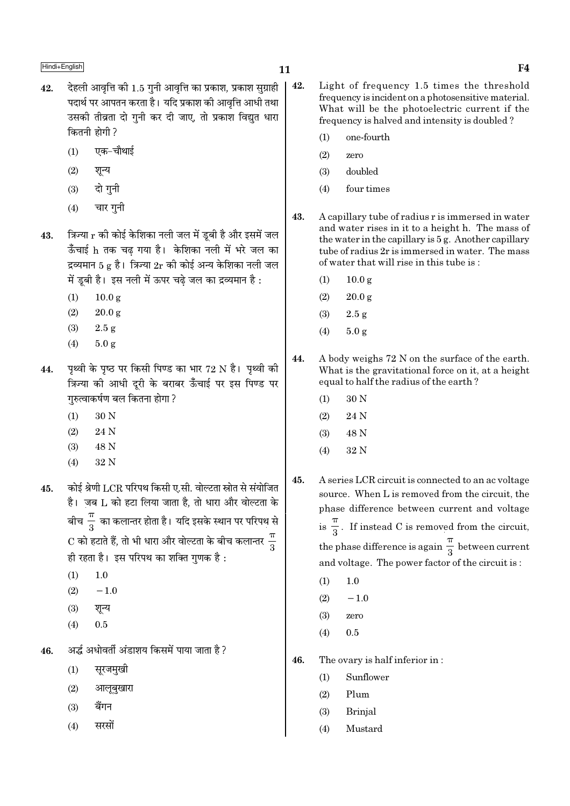# $\blacksquare$ Hindi+English  $\blacksquare$

- $42.$  देहली आवत्ति की 1.5 गनी आवत्ति का प्रकाश, प्रकाश सग्राही पदार्थ पर आपतन करता है। यदि प्रकाश की आवत्ति आधी तथा उसकी तीव्रता दो गुनी कर दी जाए, तो प्रकाश विद्युत धारा कितनी होगी ?
	- $(1)$  एक−चौथाई
	- $(2)$  शून्य
	- $(3)$  दो गुनी
	- $(4)$  चार गुनी
- $43.$  त्रिज्या  $r$  की कोई केशिका नली जल में डूबी है और इसमें जल ऊँचाई h तक चढ गया है। केशिका नली में भरे जल का द्रव्यमान 5 g है। त्रिज्या  $2r$  की कोई अन्य केशिका नली जल में डूबी है। इस नली में ऊपर चढ़े जल का द्रव्यमान है:
	- $(1)$  10.0 g
	- $(2)$  20.0 g
	- (3)  $2.5 \text{ g}$
	- (4) 5.0 g
- 44.  $\,$  पृथ्वी के पृष्ठ पर किसी पिण्ड का भार 72 N है। पृथ्वी की <u>क्रिन्या को आधी दरी के बराबर ऊँचाई पर इस पिण्ड पर</u> गरुत्वाकर्षण बल कितना होगा ?
	- $(1)$  30 N
	- (2) 24 N
	- (3) 48 N
	- (4) 32 N
- $\,$ 45.  $\,$ कोई श्रेणी LCR परिपथ किसी ए.सी. वोल्टता स्रोत से संयोजित  $\dot{\vec{c}}$ । जब  $L$  को हटा लिया जाता है, तो धारा और वोल्टता के बीच $\:\frac{\pi}{3}\:$  का कलान्तर होता है। यदि इसके स्थान पर परिपथ से  ${\rm C}$  को हटाते हैं, तो भी धारा और वोल्टता के बीच कलान्तर  $\frac{\pi}{3}$ ही रहता है। इस परिपथ का शक्ति गुणक है:
	- $(1)$  1.0
	- $(2)$  −1.0
	- $(3)$  शून्य
	- $(4)$  0.5
- $\,$  46.  $\,$  अर्द्ध अधोवर्ती अंडाशय किसमें पाया जाता है ?
	- $(1)$  सूरजमुखी
	- $(2)$  आलूबुखारा
	- $(3)$  बैंगन
	- $(4)$  सरसों
- 42. Light of frequency 1.5 times the threshold frequency is incident on a photosensitive material. What will be the photoelectric current if the frequency is halved and intensity is doubled ?
	- (1) one-fourth
	- (2) zero
	- (3) doubled
	- (4) four times
- 43. A capillary tube of radius r is immersed in water and water rises in it to a height h. The mass of the water in the capillary is 5 g. Another capillary tube of radius 2r is immersed in water. The mass of water that will rise in this tube is :
	- (1)  $10.0 \text{ g}$
	- $(2)$  20.0 g
	- (3) 2.5 g
	- (4)  $5.0 g$
- 44. A body weighs 72 N on the surface of the earth. What is the gravitational force on it, at a height equal to half the radius of the earth ?
	- (1) 30 N
	- $(2)$  24 N
	- (3) 48 N
	- (4) 32 N
- 45. A series LCR circuit is connected to an ac voltage source. When L is removed from the circuit, the phase difference between current and voltage  $is \frac{1}{3}$ π . If instead C is removed from the circuit, the phase difference is again  $\frac{1}{3}$ π between current and voltage. The power factor of the circuit is :
	- $(1)$  1.0
	- $(2)$  −1.0
	- (3) zero
	- $(4)$  0.5
- 46. The ovary is half inferior in :
	- (1) Sunflower
	- (2) Plum
	- (3) Brinjal
	- (4) Mustard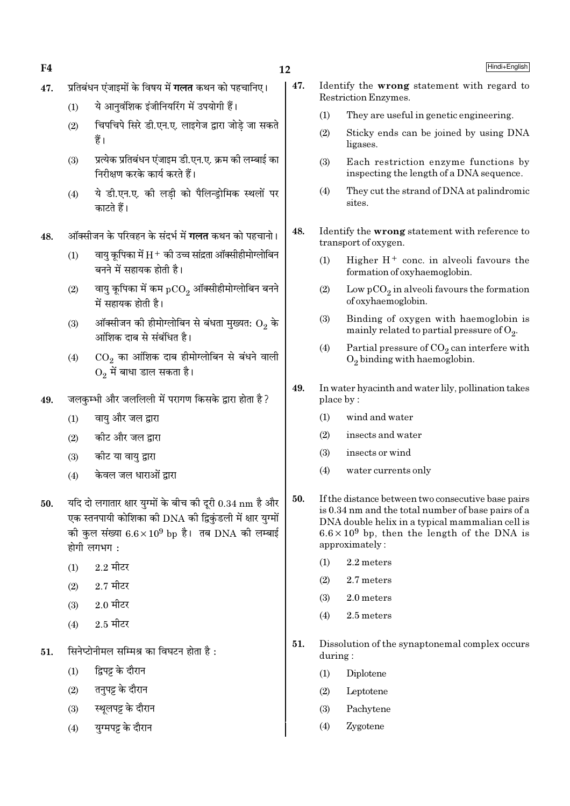**F4** 

- प्रतिबंधन एंजाइमों के विषय में **गलत** कथन को पहचानिए। 47.
	- ये आनुवंशिक इंजीनियरिंग में उपयोगी हैं।  $(1)$
	- चिपचिपे सिरे डी.एन.ए. लाइगेज द्वारा जोडे जा सकते  $(2)$ हैं।
	- प्रत्येक प्रतिबंधन एंजाइम डी.एन.ए. क्रम की लम्बाई का  $(3)$ निरीक्षण करके कार्य करते हैं।
	- ये डी.एन.ए. की लडी को पैलिन्डोमिक स्थलों पर  $(4)$ काटते हैं।
- ऑक्सीजन के परिवहन के संदर्भ में **गलत** कथन को पहचानो। 48.
	- वायु कृपिका में  $\rm H^+$  की उच्च सांद्रता ऑक्सीहीमोग्लोबिन  $(1)$ बनने में सहायक होती है।
	- वायु कूपिका में कम  $pCO_2$  ऑक्सीहीमोग्लोबिन बनने  $(2)$ में सहायक होती है।
	- ऑक्सीजन की हीमोग्लोबिन से बंधता मुख्यत:  $\mathrm{O}_2$  के  $(3)$ आंशिक दाब से संबंधित है।
	- $\mathrm{CO}_2$  का आंशिक दाब हीमोग्लोबिन से बंधने वाली  $(4)$  $0, \vec{r}$  बाधा डाल सकता है।
- जलकम्भी और जललिली में परागण किसके द्वारा होता है? 49.
	- वाय और जल द्वारा  $(1)$
	- कीट और जल द्वारा  $(2)$
	- कीट या वाय द्वारा  $(3)$
	- केवल जल धाराओं द्वारा  $(4)$
- यदि दो लगातार क्षार यग्मों के बीच की दरी  $0.34~\mathrm{nm}$  है और 50. एक स्तनपायी कोशिका की DNA की द्विकंडली में क्षार युग्मों की कुल संख्या  $6.6 \times 10^9$  bp है। तब DNA की लम्बाई होगी लगभग $\cdot$ 
	- $2.2$  मीटर  $(1)$
	- $2.7$  मीटर  $(2)$
	- $2.0$  मीटर  $(3)$
	- $2.5$  मीटर  $(4)$
- सिनेप्टोनीमल सम्मिश्र का विघटन होता है: 51.
	- द्विपट्ट के दौरान  $(1)$
	- तनुपट्ट के दौरान  $(2)$
	- स्थूलपट्ट के दौरान  $(3)$
	- यग्मपट्ट के दौरान  $(4)$
- 47. Identify the wrong statement with regard to Restriction Enzymes.
	- They are useful in genetic engineering.  $(1)$
	- $(2)$ Sticky ends can be joined by using DNA ligases.
	- $(3)$ Each restriction enzyme functions by inspecting the length of a DNA sequence.
	- They cut the strand of DNA at palindromic  $(4)$ sites.
- 48. Identify the wrong statement with reference to transport of oxygen.
	- Higher  $H^+$  conc. in alveoli favours the  $(1)$ formation of oxyhaemoglobin.
	- $(2)$ Low  $pCO<sub>2</sub>$  in alveoli favours the formation of oxyhaemoglobin.
	- Binding of oxygen with haemoglobin is  $(3)$ mainly related to partial pressure of  $O_2$ .
	- $(4)$ Partial pressure of  $CO<sub>2</sub>$  can interfere with  $O<sub>2</sub>$  binding with haemoglobin.
- 49. In water hyacinth and water lily, pollination takes place by:
	- $(1)$ wind and water
	- $(2)$ insects and water
	- insects or wind  $(3)$
	- water currents only  $(4)$
- 50. If the distance between two consecutive base pairs is 0.34 nm and the total number of base pairs of a DNA double helix in a typical mammalian cell is  $6.6 \times 10^9$  bp, then the length of the DNA is approximately:
	- 2.2 meters  $(1)$
	- $(2)$ 2.7 meters
	- $(3)$ 2.0 meters
	- $(4)$ 2.5 meters
- 51. Dissolution of the synaptonemal complex occurs during:
	- $(1)$ Diplotene
	- Leptotene  $(2)$
	- $(3)$ Pachytene
	- $(4)$ Zygotene

Hindi+English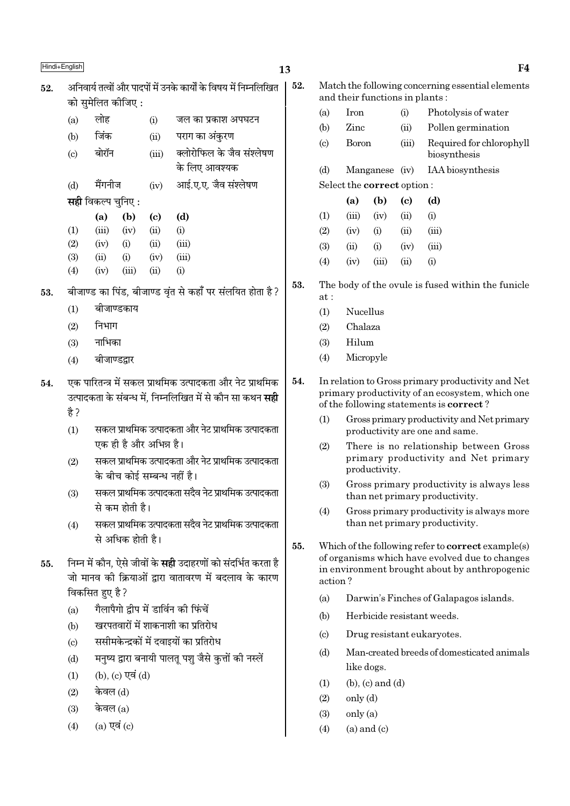## 13

अनिवार्य तत्वों और पादपों में उनके कार्यों के विषय में निम्नलिखित 52. को समेलित कीजिए :

|     | $\left( \mathbf{b}\right)$<br>(a) | $\left( \mathrm{c} \right)$ | (d)                       |
|-----|-----------------------------------|-----------------------------|---------------------------|
|     | <b>सही</b> विकल्प चुनिए :         |                             |                           |
| (d) | मैंगनीज                           | (iv)                        | आई.ए.ए. जैव संश्लेषण      |
|     |                                   |                             | के लिए आवश्यक             |
| (c) | बोरॉन                             | (iii)                       | क्लोरोफिल के जैव संश्लेषण |
| (b) | जिंक                              | (ii)                        | पराग का अंकुरण            |
| (a) | लोह                               | (i)                         | जल का प्रकाश अपघटन        |
|     |                                   |                             |                           |

|                   | w     | 1 N J                  | v    | w     |
|-------------------|-------|------------------------|------|-------|
| $\left( 1\right)$ | (iii) | (iv)                   | (ii) | (i)   |
| $\left( 2\right)$ | (iv)  | $\rm \scriptstyle (i)$ | (ii) | (iii) |
| 3)                | (ii)  | $\rm(i)$               | (iv) | (iii) |
| $\left( 4\right)$ | (iv)  | (iii)                  | (ii) | (i)   |

बीजाण्ड का पिंड. बीजाण्ड वृंत से कहाँ पर संलयित होता है ? 53.

- $(1)$ बीजाण्डकाय
- निभाग  $(2)$
- नाभिका  $(3)$
- बीजाण्डद्नार  $(4)$
- एक पारितन्त्र में सकल प्राथमिक उत्पादकता और नेट प्राथमिक 54. उत्पादकता के संबन्ध में. निम्नलिखित में से कौन सा कथन **सही** है ?
	- सकल प्राथमिक उत्पादकता और नेट प्राथमिक उत्पादकता  $(1)$ एक ही है और अभिन्न है।
	- सकल प्राथमिक उत्पादकता और नेट प्राथमिक उत्पादकता  $(2)$ के बीच कोई सम्बन्ध नहीं है।
	- सकल प्राथमिक उत्पादकता सदैव नेट प्राथमिक उत्पादकता  $(3)$ से कम होती है।
	- सकल प्राथमिक उत्पादकता सदैव नेट प्राथमिक उत्पादकता  $(4)$ से अधिक होती है।
- निम्न में कौन, ऐसे जीवों के **सही** उदाहरणों को संदर्भित करता है 55. जो मानव की क्रियाओं द्वारा वातावरण में बदलाव के कारण विकसित हुए है ?
	- गैलापैगो द्वीप में डार्विन की फिंचें  $(a)$
	- खरपतवारों में शाकनाशी का प्रतिरोध  $(b)$
	- ससीमकेन्द्रकों में दवाइयों का प्रतिरोध  $(c)$
	- मनुष्य द्वारा बनायी पालतू पशु जैसे कुत्तों की नस्लें  $(d)$
	- (b), (c) एवं (d)  $(1)$
	- केवल (d)  $(2)$
	- केवल (a)  $(3)$
	- $(a)$  एवं  $(c)$  $(4)$
- $52.$ Match the following concerning essential elements and their functions in plants:
	- $(a)$ **Iron** Photolysis of water  $(i)$  $(b)$ Zinc  $(ii)$ Pollen germination **Boron**  $\left( \mathrm{c} \right)$  $(iii)$ Required for chlorophyll biosynthesis IAA biosynthesis  $(d)$ Manganese (iv) Select the correct option:  $\lambda$  $\mathbf{a}$  $\sim$

|     | (a)   | (b)   | (C)  | (d)      |
|-----|-------|-------|------|----------|
| (1) | (iii) | (iv)  | (ii) | $\rm(i)$ |
| (2) | (iv)  | (i)   | (ii) | (iii)    |
| (3) | (ii)  | (i)   | (iv) | (iii)    |
| (4) | (iv)  | (iii) | (ii) | $\rm(i)$ |

- 53. The body of the ovule is fused within the funicle  $at:$ 
	- $(1)$ **Nucellus**
	- $(2)$ Chalaza
	- Hilum  $(3)$
	- $(4)$ Micropyle
- 54. In relation to Gross primary productivity and Net primary productivity of an ecosystem, which one of the following statements is **correct**?
	- $(1)$ Gross primary productivity and Net primary productivity are one and same.
	- There is no relationship between Gross  $(2)$ primary productivity and Net primary productivity.
	- Gross primary productivity is always less  $(3)$ than net primary productivity.
	- $(4)$ Gross primary productivity is always more than net primary productivity.
- 55. Which of the following refer to **correct** example(s) of organisms which have evolved due to changes in environment brought about by anthropogenic action?
	- $(a)$ Darwin's Finches of Galapagos islands.
	- $(h)$ Herbicide resistant weeds.
	- $\left( \mathrm{e}\right)$ Drug resistant eukaryotes.
	- $(d)$ Man-created breeds of domesticated animals like dogs.
	- $(b)$ ,  $(c)$  and  $(d)$  $(1)$
	- $(2)$  $\text{only (d)}$
	- $(3)$  $only (a)$
	- $(4)$  $(a)$  and  $(c)$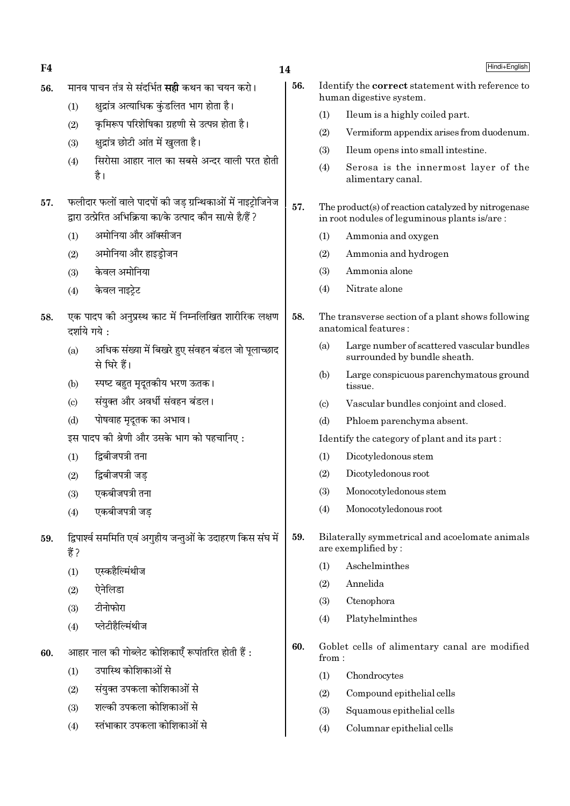| F4  |                        |                                                                                                                            | 14  |                        | Hindi+English                                                                                       |
|-----|------------------------|----------------------------------------------------------------------------------------------------------------------------|-----|------------------------|-----------------------------------------------------------------------------------------------------|
| 56. |                        | मानव पाचन तंत्र से संदर्भित <b>सही</b> कथन का चयन करो।                                                                     | 56. |                        | Identify the <b>correct</b> statement with reference to<br>human digestive system.                  |
|     | (1)                    | क्षुद्रांत्र अत्याधिक कुंडलित भाग होता है।                                                                                 |     | (1)                    | Ileum is a highly coiled part.                                                                      |
|     | (2)                    | कृमिरूप परिशेषिका ग्रहणी से उत्पन्न होता है।                                                                               |     | (2)                    | Vermiform appendix arises from duodenum.                                                            |
|     | (3)                    | क्षुद्रांत्र छोटी आंत में खुलता है।                                                                                        |     | (3)                    | Ileum opens into small intestine.                                                                   |
|     | (4)                    | सिरोसा आहार नाल का सबसे अन्दर वाली परत होती<br>है।                                                                         |     | (4)                    | Serosa is the innermost layer of the<br>alimentary canal.                                           |
| 57. |                        | फलीदार फलों वाले पादपों की जड़ ग्रन्थिकाओं में नाइट्रोजिनेज<br>द्वारा उत्प्रेरित अभिक्रिया का/के उत्पाद कौन सा/से है/हैं ? | 57. |                        | The product(s) of reaction catalyzed by nitrogenase<br>in root nodules of leguminous plants is/are: |
|     | (1)                    | अमोनिया और ऑक्सीजन                                                                                                         |     | (1)                    | Ammonia and oxygen                                                                                  |
|     | (2)                    | अमोनिया और हाइड्रोजन                                                                                                       |     | (2)                    | Ammonia and hydrogen                                                                                |
|     | (3)                    | केवल अमोनिया                                                                                                               |     | (3)                    | Ammonia alone                                                                                       |
|     | (4)                    | केवल नाइट्रेट                                                                                                              |     | (4)                    | Nitrate alone                                                                                       |
| 58. |                        | एक पादप को अनुप्रस्थ काट में निम्नलिखित शारीरिक लक्षण<br>दर्शाये गये :                                                     | 58. |                        | The transverse section of a plant shows following<br>anatomical features:                           |
|     | (a)                    | अधिक संख्या में बिखरे हुए संवहन बंडल जो पूलाच्छाद<br>से घिरे हैं।                                                          |     | (a)                    | Large number of scattered vascular bundles<br>surrounded by bundle sheath.                          |
|     | (b)                    | स्पष्ट बहुत मृदूतकीय भरण ऊतक।                                                                                              |     | (b)                    | Large conspicuous parenchymatous ground<br>tissue.                                                  |
|     | $\left( \circ \right)$ | संयुक्त और अवर्धी संवहन बंडल।                                                                                              |     | $\left( \circ \right)$ | Vascular bundles conjoint and closed.                                                               |
|     | (d)                    | पोषवाह मृदूतक का अभाव।                                                                                                     |     | (d)                    | Phloem parenchyma absent.                                                                           |
|     |                        | इस पादप की श्रेणी और उसके भाग को पहचानिए:                                                                                  |     |                        | Identify the category of plant and its part:                                                        |
|     | (1)                    | द्विबीजपत्री तना                                                                                                           |     | (1)                    | Dicotyledonous stem                                                                                 |
|     | (2)                    | द्विबीजपत्री जड                                                                                                            |     | (2)                    | Dicotyledonous root                                                                                 |
|     | (3)                    | एकबीजपत्री तना                                                                                                             |     | (3)                    | Monocotyledonous stem                                                                               |
|     | (4)                    | एकबीजपत्री जड़                                                                                                             |     | (4)                    | Monocotyledonous root                                                                               |
| 59. | हैं ?                  | द्विपार्श्व सममिति एवं अगुहीय जन्तुओं के उदाहरण किस संघ में                                                                | 59. |                        | Bilaterally symmetrical and acoelomate animals<br>are exemplified by:                               |
|     | (1)                    | एस्कहैल्मिंथीज                                                                                                             |     | (1)                    | Aschelminthes                                                                                       |
|     | (2)                    | ऐनेलिडा                                                                                                                    |     | (2)                    | Annelida                                                                                            |
|     | (3)                    | टीनोफोरा                                                                                                                   |     | (3)                    | Ctenophora                                                                                          |
|     | (4)                    | प्लेटीहैल्मिंथीज                                                                                                           |     | (4)                    | Platyhelminthes                                                                                     |
| 60. |                        | आहार नाल की गोब्लेट कोशिकाएँ रूपांतरित होती हैं :                                                                          | 60. | from:                  | Goblet cells of alimentary canal are modified                                                       |
|     | (1)                    | उपास्थि कोशिकाओं से                                                                                                        |     | (1)                    | Chondrocytes                                                                                        |
|     | (2)                    | संयुक्त उपकला कोशिकाओं से                                                                                                  |     | (2)                    | Compound epithelial cells                                                                           |
|     | (3)                    | शल्की उपकला कोशिकाओं से                                                                                                    |     | (3)                    | Squamous epithelial cells                                                                           |
|     | (4)                    | स्तंभाकार उपकला कोशिकाओं से                                                                                                |     | (4)                    | Columnar epithelial cells                                                                           |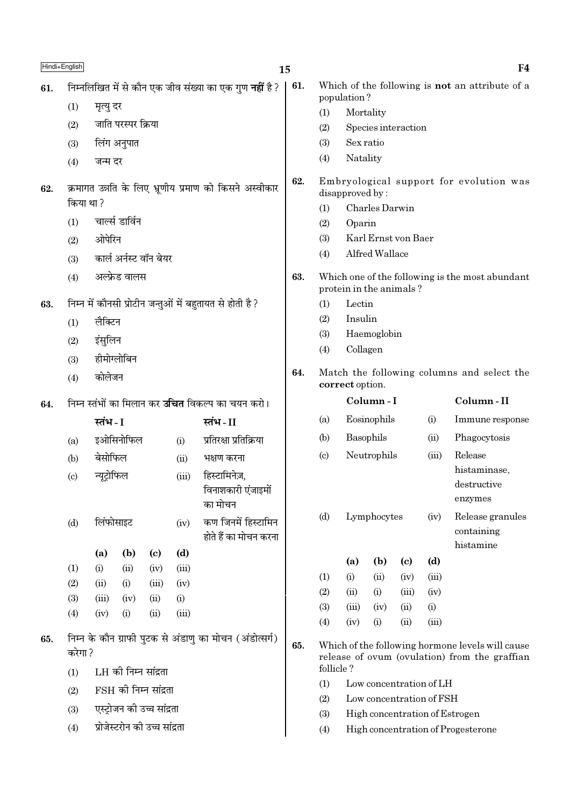|     | Hindi+English              |                                                                |                               |                            |       |                                                          | 15  |                        |                                                                       |                |                            |                 | F4                                                                                                |
|-----|----------------------------|----------------------------------------------------------------|-------------------------------|----------------------------|-------|----------------------------------------------------------|-----|------------------------|-----------------------------------------------------------------------|----------------|----------------------------|-----------------|---------------------------------------------------------------------------------------------------|
| 61. |                            | निम्नलिखित में से कौन एक जीव संख्या का एक गुण <b>नहीं</b> है ? |                               |                            |       |                                                          |     |                        | Which of the following is <b>not</b> an attribute of a<br>population? |                |                            |                 |                                                                                                   |
|     | (1)                        | मृत्यु दर                                                      |                               |                            |       |                                                          |     | (1)                    | Mortality                                                             |                |                            |                 |                                                                                                   |
|     | (2)                        |                                                                | जाति परस्पर क्रिया            |                            |       |                                                          |     | (2)                    |                                                                       |                | Species interaction        |                 |                                                                                                   |
|     | (3)                        |                                                                | लिंग अनुपात                   |                            |       |                                                          |     | (3)                    | Sex ratio                                                             |                |                            |                 |                                                                                                   |
|     | (4)                        | जन्म दर                                                        |                               |                            |       |                                                          |     | (4)                    | Natality                                                              |                |                            |                 |                                                                                                   |
| 62. | किया था?                   |                                                                |                               |                            |       | क्रमागत उन्नति के लिए भ्रूणीय प्रमाण को किसने अस्वीकार   | 62. |                        | disapproved by:                                                       |                |                            |                 | Embryological support for evolution was                                                           |
|     |                            |                                                                | चार्ल्स डार्विन               |                            |       |                                                          |     | (1)                    |                                                                       | Charles Darwin |                            |                 |                                                                                                   |
|     | (1)                        |                                                                |                               |                            |       |                                                          |     | (2)<br>(3)             | Oparin                                                                |                | Karl Ernst von Baer        |                 |                                                                                                   |
|     | (2)                        | ओपेरिन                                                         |                               |                            |       |                                                          |     | (4)                    |                                                                       | Alfred Wallace |                            |                 |                                                                                                   |
|     | (3)                        |                                                                | कार्ल अर्नस्ट वॉन बेयर        |                            |       |                                                          |     |                        |                                                                       |                |                            |                 |                                                                                                   |
|     | (4)                        |                                                                | अल्फ्रेड वालस                 |                            |       |                                                          | 63. |                        | protein in the animals?                                               |                |                            |                 | Which one of the following is the most abundant                                                   |
| 63. |                            |                                                                |                               |                            |       | निम्न में कौनसी प्रोटीन जन्तुओं में बहुतायत से होती है ? |     | (1)                    | Lectin                                                                |                |                            |                 |                                                                                                   |
|     | (1)                        | लैक्टिन                                                        |                               |                            |       |                                                          |     | (2)                    | Insulin                                                               |                |                            |                 |                                                                                                   |
|     | (2)                        | इंसुलिन                                                        |                               |                            |       |                                                          |     |                        | (3)<br>Haemoglobin                                                    |                |                            |                 |                                                                                                   |
|     | (3)                        |                                                                | हीमोग्लोबिन                   |                            |       |                                                          |     | (4)<br>Collagen        |                                                                       |                |                            |                 |                                                                                                   |
|     | (4)                        | कोलेजन                                                         |                               |                            |       |                                                          | 64. |                        | Match the following columns and select the<br>correct option.         |                |                            |                 |                                                                                                   |
| 64. |                            |                                                                |                               |                            |       | निम्न स्तंभों का मिलान कर <b>उचित</b> विकल्प का चयन करो। |     |                        | Column-I                                                              |                |                            | Column-II       |                                                                                                   |
|     |                            | स्तंभ - I                                                      |                               |                            |       | स्तंभ - II                                               |     | (a)                    | Eosinophils<br>(i)                                                    |                |                            | Immune response |                                                                                                   |
|     | (a)                        |                                                                | इओसिनोफिल                     |                            | (i)   | प्रतिरक्षा प्रतिक्रिया                                   |     | (b)                    |                                                                       | Basophils      |                            | (ii)            | Phagocytosis                                                                                      |
|     | (b)                        | बेसोफिल                                                        |                               |                            | (ii)  | भक्षण करना                                               |     | $\left( \circ \right)$ | Neutrophils<br>Release<br>(iii)                                       |                |                            |                 |                                                                                                   |
|     | $\left( \mathrm{c}\right)$ | न्यूट्रोफिल                                                    |                               |                            | (iii) | हिस्टामिनेज़,<br>विनाशकारी एंजाइमों<br>का मोचन           |     |                        |                                                                       |                |                            |                 | histaminase,<br>destructive<br>enzymes                                                            |
|     | (d)                        | लिंफोसाइट                                                      |                               |                            | (iv)  | कण जिनमें हिस्टामिन<br>होते हैं का मोचन करना             |     | (d)                    |                                                                       | Lymphocytes    |                            | (iv)            | Release granules<br>containing<br>histamine                                                       |
|     |                            | (a)                                                            | (b)                           | $\left( \mathrm{c}\right)$ | (d)   |                                                          |     |                        | (a)                                                                   | (b)            | $\left( \mathrm{c}\right)$ | (d)             |                                                                                                   |
|     | (1)                        | (i)                                                            | (ii)                          | (iv)                       | (iii) |                                                          |     | (1)                    | (i)                                                                   | (ii)           | (iv)                       | (iii)           |                                                                                                   |
|     | (2)                        | (ii)                                                           | (i)                           | (iii)                      | (iv)  |                                                          |     | (2)                    | (ii)                                                                  | (i)            | (iii)                      | (iv)            |                                                                                                   |
|     | (3)                        | (iii)                                                          | (iv)                          | (ii)                       | (i)   |                                                          |     | (3)                    | (iii)                                                                 | (iv)           | (ii)                       | (i)             |                                                                                                   |
|     | (4)                        | (iv)                                                           | (i)                           | (ii)                       | (iii) |                                                          |     | (4)                    | (iv)                                                                  | (i)            | (ii)                       | (iii)           |                                                                                                   |
| 65. | करेगा ?<br>(1)             |                                                                | LH की निम्न सांद्रता          |                            |       | निम्न के कौन ग्राफी पुटक से अंडाणु का मोचन (अंडोत्सर्ग)  | 65. | follicle?              |                                                                       |                |                            |                 | Which of the following hormone levels will cause<br>release of ovum (ovulation) from the graffian |
|     | (2)                        |                                                                | $FSH$ की निम्न सांद्रता       |                            |       |                                                          |     | (1)                    |                                                                       |                | Low concentration of LH    |                 |                                                                                                   |
|     |                            |                                                                |                               |                            |       |                                                          |     | (2)                    |                                                                       |                | Low concentration of FSH   |                 |                                                                                                   |
|     | (3)                        |                                                                | एस्ट्रोजन की उच्च सांद्रता    |                            |       |                                                          |     | (3)                    |                                                                       |                |                            |                 | High concentration of Estrogen                                                                    |
|     | (4)                        |                                                                | प्रोजेस्टरोन की उच्च सांद्रता |                            |       |                                                          |     | (4)                    |                                                                       |                |                            |                 | High concentration of Progesterone                                                                |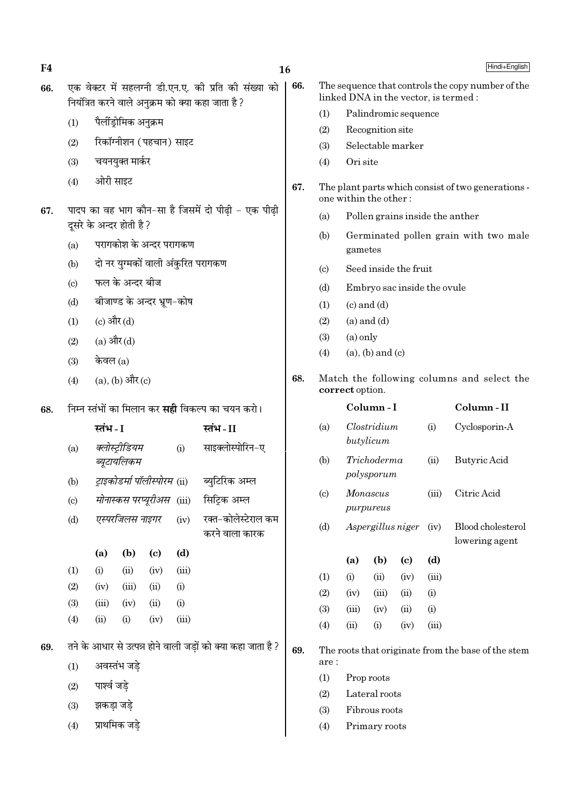एक वेक्टर में सहलग्नी डी.एन.ए. की प्रति की संख्या को 66. The sequence that controls the copy number of the 66. linked DNA in the vector, is termed : नियंत्रित करने वाले अनक्रम को क्या कहा जाता है ?  $(1)$ Palindromic sequence पैलींड़ोमिक अनुक्रम  $(1)$ Recognition site  $(2)$ रिकॉग्नीशन (पहचान) साइट  $(2)$ Selectable marker  $(3)$ चयनयक्त मार्कर  $(3)$  $(4)$ Ori site ओरी साइट  $(4)$ 67. one within the other: पादप का वह भाग कौन-सा है जिसमें दो पीढी - एक पीढी 67. Pollen grains inside the anther  $(a)$ दुसरे के अन्दर होती है ?  $(b)$ परागकोश के अन्दर परागकण  $(a)$ gametes दो नर युग्मकों वाली अंकुरित परागकण  $(b)$ Seed inside the fruit  $\left( \mathrm{c}\right)$ फल के अन्दर बीज  $(c)$  $(d)$ Embryo sac inside the ovule बीजाण्ड के अन्दर भ्रण-कोष  $(d)$  $(1)$  $(c)$  and  $(d)$ (c) और (d)  $(2)$  $(a)$  and  $(d)$  $(1)$  $(3)$  $(a)$  only (a) और  $(d)$  $(2)$  $(a)$ ,  $(b)$  and  $(c)$  $(4)$ केवल $(a)$  $(3)$ (a), (b) और (c) 68.  $(4)$ correct option. Column-II निम्न स्तंभों का मिलान कर **सही** विकल्प का चयन करो। Column-I 68.  $Clostridium$ स्तंभ - I स्तंभ-II  $(a)$  $(i)$ Cyclosporin-A butylicum क्लोस्टीडियम साइक्लोस्पोरिन-ए  $(i)$  $(a)$  $(b)$ Trichoderma **Butvric Acid**  $(ii)$ ब्युटायलिकम polysporum ट्राइकोडर्मा पॉलीस्पोरम (ii) ब्युटिरिक अम्ल  $(b)$ Monascus Citric Acid  $\left( \mathrm{c}\right)$  $(iii)$ मोनास्कस परप्यूरीअस (iii) सिटिक अम्ल  $(c)$ purpureus एस्परजिलस नाइगर रक्त-कोलेस्टेराल कम  $(iv)$  $(d)$ Aspergillus niger Blood cholesterol  $(d)$  $(iv)$ करने वाला कारक lowering agent  $(b)$  $(c)$  $(d)$  $(a)$  $\sqrt{1}$  $(iii)$  $(1)$  $(i)$  $(ii)$  $(iv)$  $(2)$  $(i)$  $(iv)$  $(iii)$  $(ii)$  $(3)$  $(iii)$  $(iv)$  $(ii)$  $(i)$  $(4)$  $(ii)$  $(i)$  $(iv)$  $(iii)$ तने के आधार से उत्पन्न होने वाली जडों को क्या कहा जाता है ? 69. 69.

अवस्तंभ जडे  $(1)$ 

 $(2)$ पार्श्व जडे

- झकडा जडे  $(3)$
- प्राथमिक जडे  $(4)$

 $16$ 

Hindi+English

The plant parts which consist of two generations -Germinated pollen grain with two male

# Match the following columns and select the

|     |     | (a) (b) (c) (d)       |                                                    |
|-----|-----|-----------------------|----------------------------------------------------|
| (1) | (i) | $(ii)$ $(iv)$         | (iii)                                              |
| (2) |     | $(iv)$ $(iii)$ $(ii)$ | (i)                                                |
| (3) |     | $(iii)$ $(iv)$ $(ii)$ | (i)                                                |
| (4) |     | $(ii)$ $(i)$ $(iv)$   | (iii)                                              |
|     |     |                       |                                                    |
|     |     |                       | The roots that originate from the base of the stem |

 $(1)$ Prop roots

are:

- $(2)$ Lateral roots
- Fibrous roots  $(3)$
- Primary roots  $(4)$

 $F<sub>4</sub>$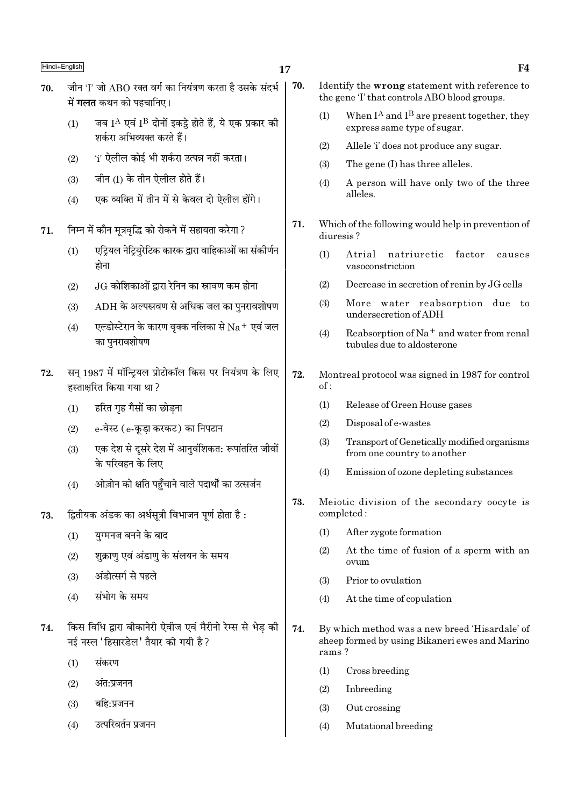- 17
- जीन 'I' जो ABO रक्त वर्ग का नियंत्रण करता है उसके संदर्भ 70. में **गलत** कथन को पहचानिए।
	- जब IA एवं IB दोनों इकट्ठे होते हैं, ये एक प्रकार की  $(1)$ शर्करा अभिव्यक्त करते हैं।
	- 'i' ऐलील कोई भी शर्करा उत्पन्न नहीं करता।  $(2)$
	- जीन (I) के तीन ऐलील होते हैं।  $(3)$
	- एक व्यक्ति में तीन में से केवल दो ऐलील होंगे।  $(4)$
- निम्न में कौन मुत्रवृद्धि को रोकने में सहायता करेगा ? 71.
	- एटियल नेटियरेटिक कारक द्वारा वाहिकाओं का संकीर्णन  $(1)$ होना
	- $JG$  कोशिकाओं द्वारा रेनिन का स्रावण कम होना  $(2)$
	- $ADH$  के अल्पस्रवण से अधिक जल का पनरावशोषण  $(3)$
	- एल्डोस्टेरान के कारण वृक्क नलिका से  $\rm Na^+$  एवं जल  $(4)$ का पनरावशोषण
- सन 1987 में मॉन्टियल प्रोटोकॉल किस पर नियंत्रण के लिए 72. हस्ताक्षरित किया गया था?
	- हरित गृह गैसों का छोडना  $(1)$
	- e-वेस्ट (e-कुडा करकट) का निपटान  $(2)$
	- एक देश से दूसरे देश में आनुवंशिकत: रूपांतरित जीवों  $(3)$ के परिवहन के लिए
	- ओज़ोन को क्षति पहुँचाने वाले पदार्थों का उत्सर्जन  $(4)$
- द्वितीयक अंडक का अर्धसूत्री विभाजन पूर्ण होता है : 73.
	- यग्मनज बनने के बाद  $(1)$
	- शुक्राण एवं अंडाण के संलयन के समय  $(2)$
	- अंडोत्सर्ग से पहले  $(3)$
	- संभोग के समय  $(4)$
- किस विधि द्वारा बीकानेरी ऐवीज एवं मैरीनो रेम्स से भेड की 74. नई नस्ल 'हिसारडेल' तैयार की गयी है ?
	- संकरण  $(1)$
	- अंत:प्रजनन  $(2)$
	- बहि:प्रजनन  $(3)$
	- उत्परिवर्तन प्रजनन  $(4)$
- 70. Identify the wrong statement with reference to the gene T that controls ABO blood groups.
	- When  $I^A$  and  $I^B$  are present together, they  $(1)$ express same type of sugar.
	- $(2)$ Allele 'i' does not produce any sugar.
	- The gene (I) has three alleles.  $(3)$
	- A person will have only two of the three  $(4)$ alleles.
- 71. Which of the following would help in prevention of diuresis?
	- $(1)$ Atrial natriuretic factor causes vasoconstriction
	- $(2)$ Decrease in secretion of renin by JG cells
	- More water reabsorption due to  $(3)$ undersecretion of ADH
	- Reabsorption of  $Na<sup>+</sup>$  and water from renal  $(4)$ tubules due to aldosterone
- 72. Montreal protocol was signed in 1987 for control  $of:$ 
	- $(1)$ Release of Green House gases
	- $(2)$ Disposal of e-wastes
	- Transport of Genetically modified organisms  $(3)$ from one country to another
	- Emission of ozone depleting substances  $(4)$
- 73. Meiotic division of the secondary oocyte is completed:
	- $(1)$ After zygote formation
	- At the time of fusion of a sperm with an  $(2)$ ovum
	- $(3)$ Prior to ovulation
	- $(4)$ At the time of copulation
- 74. By which method was a new breed 'Hisardale' of sheep formed by using Bikaneri ewes and Marino rams?
	- $(1)$ Cross breeding
	- $(2)$ Inbreeding
	- $(3)$ Out crossing
	- $(4)$ Mutational breeding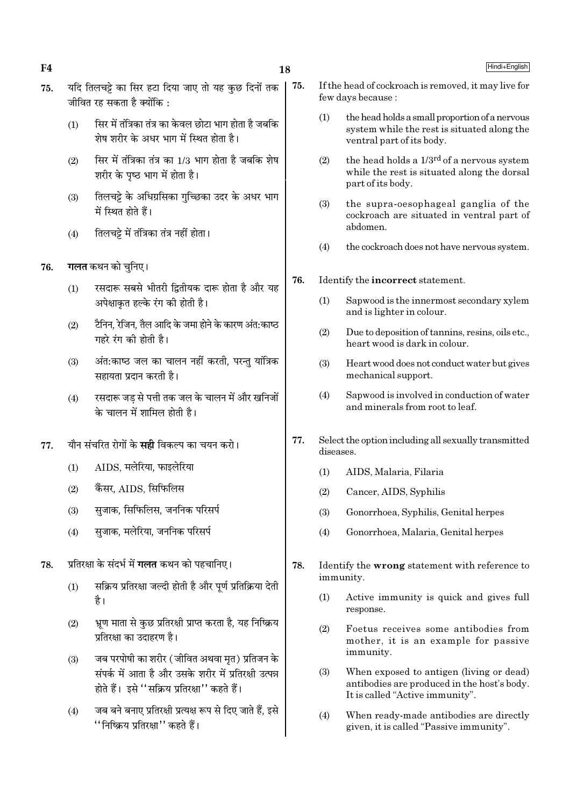18

75.

- यदि तिलचट्टे का सिर हटा दिया जाए तो यह कछ दिनों तक 75. जीवित रह सकता है क्योंकि $\cdot$ 
	- सिर में तंत्रिका तंत्र का केवल छोटा भाग होता है जबकि  $(1)$ शेष शरीर के अधर भाग में स्थित होता है।
	- सिर में तंत्रिका तंत्र का 1/3 भाग होता है जबकि शेष  $(2)$ शरीर के पृष्ठ भाग में होता है।
	- तिलचट्टे के अधिग्रसिका गुच्छिका उदर के अधर भाग  $(3)$ में स्थित होते हैं।
	- तिलचट्टे में तंत्रिका तंत्र नहीं होता।  $(4)$
- **गलत** कथन को चुनिए। 76.
	- रसदारू सबसे भीतरी द्वितीयक दारू होता है और यह  $(1)$ अपेक्षाकृत हल्के रंग की होती है।
	- टैनिन, रेजिन, तैल आदि के जमा होने के कारण अंत:काष्ठ  $(2)$ गहरे रंग की होती है।
	- अंत:काष्ठ जल का चालन नहीं करती, परन्तु यांत्रिक  $(3)$ सहायता प्रदान करती है।
	- रसदारू जड से पत्ती तक जल के चालन में और खनिजों  $(4)$ के चालन में शामिल होती है।
- यौन संचरित रोगों के **सही** विकल्प का चयन करो। 77.
	- AIDS. मलेरिया. फाइलेरिया  $(1)$
	- कैंसर, AIDS, सिफिलिस  $(2)$
	- सजाक. सिफिलिस. जननिक परिसर्प  $(3)$
	- सजाक. मलेरिया. जननिक परिसर्प  $(4)$
- प्रतिरक्षा के संदर्भ में **गलत** कथन को पहचानिए। 78.
	- सक्रिय प्रतिरक्षा जल्दी होती है और पूर्ण प्रतिक्रिया देती  $(1)$ है।
	- भ्रूण माता से कुछ प्रतिरक्षी प्राप्त करता है, यह निष्क्रिय  $(2)$ प्रतिरक्षा का उदाहरण है।
	- जब परपोषी का शरीर (जीवित अथवा मृत) प्रतिजन के  $(3)$ संपर्क में आता है और उसके शरीर में प्रतिरक्षी उत्पन्न होते हैं। इसे ''सक्रिय प्रतिरक्षा'' कहते हैं।
	- जब बने बनाए प्रतिरक्षी प्रत्यक्ष रूप से दिए जाते हैं, इसे  $(4)$ ''निष्क्रिय प्रतिरक्षा'' कहते हैं।
- If the head of cockroach is removed, it may live for few days because:
	- the head holds a small proportion of a nervous  $(1)$ system while the rest is situated along the ventral part of its body.
	- the head holds a 1/3<sup>rd</sup> of a nervous system  $(2)$ while the rest is situated along the dorsal part of its body.
	- $(3)$ the supra-oesophageal ganglia of the cockroach are situated in ventral part of abdomen.
	- the cockroach does not have nervous system.  $(4)$
- 76. Identify the incorrect statement.
	- Sapwood is the innermost secondary xylem  $(1)$ and is lighter in colour.
	- $(2)$ Due to deposition of tannins, resins, oils etc., heart wood is dark in colour.
	- Heart wood does not conduct water but gives  $(3)$ mechanical support.
	- $(4)$ Sapwood is involved in conduction of water and minerals from root to leaf
- 77. Select the option including all sexually transmitted diseases.
	- $(1)$ AIDS, Malaria, Filaria
	- $(2)$ Cancer, AIDS, Syphilis
	- $(3)$ Gonorrhoea, Syphilis, Genital herpes
	- $(4)$ Gonorrhoea, Malaria, Genital herpes
- 78. Identify the wrong statement with reference to immunity.
	- Active immunity is quick and gives full  $(1)$ response.
	- $(2)$ Foetus receives some antibodies from mother, it is an example for passive immunity.
	- When exposed to antigen (living or dead)  $(3)$ antibodies are produced in the host's body. It is called "Active immunity".
	- $(4)$ When ready-made antibodies are directly given, it is called "Passive immunity".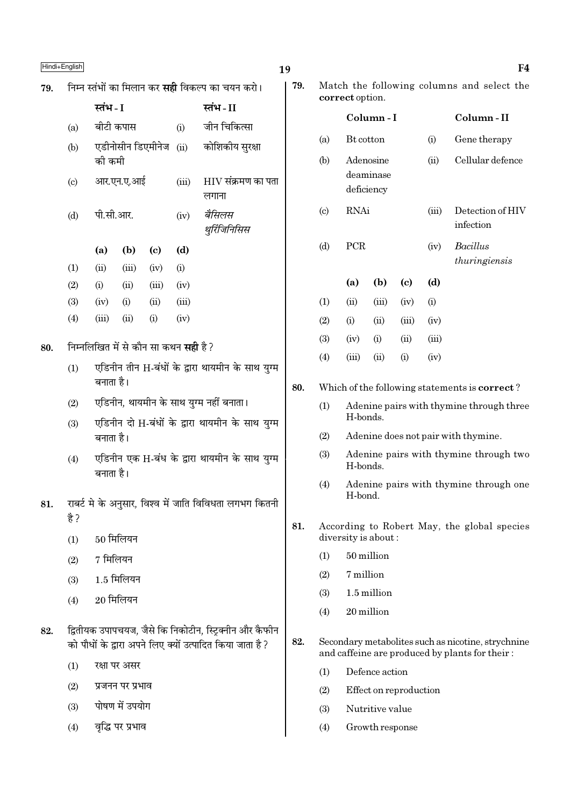# $\blacksquare$ Hindi+English  $\blacksquare$

| 79. |  |  |  | निम्न स्तंभों का मिलान कर <b>सही</b> विकल्प का चयन करो। |  |  |
|-----|--|--|--|---------------------------------------------------------|--|--|

|                             | स्तंभ - I |            |                   |       | स्तंभ - II                        |
|-----------------------------|-----------|------------|-------------------|-------|-----------------------------------|
| $\left(\mathrm{a}\right)$   | बीटी कपास |            |                   | (i)   | जीन चिकित्सा                      |
| (b)                         | की कमी    |            | एडीनोसीन डिएमीनेज |       | (ii) कोशिकीय सुरक्षा              |
| $\left( \mathrm{c} \right)$ |           | आर.एन.ए.आई |                   | (iii) | $\rm HIV$ संक्रमण का पता<br>लगाना |
| (d)                         | पी.सी.आर. |            |                   | (iv)  | बैसिलस<br>थुरिंजिनिसिस            |
|                             | (a)       | (b)        | (c)               | (d)   |                                   |
| $\left(1\right)$            | (ii)      | (iii)      | (iv)              | (i)   |                                   |
| (2)                         | (i)       | (ii)       | (iii)             | (iv)  |                                   |
| (3)                         | (iv)      | (i)        | (ii)              | (iii) |                                   |
| (4)                         | (iii)     | (ii)       | (i)               | (iv)  |                                   |

- 80. निम्नलिखित में से कौन सा कथन सही है ?
	- $(1)$  एडिनीन तीन H-बंधों के द्वारा थायमीन के साथ युग्म बनाता है।
	- (2) एडिनीन, थायमीन के साथ युग्म नहीं बनाता।
	- (3) एडिनीन दो H-बंधों के द्वारा थायमीन के साथ युग्म बनाता है।
	- (4) एडिनीन एक H-बंध के द्वारा थायमीन के साथ युग्म बनाता है।
- $81.$   $\sqrt{7}$  राबर्ट मे के अनुसार, विश्व में जाति विविधता लगभग कितनी है ?
	- $(1)$  50 मिलियन
	- $(2)$  7 मिलियन
	- $(3)$  1.5 मिलियन
	- $(4)$  20 मिलियन
- 82. द्वितीयक उपापचयज, जैसे कि निकोटीन, स्ट्रिक्नीन और कैफीन को पौधों के द्रारा अपने लिए क्यों उत्पादित किया जाता है ?
	- $(1)$   $\sqrt{3}$   $\sqrt{4}$   $\sqrt{1}$   $\sqrt{2}$
	- $(2)$  प्रजनन पर प्रभाव
	- $(3)$  पोषण में उपयोग
	- $(4)$  वृद्धि पर प्रभाव

| 79. |                 | Match the following columns and select the |  |  |
|-----|-----------------|--------------------------------------------|--|--|
|     | correct option. |                                            |  |  |

|                             |                                      | Column - I |                            |       | Column-II                     |
|-----------------------------|--------------------------------------|------------|----------------------------|-------|-------------------------------|
| (a)                         | Bt cotton                            |            |                            | (i)   | Gene therapy                  |
| (b)                         | Adenosine<br>deaminase<br>deficiency |            |                            | (ii)  | Cellular defence              |
| $\left( \mathrm{c} \right)$ | RNAi                                 |            |                            | (iii) | Detection of HIV<br>infection |
| (d)                         | PCR                                  |            |                            | (iv)  | Bacillus<br>thuringiensis     |
|                             | (a)                                  | (b)        | $\left( \mathrm{e}\right)$ | (d)   |                               |
| (1)                         | (ii)                                 | (iii)      | (iv)                       | (i)   |                               |
| (2)                         | (i)                                  | (ii)       | (iii)                      | (iv)  |                               |
| (3)                         | (iv)                                 | (i)        | (ii)                       | (iii) |                               |
| (4)                         | (iii)                                | (ii)       | (i)                        | (iv)  |                               |
|                             |                                      |            |                            |       |                               |

### 80. Which of the following statements is correct ?

- (1) Adenine pairs with thymine through three H-bonds.
- (2) Adenine does not pair with thymine.
- (3) Adenine pairs with thymine through two H-bonds.
- (4) Adenine pairs with thymine through one H-bond.
- 81. According to Robert May, the global species diversity is about :
	- (1) 50 million
	- (2) 7 million
	- (3) 1.5 million
	- (4) 20 million
- 82. Secondary metabolites such as nicotine, strychnine and caffeine are produced by plants for their :
	- (1) Defence action
	- (2) Effect on reproduction
	- (3) Nutritive value
	- (4) Growth response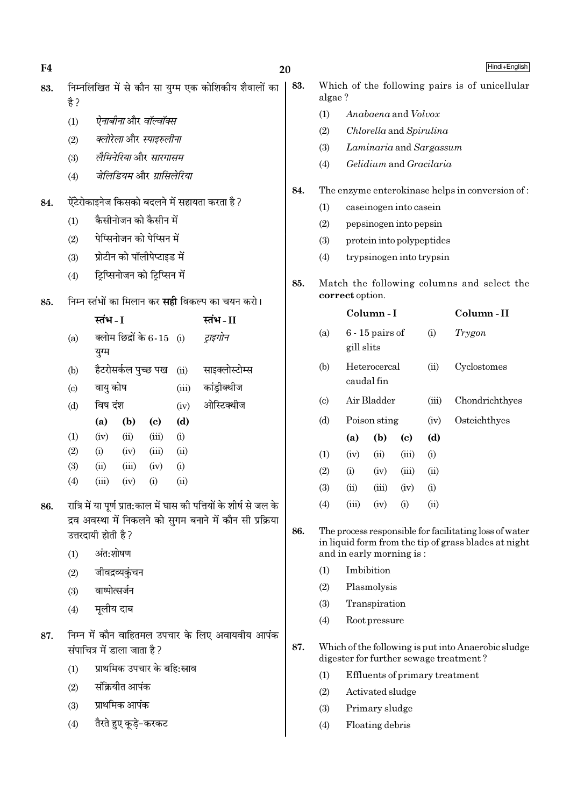$F<sub>4</sub>$ 

20

Hindi+English

- निम्नलिखित में से कौन सा यग्म एक कोशिकीय शैवालों का 83.  $\frac{4}{5}$ 
	- ऐनाबीनाओर वॉल्वॉक्स  $(1)$
	- क्लोरेला और स्पाइरुलीना  $(2)$
	- लैमिनेरिया और सारगासम  $(3)$
	- जेलिडियम और गामिलेरिया  $(4)$
- ऐंटेरोकाइनेज किसको बदलने में सहायता करता है ? 84.
	- कैसीनोजन को कैसीन में  $(1)$
	- पेप्सिनोजन को पेप्सिन में  $(2)$
	- प्रोटीन को पॉलीपेप्टाइड में  $(3)$
	- ट्रिप्सिनोजन को ट्रिप्सिन में  $(4)$

#### निम्न स्तंभों का मिलान कर **सद्दी** विकल्प का चयन करो। 85.

|                           | स्तंभ - I |                               |                            |       | स्तंभ - II     |
|---------------------------|-----------|-------------------------------|----------------------------|-------|----------------|
| (a)                       |           | क्लोम छिद्रों के $6$ - $15\,$ |                            | (i)   | ट्राइगोन       |
|                           | युग्म     |                               |                            |       |                |
| (b)                       |           | हैटरोसर्कल पुच्छ पख           |                            | (ii)  | साइक्लोस्टोम्स |
| $\left( \text{c} \right)$ | वायु कोष  |                               |                            | (iii) | कांड्रीक्थीज   |
| (d)                       | विष दंश   |                               |                            | (iv)  | ओस्टिक्थीज     |
|                           | (a)       | (b)                           | $\left( \mathrm{e}\right)$ | (d)   |                |
| (1)                       | (iv)      | (ii)                          | (iii)                      | (i)   |                |
| (2)                       | (i)       | (iv)                          | (iii)                      | (ii)  |                |
| (3)                       | (ii)      | (iii)                         | (iv)                       | (i)   |                |
| (4)                       | (iii)     | (iv)                          | $\rm(i)$                   | (ii)  |                |
|                           |           |                               |                            |       |                |

- रात्रि में या पूर्ण प्रात:काल में घास की पत्तियों के शीर्ष से जल के 86. द्रव अवस्था में निकलने को सगम बनाने में कौन सी प्रक्रिया उत्तरदायी होती है ?
	- अंत:शोषण  $(1)$
	- जीवद्रव्यकंचन  $(2)$
	- वाष्पोत्सर्जन  $(3)$
	- मूलीय दाब  $(4)$
- निम्न में कौन वाहितमल उपचार के लिए अवायवीय आपंक 87 संपाचित्र में डाला जाता है ?
	- प्राथमिक उपचार के बहि:स्राव  $(1)$
	- संक्रियीत आपंक  $(2)$
	- प्राथमिक आपंक  $(3)$
	- तैरते हुए कुडे-करकट  $(4)$
- 83. Which of the following pairs is of unicellular algae?
	- Anahaena and Volvox  $(1)$
	- Chlorella and Spirulina  $(2)$
	- Laminaria and Sargassum  $(3)$
	- Gelidium and Gracilaria  $(4)$
- 84. The enzyme enterokinase helps in conversion of:
	- caseinogen into casein  $(1)$
	- $(2)$ pepsinogen into pepsin
	- $(3)$ protein into polypeptides
	- $(4)$ trypsinogen into trypsin

85. Match the following columns and select the correct option.

|                            |            | Column - I                 |          |            | Column-II      |
|----------------------------|------------|----------------------------|----------|------------|----------------|
| (a)                        | gill slits | $6 - 15$ pairs of          |          | (i)        | Trygon         |
| (b)                        |            | Heterocercal<br>caudal fin |          | (ii)       | Cyclostomes    |
| $\left( \mathrm{c}\right)$ |            | Air Bladder                |          | (iii)      | Chondrichthyes |
| (d)                        |            | Poison sting               |          | (iv)       | Osteichthyes   |
|                            | (a)        | (b)                        | (c)      | (d)        |                |
| (1)                        | (iv)       | (ii)                       | (iii)    | (i)        |                |
| (2)                        | (i)        | (iv)                       | (iii)    | (ii)       |                |
| (3)                        | (ii)       | (iii)                      | (iv)     | (i)        |                |
| (4)                        | (iii)      | (iv)                       | $\rm(i)$ | $\rm (ii)$ |                |
|                            |            |                            |          |            |                |

86. The process responsible for facilitating loss of water in liquid form from the tip of grass blades at night and in early morning is:

- Imbibition  $(1)$
- $(2)$ Plasmolysis
- $(3)$ Transpiration
- $(4)$ Root pressure
- 87. Which of the following is put into Anaerobic sludge digester for further sewage treatment?
	- $(1)$ Effluents of primary treatment
	- $(2)$ Activated sludge
	- $(3)$ Primary sludge
	- $(4)$ Floating debris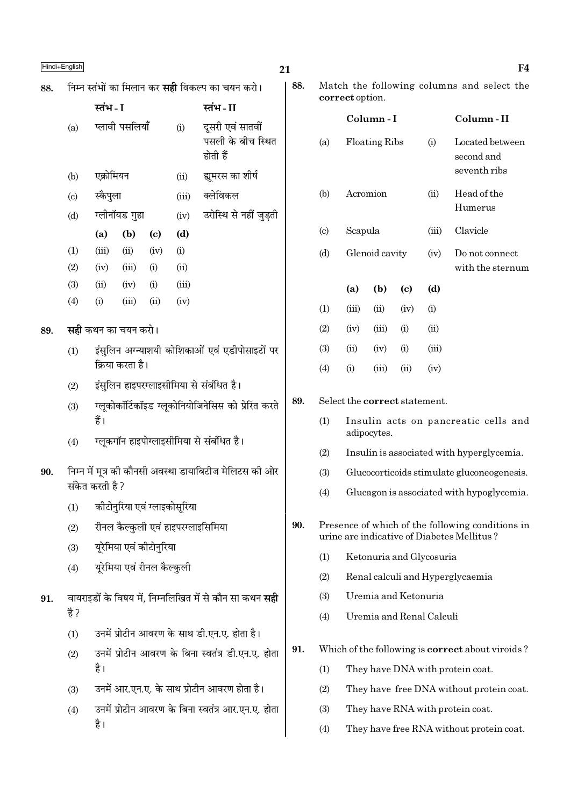|     | Hindi+English             |                       |                            |                                                   |                              |                                                                | 21  |                                                                                                |                                                          |                      |                                            |                                          | F4                                                      |
|-----|---------------------------|-----------------------|----------------------------|---------------------------------------------------|------------------------------|----------------------------------------------------------------|-----|------------------------------------------------------------------------------------------------|----------------------------------------------------------|----------------------|--------------------------------------------|------------------------------------------|---------------------------------------------------------|
| 88. |                           |                       |                            |                                                   |                              | निम्न स्तंभों का मिलान कर <b>सही</b> विकल्प का चयन करो।        | 88. |                                                                                                |                                                          |                      |                                            |                                          | Match the following columns and select the              |
|     |                           | स्तंभ - I             |                            |                                                   |                              | स्तंभ - II                                                     |     |                                                                                                | correct option.                                          |                      |                                            |                                          |                                                         |
|     | (a)                       | प्लावी पसलियाँ<br>(i) |                            | दूसरी एवं सातवीं<br>पसली के बीच स्थित<br>होती हैं |                              | (a)                                                            |     | Column-I<br><b>Floating Ribs</b>                                                               |                                                          | (i)                  | Column-II<br>Located between<br>second and |                                          |                                                         |
|     | (b)                       |                       | एक्रोमियन<br>(ii)          |                                                   | ह्यमरस का शीर्ष              |                                                                |     |                                                                                                |                                                          |                      | seventh ribs                               |                                          |                                                         |
|     | $\left( \text{c} \right)$ | स्कैपुला              |                            |                                                   | (iii)                        | क्लेविकल                                                       |     | (b)                                                                                            | Acromion                                                 |                      | (ii)                                       | Head of the                              |                                                         |
|     | (d)                       |                       | ग्लीनॉयड गुहा              |                                                   | (iv)                         | उरोस्थि से नहीं जुड़ती                                         |     |                                                                                                |                                                          |                      |                                            | Humerus                                  |                                                         |
|     |                           | (a)                   | (b)                        | $\left( \mathbf{c} \right)$                       | (d)                          |                                                                |     | $\left( \circ \right)$                                                                         | Scapula                                                  |                      |                                            | (iii)                                    | Clavicle                                                |
|     | (1)                       | (iii)                 | (ii)                       | (iv)                                              | (i)                          |                                                                |     | (d)                                                                                            |                                                          | Glenoid cavity       |                                            | (iv)                                     | Do not connect                                          |
|     | (2)<br>(3)                | (iv)<br>(ii)          | (iii)<br>(iv)              | (i)<br>(i)                                        | (ii)<br>(iii)                |                                                                |     |                                                                                                |                                                          |                      |                                            |                                          | with the sternum                                        |
|     | (4)                       | (i)                   | (iii)                      | (ii)                                              | (iv)                         |                                                                |     |                                                                                                | (a)                                                      | (b)                  | $\left( \mathbf{c} \right)$                | (d)                                      |                                                         |
|     |                           |                       | <b>सही</b> कथन का चयन करो। |                                                   |                              |                                                                |     | (1)<br>(2)                                                                                     | (iii)<br>(iv)                                            | (ii)<br>(iii)        | (iv)<br>(i)                                | (i)<br>(ii)                              |                                                         |
| 89. |                           |                       |                            |                                                   |                              |                                                                |     | (3)                                                                                            | (ii)                                                     | (iv)                 | (i)                                        | (iii)                                    |                                                         |
|     | (1)                       |                       | क्रिया करता है।            |                                                   |                              | इंसुलिन अग्न्याशयी कोशिकाओं एवं एडीपोसाइटों पर                 |     | (4)                                                                                            | (i)                                                      | (iii)                | (ii)                                       | (iv)                                     |                                                         |
|     | (2)                       |                       |                            |                                                   |                              | इंसुलिन हाइपरग्लाइसीमिया से संबंधित है।                        |     |                                                                                                |                                                          |                      |                                            |                                          |                                                         |
|     | (3)                       |                       |                            |                                                   |                              | ग्लूकोकॉर्टिकॉइड ग्लूकोनियोजिनेसिस को प्रेरित करते             | 89. |                                                                                                |                                                          |                      |                                            | Select the correct statement.            |                                                         |
|     |                           | हैं।                  |                            |                                                   |                              |                                                                |     | (1)                                                                                            |                                                          |                      |                                            |                                          | Insulin acts on pancreatic cells and                    |
|     | (4)                       |                       |                            |                                                   |                              | ग्लूकगॉन हाइपोग्लाइसीमिया से संबंधित है।                       |     | (2)                                                                                            | adipocytes.<br>Insulin is associated with hyperglycemia. |                      |                                            |                                          |                                                         |
| 90. |                           |                       |                            |                                                   |                              | निम्न में मूत्र को कौनसी अवस्था डायाबिटीज मेलिटस की ओर         |     | (3)                                                                                            | Glucocorticoids stimulate gluconeogenesis.               |                      |                                            |                                          |                                                         |
|     |                           | संकेत करती है ?       |                            |                                                   |                              |                                                                |     | Glucagon is associated with hypoglycemia.<br>(4)                                               |                                                          |                      |                                            |                                          |                                                         |
|     | (1)                       |                       |                            |                                                   | कीटोनुरिया एवं ग्लाइकोसुरिया |                                                                |     |                                                                                                |                                                          |                      |                                            |                                          |                                                         |
|     | (2)                       |                       |                            |                                                   |                              | रीनल कैल्कुली एवं हाइपरग्लाइसिमिया                             | 90. | Presence of which of the following conditions in<br>urine are indicative of Diabetes Mellitus? |                                                          |                      |                                            |                                          |                                                         |
|     | (3)                       |                       | यूरेमिया एवं कीटोनुरिया    |                                                   |                              |                                                                |     | (1)                                                                                            |                                                          |                      |                                            | Ketonuria and Glycosuria                 |                                                         |
|     | (4)                       |                       | यूरेमिया एवं रीनल कैल्कुली |                                                   |                              |                                                                |     | (2)                                                                                            |                                                          |                      |                                            |                                          | Renal calculi and Hyperglycaemia                        |
|     |                           |                       |                            |                                                   |                              | वायराइडों के विषय में, निम्नलिखित में से कौन सा कथन <b>सही</b> |     | (3)                                                                                            |                                                          | Uremia and Ketonuria |                                            |                                          |                                                         |
| 91. | है ?                      |                       |                            |                                                   |                              |                                                                |     | (4)                                                                                            |                                                          |                      |                                            | Uremia and Renal Calculi                 |                                                         |
|     | (1)                       |                       |                            |                                                   |                              | उनमें प्रोटीन आवरण के साथ डी.एन.ए. होता है।                    |     |                                                                                                |                                                          |                      |                                            |                                          |                                                         |
|     | (2)                       |                       |                            |                                                   |                              | उनमें प्रोटीन आवरण के बिना स्वतंत्र डी.एन.ए. होता              | 91. |                                                                                                |                                                          |                      |                                            |                                          | Which of the following is <b>correct</b> about viroids? |
|     |                           | है।                   |                            |                                                   |                              |                                                                |     | (1)                                                                                            | They have DNA with protein coat.                         |                      |                                            |                                          |                                                         |
|     | (3)                       |                       |                            |                                                   |                              | उनमें आर.एन.ए. के साथ प्रोटीन आवरण होता है।                    |     | (2)                                                                                            | They have free DNA without protein coat.                 |                      |                                            |                                          |                                                         |
|     | (4)                       |                       |                            |                                                   |                              | उनमें प्रोटीन आवरण के बिना स्वतंत्र आर.एन.ए. होता              |     | (3)                                                                                            | They have RNA with protein coat.                         |                      |                                            |                                          |                                                         |
|     | है।                       |                       |                            |                                                   |                              |                                                                | (4) |                                                                                                |                                                          |                      |                                            | They have free RNA without protein coat. |                                                         |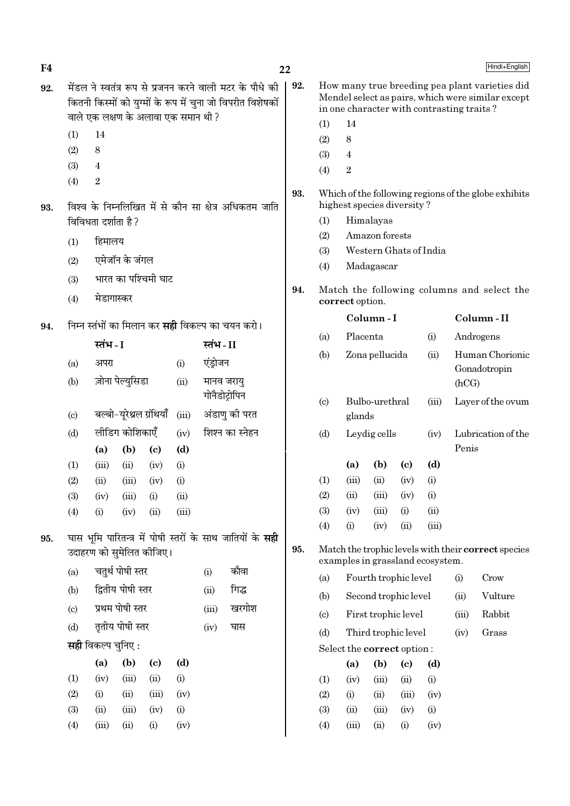| F4  |                                                          |                                                         |                   |                                     |                 |          |                                                             | 22  |                                                                                    |                                            |                        |                            |                                           |                    | Hindi+English                                       |
|-----|----------------------------------------------------------|---------------------------------------------------------|-------------------|-------------------------------------|-----------------|----------|-------------------------------------------------------------|-----|------------------------------------------------------------------------------------|--------------------------------------------|------------------------|----------------------------|-------------------------------------------|--------------------|-----------------------------------------------------|
| 92. | मेंडल ने स्वतंत्र रूप से प्रजनन करने वाली मटर के पौधे की |                                                         |                   |                                     |                 |          |                                                             | 92. |                                                                                    |                                            |                        |                            |                                           |                    | How many true breeding pea plant varieties did      |
|     |                                                          |                                                         |                   |                                     |                 |          | कितनी किस्मों को युग्मों के रूप में चुना जो विपरीत विशेषकों |     |                                                                                    |                                            |                        |                            | in one character with contrasting traits? |                    | Mendel select as pairs, which were similar except   |
|     |                                                          |                                                         |                   | वाले एक लक्षण के अलावा एक समान थी ? |                 |          |                                                             |     | (1)                                                                                | 14                                         |                        |                            |                                           |                    |                                                     |
|     | (1)                                                      | 14                                                      |                   |                                     |                 |          |                                                             |     | (2)                                                                                | $\,8\,$                                    |                        |                            |                                           |                    |                                                     |
|     | (2)                                                      | 8                                                       |                   |                                     |                 |          |                                                             |     | (3)                                                                                | $\overline{4}$                             |                        |                            |                                           |                    |                                                     |
|     | (3)                                                      | $\overline{4}$                                          |                   |                                     |                 |          |                                                             |     | (4)                                                                                | $\,2$                                      |                        |                            |                                           |                    |                                                     |
|     | $\boldsymbol{2}$<br>(4)                                  |                                                         |                   |                                     |                 |          |                                                             | 93. |                                                                                    |                                            |                        |                            |                                           |                    |                                                     |
| 93. |                                                          |                                                         |                   |                                     |                 |          | विश्व के निम्नलिखित में से कौन सा क्षेत्र अधिकतम जाति       |     | Which of the following regions of the globe exhibits<br>highest species diversity? |                                            |                        |                            |                                           |                    |                                                     |
|     |                                                          | विविधता दर्शाता है?                                     |                   |                                     |                 |          |                                                             |     | (1)                                                                                |                                            | Himalayas              |                            |                                           |                    |                                                     |
|     | (1)                                                      | हिमालय                                                  |                   |                                     |                 |          |                                                             |     | Amazon forests<br>(2)                                                              |                                            |                        |                            |                                           |                    |                                                     |
|     | (2)                                                      |                                                         | एमेजॉन के जंगल    |                                     |                 |          |                                                             |     | (3)                                                                                |                                            | Western Ghats of India |                            |                                           |                    |                                                     |
|     |                                                          | भारत का पश्चिमी घाट<br>(3)                              |                   |                                     |                 |          |                                                             |     | (4)                                                                                |                                            | Madagascar             |                            |                                           |                    |                                                     |
|     | (4)                                                      | मेडागास्कर                                              |                   |                                     |                 |          |                                                             | 94. |                                                                                    | correct option.                            |                        |                            |                                           |                    | Match the following columns and select the          |
|     |                                                          | निम्न स्तंभों का मिलान कर <b>सही</b> विकल्प का चयन करो। |                   |                                     |                 |          |                                                             |     |                                                                                    |                                            | Column-I               |                            |                                           |                    | Column-II                                           |
| 94. |                                                          |                                                         |                   |                                     | स्तंभ-II        |          |                                                             | (a) |                                                                                    | Placenta                                   |                        | (i)                        |                                           | Androgens          |                                                     |
|     |                                                          | स्तंभ - I                                               |                   |                                     |                 |          |                                                             | (b) |                                                                                    | Zona pellucida                             |                        | (ii)                       |                                           | Human Chorionic    |                                                     |
|     | (a)                                                      | अपरा                                                    |                   |                                     | (i)             | एंड्रोजन |                                                             |     |                                                                                    |                                            |                        |                            |                                           |                    | Gonadotropin                                        |
|     | (b)                                                      |                                                         | ज़ोना पेल्युसिडा  |                                     | (ii)            |          | मानव जरायु<br>गोनैडोट्रोपिन                                 |     |                                                                                    |                                            |                        |                            |                                           | (hCG)              |                                                     |
|     | $\left( \text{c} \right)$                                |                                                         |                   | बल्बो-यूरेथ्रल ग्रंथियाँ            | (iii)           |          | अंडाणु की परत                                               |     | $\left( \mathrm{c}\right)$                                                         | glands                                     | Bulbo-urethral         |                            | (iii)                                     |                    | Layer of the ovum                                   |
|     | (d)                                                      | लीडिग कोशिकाएँ<br>(iv)                                  |                   |                                     | शिश्न का स्नेहन |          |                                                             | (d) |                                                                                    | Leydig cells                               |                        | (iv)                       |                                           | Lubrication of the |                                                     |
|     |                                                          | (d)<br>(a)<br>(b)<br>$\left( \mathrm{c}\right)$         |                   |                                     |                 |          |                                                             |     | Penis                                                                              |                                            |                        |                            |                                           |                    |                                                     |
|     | (1)                                                      | (iii)                                                   | (ii)              | (iv)                                | (i)             |          |                                                             |     |                                                                                    | (a)                                        | (b)                    | $\left( \mathrm{c}\right)$ | (d)                                       |                    |                                                     |
|     | (2)                                                      | (ii)                                                    | (iii)             | (iv)                                | (i)             |          |                                                             |     | (1)                                                                                | (iii)                                      | (ii)                   | (iv)                       | (i)                                       |                    |                                                     |
|     | (3)                                                      | (iv)                                                    | (iii)             | (i)                                 | (ii)            |          |                                                             |     | (2)                                                                                | (ii)                                       | (iii)                  | (iv)                       | (i)                                       |                    |                                                     |
|     | (4)                                                      | (i)                                                     | (iv)              | (ii)                                | (iii)           |          |                                                             |     | (3)                                                                                | (iv)                                       | (iii)                  | (i)                        | (ii)                                      |                    |                                                     |
| 95. |                                                          |                                                         |                   |                                     |                 |          | घास भूमि पारितन्त्र में पोषी स्तरों के साथ जातियों के सही   |     | (4)                                                                                | (i)                                        | (iv)                   | (ii)                       | (iii)                                     |                    |                                                     |
|     |                                                          |                                                         |                   | उदाहरण को सुमेलित कीजिए।            |                 |          |                                                             | 95. |                                                                                    |                                            |                        |                            | examples in grassland ecosystem.          |                    | Match the trophic levels with their correct species |
|     | (a)                                                      |                                                         | चतुर्थ पोषी स्तर  |                                     |                 | (i)      | कौवा                                                        |     | (a)                                                                                |                                            | Fourth trophic level   |                            |                                           | (i)                | Crow                                                |
|     | (b)                                                      |                                                         | द्वितीय पोषी स्तर |                                     |                 | (ii)     | गिद्ध                                                       |     | (b)                                                                                |                                            | Second trophic level   |                            |                                           | (ii)               | Vulture                                             |
|     | (c)                                                      |                                                         | प्रथम पोषी स्तर   |                                     |                 | (iii)    | खरगोश                                                       |     | $\left( \mathrm{c}\right)$                                                         |                                            |                        |                            |                                           | (iii)              | Rabbit                                              |
|     | (d)                                                      |                                                         | तृतीय पोषी स्तर   |                                     |                 | (iv)     | घास                                                         |     | (d)                                                                                | First trophic level<br>Third trophic level |                        | Grass                      |                                           |                    |                                                     |
|     |                                                          | सही विकल्प चुनिए :                                      |                   |                                     |                 |          |                                                             |     |                                                                                    | Select the correct option:                 |                        |                            |                                           | (iv)               |                                                     |
|     |                                                          | (a)                                                     | (b)               | $\left( \mathbf{c} \right)$         | (d)             |          |                                                             |     |                                                                                    | (a)                                        | (b)                    | $\left( \mathrm{c}\right)$ | (d)                                       |                    |                                                     |
|     | (1)                                                      | (iv)                                                    | (iii)             | (ii)                                | (i)             |          |                                                             |     | (1)                                                                                | (iv)                                       | (iii)                  | (ii)                       | (i)                                       |                    |                                                     |
|     | (2)                                                      | (i)                                                     | (ii)              | (iii)                               | (iv)            |          |                                                             |     | (2)                                                                                | (i)                                        | (ii)                   | (iii)                      | (iv)                                      |                    |                                                     |
|     | (3)                                                      | (ii)                                                    | (iii)             | (iv)                                | (i)             |          |                                                             |     | (3)                                                                                | (ii)                                       | (iii)                  | (iv)                       | (i)                                       |                    |                                                     |
|     | (4)                                                      | (iii)                                                   | (ii)              | (i)                                 | (iv)            |          |                                                             |     | (4)                                                                                | (iii)                                      | (ii)                   | (i)                        | (iv)                                      |                    |                                                     |
|     |                                                          |                                                         |                   |                                     |                 |          |                                                             |     |                                                                                    |                                            |                        |                            |                                           |                    |                                                     |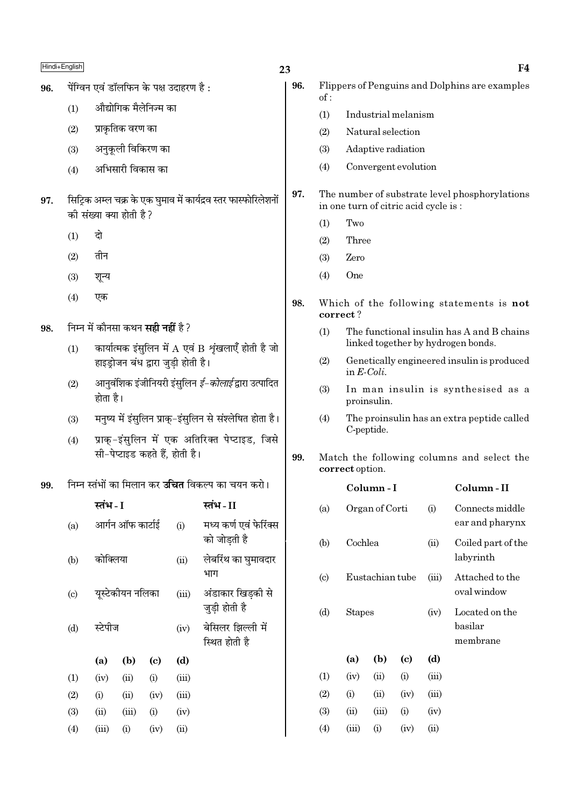| Hindi+English |                                                                                                       |                                                                               |                                     |                       |                                         |                                                                 | 23                    |                                                                                        |                                       |                                      |      |                                    | F4                                             |
|---------------|-------------------------------------------------------------------------------------------------------|-------------------------------------------------------------------------------|-------------------------------------|-----------------------|-----------------------------------------|-----------------------------------------------------------------|-----------------------|----------------------------------------------------------------------------------------|---------------------------------------|--------------------------------------|------|------------------------------------|------------------------------------------------|
| 96.           |                                                                                                       |                                                                               |                                     |                       | पेंग्विन एवं डॉलफिन के पक्ष उदाहरण है : |                                                                 | 96.                   |                                                                                        |                                       |                                      |      |                                    | Flippers of Penguins and Dolphins are examples |
|               | (1)                                                                                                   |                                                                               |                                     | औद्योगिक मैलेनिज्म का |                                         |                                                                 |                       | of:<br>(1)                                                                             |                                       | Industrial melanism                  |      |                                    |                                                |
|               | (2)                                                                                                   |                                                                               | प्राकृतिक वरण का                    |                       |                                         |                                                                 |                       | (2)                                                                                    |                                       | Natural selection                    |      |                                    |                                                |
|               | (3)                                                                                                   |                                                                               |                                     | अनुकूली विकिरण का     |                                         |                                                                 |                       | (3)                                                                                    |                                       | Adaptive radiation                   |      |                                    |                                                |
|               | (4)                                                                                                   |                                                                               | अभिसारी विकास का                    |                       |                                         |                                                                 |                       | (4)                                                                                    |                                       | Convergent evolution                 |      |                                    |                                                |
| 97.           |                                                                                                       |                                                                               | की संख्या क्या होती है?             |                       |                                         | सिट्रिक अम्ल चक्र के एक घुमाव में कार्यद्रव स्तर फास्फोरिलेशनों | 97.                   |                                                                                        |                                       | in one turn of citric acid cycle is: |      |                                    | The number of substrate level phosphorylations |
|               | (1)                                                                                                   | दो                                                                            |                                     |                       |                                         |                                                                 |                       | Two<br>(1)<br>Three                                                                    |                                       |                                      |      |                                    |                                                |
|               |                                                                                                       | तीन<br>(2)                                                                    |                                     |                       |                                         |                                                                 |                       | (2)<br>(3)                                                                             | Zero                                  |                                      |      |                                    |                                                |
|               | (3)<br>शून्य                                                                                          |                                                                               |                                     |                       |                                         |                                                                 | (4)                   | One                                                                                    |                                       |                                      |      |                                    |                                                |
|               |                                                                                                       |                                                                               |                                     |                       |                                         |                                                                 |                       |                                                                                        |                                       |                                      |      |                                    |                                                |
|               | (4)<br>एक                                                                                             |                                                                               |                                     |                       |                                         |                                                                 | 98.                   | correct?                                                                               |                                       |                                      |      |                                    | Which of the following statements is not       |
| 98.           | निम्न में कौनसा कथन <b>सही नहीं</b> है ?<br>कार्यात्मक इंसुलिन में A एवं B शृंखलाएँ होती है जो<br>(1) |                                                                               |                                     |                       |                                         |                                                                 |                       | The functional insulin has A and B chains<br>(1)<br>linked together by hydrogen bonds. |                                       |                                      |      |                                    |                                                |
|               |                                                                                                       |                                                                               | हाइड्रोजन बंध द्वारा जुड़ी होती है। |                       |                                         |                                                                 |                       | (2)                                                                                    | in $E\text{-}Coli$ .                  |                                      |      |                                    | Genetically engineered insulin is produced     |
|               | आनुवंशिक इंजीनियरी इंसुलिन <i>ई–कोलाई</i> द्वारा उत्पादित<br>(2)<br>होता है।                          |                                                                               |                                     |                       |                                         |                                                                 | (3)                   |                                                                                        | proinsulin.                           |                                      |      | In man insulin is synthesised as a |                                                |
|               | (3)                                                                                                   |                                                                               |                                     |                       |                                         | मनुष्य में इंसुलिन प्राक्-इंसुलिन से संश्लेषित होता है।         |                       | (4)                                                                                    |                                       | C-peptide.                           |      |                                    | The proinsulin has an extra peptide called     |
|               | (4)                                                                                                   |                                                                               |                                     |                       | सी-पेप्टाइड कहते हैं, होती है।          | प्राक्-इंसुलिन में एक अतिरिक्त पेप्टाइड, जिसे                   | 99.                   | Match the following columns and select the<br>correct option.                          |                                       |                                      |      |                                    |                                                |
| 99.           |                                                                                                       |                                                                               |                                     |                       |                                         | निम्न स्तंभों का मिलान कर <b>उचित</b> विकल्प का चयन करो।        |                       |                                                                                        |                                       | Column - I                           |      |                                    | Column-II                                      |
|               |                                                                                                       | स्तंभ - I                                                                     |                                     |                       |                                         | स्तंभ - II                                                      |                       | (a)                                                                                    |                                       | Organ of Corti                       |      | (i)                                | Connects middle                                |
|               | (a)                                                                                                   |                                                                               | आर्गन ऑफ कार्टाई                    |                       | (i)                                     | मध्य कर्ण एवं फेरिंक्स<br>को जोड़ती है                          |                       | (b)                                                                                    | Cochlea                               |                                      |      | (ii)                               | ear and pharynx<br>Coiled part of the          |
|               | (b)                                                                                                   | कोक्लिया                                                                      |                                     |                       | (ii)                                    | लेबरिंथ का घुमावदार                                             |                       |                                                                                        |                                       |                                      |      |                                    | labyrinth                                      |
|               | (c)                                                                                                   |                                                                               | यूस्टेकीयन नलिका                    |                       | (iii)                                   | भाग<br>अंडाकार खिड़की से                                        |                       | (c)                                                                                    |                                       | Eustachian tube                      |      | (iii)                              | Attached to the<br>oval window                 |
|               | (d)                                                                                                   | जुड़ी होती है<br>स्टेपीज<br>(iv)<br>स्थित होती है<br>(b)<br>(a)<br>(d)<br>(c) |                                     | बेसिलर झिल्ली में     |                                         | (d)                                                             | <b>Stapes</b><br>(iv) |                                                                                        | Located on the<br>basilar<br>membrane |                                      |      |                                    |                                                |
|               |                                                                                                       |                                                                               |                                     |                       |                                         |                                                                 | (a)                   | (b)                                                                                    | (c)                                   | (d)                                  |      |                                    |                                                |
|               | (1)                                                                                                   | (iv)                                                                          | (ii)                                | (i)                   | (iii)                                   |                                                                 |                       | (1)                                                                                    | (iv)                                  | (ii)                                 | (i)  | (iii)                              |                                                |
|               | (2)                                                                                                   | (i)                                                                           | (ii)                                | (iv)                  | (iii)                                   |                                                                 |                       | (2)                                                                                    | (i)                                   | (ii)                                 | (iv) | (iii)                              |                                                |
|               | (3)                                                                                                   | (ii)                                                                          | (iii)                               | (i)                   | (iv)                                    |                                                                 |                       | (3)                                                                                    | (ii)                                  | (iii)                                | (i)  | (iv)                               |                                                |
|               | (4)                                                                                                   | (iii)                                                                         | (i)                                 | (iv)                  | (ii)                                    |                                                                 |                       | (4)                                                                                    | (iii)                                 | (i)                                  | (iv) | (ii)                               |                                                |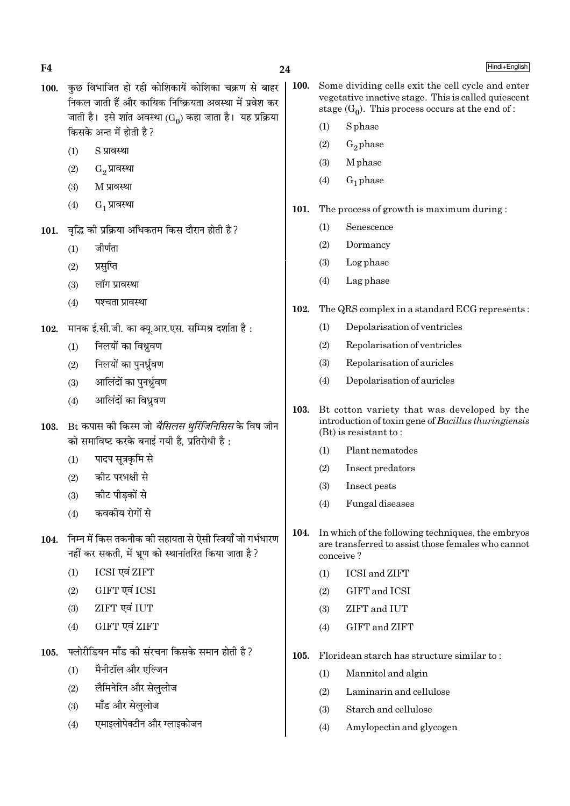F<sub>4</sub>

- 24
- कछ विभाजित हो रही कोशिकायें कोशिका चक्रण से बाहर **100.** निकल जाती हैं और कायिक निष्क्रियता अवस्था में प्रवेश कर जाती है। इसे शांत अवस्था (Go) कहा जाता है। यह प्रक्रिया किसके अन्त में होती है?
	- $(1)$ S प्रावस्था
	- $G_2$  प्रावस्था  $(2)$
	- $(3)$ M प्रावस्था
	- $(4)$ G, प्रावस्था
- वृद्धि की प्रक्रिया अधिकतम किस दौरान होती है ? 101.
	- $(1)$ जीर्णता
	- $(2)$ प्रसप्ति
	- लॉग प्रावस्था  $(3)$
	- $(4)$ पश्चता प्रावस्था
- 102. मानक ई.सी.जी. का क्यू.आर.एस. सम्मिश्र दर्शाता है:
	- निलयों का विध्रवण  $(1)$
	- निलयों का पनर्ध्रवण  $(2)$
	- आलिंदों का पुनर्ध्रुवण  $(3)$
	- आलिंदों का विध्रवण  $(4)$
- 103. Bt कपास की किस्म जो *बैसिलस थूरिंजिनिसिस* के विष जीन को समाविष्ट करके बनाई गयी है, प्रतिरोधी है:
	- पादप सूत्रकृमि से  $(1)$
	- कीट परभक्षी से  $(2)$
	- कीट पीडकों से  $(3)$
	- कवकीय रोगों से  $(4)$
- 104. निम्न में किस तकनीक की सहायता से ऐसी स्त्रियाँ जो गर्भधारण नहीं कर सकती, में भ्रुण को स्थानांतरित किया जाता है?
	- ICSI एवं ZIFT  $(1)$
	- GIFT एवं ICSI  $(2)$
	- ZIFT एवं IUT  $(3)$
	- GIFT एवं ZIFT  $(4)$
- फ्लोरीडियन मॉॅंड की संरचना किसके समान होती है ? 105.
	- मैनीटॉल और एल्जिन  $(1)$
	- लैमिनेरिन और सेललोज  $(2)$
	- मॉॅंड और सेलुलोज  $(3)$
	- एमाइलोपेक्टीन और ग्लाइकोजन  $(4)$
- 100. Some dividing cells exit the cell cycle and enter vegetative inactive stage. This is called quiescent stage  $(G_0)$ . This process occurs at the end of:
	- S<sub>phase</sub>  $(1)$
	- $(2)$  $G_2$  phase
	- M<sub>phase</sub>  $(3)$
	- $G_1$  phase  $(4)$
- 101. The process of growth is maximum during:
	- Senescence  $(1)$
	- $(2)$ Dormancy
	- $(3)$ Log phase
	- $(4)$ Lag phase
- 102. The QRS complex in a standard ECG represents:
	- Depolarisation of ventricles  $(1)$
	- $(2)$ Repolarisation of ventricles
	- $(3)$ Repolarisation of auricles
	- $(4)$ Depolarisation of auricles
- 103. Bt cotton variety that was developed by the introduction of toxin gene of Bacillus thuringiensis  $(Bt)$  is resistant to:
	- Plant nematodes  $(1)$
	- Insect predators  $(2)$
	- $(3)$ Insect pests
	- Fungal diseases  $(4)$
- 104. In which of the following techniques, the embryos are transferred to assist those females who cannot conceive?
	- **ICSI** and **ZIFT**  $(1)$
	- GIFT and ICSI  $(2)$
	- ZIFT and IUT  $(3)$
	- GIFT and ZIFT  $(4)$
- $105.$ Floridean starch has structure similar to:
	- $(1)$ Mannitol and algin
	- Laminarin and cellulose  $(2)$
	- $(3)$ Starch and cellulose
	- $(4)$ Amylopectin and glycogen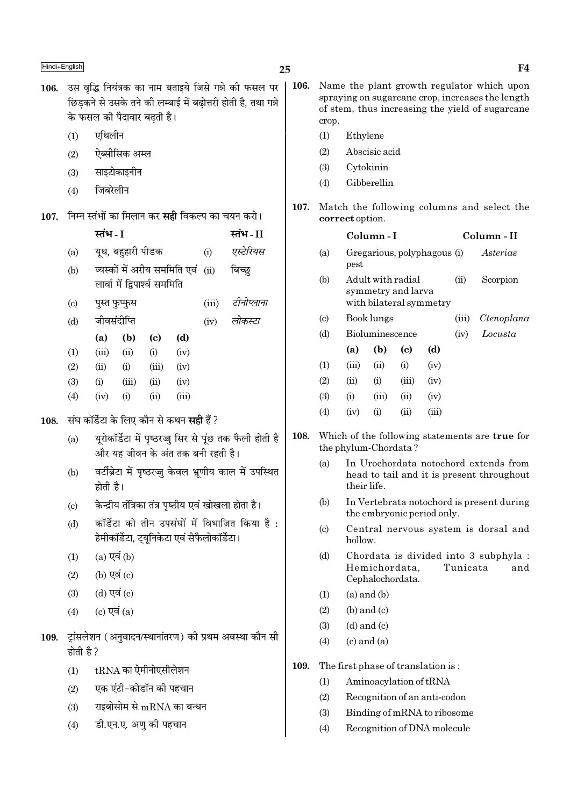108.

109.

- 106. उस वृद्धि नियंत्रक का नाम बताइये जिसे गन्ने की फसल पर छिडकने से उसके तने की लम्बाई में बढोत्तरी होती है. तथा गन्ने के फसल की पैदावार बढ़ती है।
	- एथिलीन  $(1)$
	- ऐब्सीसिक अम्ल  $(2)$
	- $(3)$ साइटोकाइनीन
	- जिबरेलीन  $(4)$

107. निम्न स्तंभों का मिलान कर सही विकल्प का चयन करो।

|                            | स्तभ - I                                                                                     |                                      |                            |                                                 |      | स्तभ - II                                               |  |  |  |  |  |
|----------------------------|----------------------------------------------------------------------------------------------|--------------------------------------|----------------------------|-------------------------------------------------|------|---------------------------------------------------------|--|--|--|--|--|
| (a)                        |                                                                                              | यूथ, बहुहारी पीडक                    |                            |                                                 | (i)  | एस्टेरियस                                               |  |  |  |  |  |
| (b)                        |                                                                                              |                                      |                            | व्यस्कों में अरीय सममिति एवं                    | (ii) | बिच्छ                                                   |  |  |  |  |  |
|                            |                                                                                              | लार्वा में द्विपार्श्व सममिति        |                            |                                                 |      |                                                         |  |  |  |  |  |
| $\left( \mathrm{c}\right)$ |                                                                                              | टीनोप्लाना<br>(iii)<br>पुस्त फुप्फुस |                            |                                                 |      |                                                         |  |  |  |  |  |
| (d)                        |                                                                                              | जीवसंदीप्ति                          |                            |                                                 | (iv) | लोकस्टा                                                 |  |  |  |  |  |
|                            | (a)                                                                                          | (b)                                  | $\left( \mathrm{e}\right)$ | (d)                                             |      |                                                         |  |  |  |  |  |
| (1)                        | (iii)                                                                                        | (ii)                                 | (i)                        | (iv)                                            |      |                                                         |  |  |  |  |  |
| (2)                        | (ii)                                                                                         | (i)                                  | (iii)                      | (iv)                                            |      |                                                         |  |  |  |  |  |
| (3)                        | (i)                                                                                          | (iii)                                | (ii)                       | (iv)                                            |      |                                                         |  |  |  |  |  |
| (4)                        | (iv)                                                                                         | (i)                                  | (ii)                       | (iii)                                           |      |                                                         |  |  |  |  |  |
|                            |                                                                                              |                                      |                            | संघ कॉर्डेटा के लिए कौन से कथन <b>सही</b> हैं ? |      |                                                         |  |  |  |  |  |
| (a)                        | यूरोकॉर्डेटा में पृष्ठरज्जु सिर से पूंछ तक फैली होती है<br>और यह जीवन के अंत तक बनी रहती है। |                                      |                            |                                                 |      |                                                         |  |  |  |  |  |
| (b)                        | होती है।                                                                                     |                                      |                            |                                                 |      | वर्टीब्रेटा में पृष्ठरज्जु केवल भ्रूणीय काल में उपस्थित |  |  |  |  |  |
| $\left( \mathrm{c}\right)$ |                                                                                              |                                      |                            |                                                 |      | केन्द्रीय तंत्रिका तंत्र पृष्ठीय एवं खोखला होता है।     |  |  |  |  |  |
| (d)                        |                                                                                              |                                      |                            | हेमीकॉर्डेटा, ट्यूनिकेटा एवं सेफैलोकॉर्डेटा।    |      | कॉर्डेटा को तीन उपसंघों में विभाजित किया है :           |  |  |  |  |  |
| (1)                        | $(a)$ एवं $(b)$                                                                              |                                      |                            |                                                 |      |                                                         |  |  |  |  |  |
| (2)                        | (b) एवं (c)                                                                                  |                                      |                            |                                                 |      |                                                         |  |  |  |  |  |
| (3)                        | (d) एवं (c)                                                                                  |                                      |                            |                                                 |      |                                                         |  |  |  |  |  |
| (4)                        | $(c)$ एवं $(a)$                                                                              |                                      |                            |                                                 |      |                                                         |  |  |  |  |  |
| होती है ?                  |                                                                                              |                                      |                            |                                                 |      | ट्रांसलेशन (अनुवादन/स्थानांतरण) की प्रथम अवस्था कौन सी  |  |  |  |  |  |
| (1)                        | $tRNA$ का ऐमीनोएसीलेशन                                                                       |                                      |                            |                                                 |      |                                                         |  |  |  |  |  |
| (2)                        |                                                                                              | एक एंटी-कोडॉन की पहचान               |                            |                                                 |      |                                                         |  |  |  |  |  |
| (3)                        |                                                                                              |                                      |                            | राइबोसोम से mRNA का बन्धन                       |      |                                                         |  |  |  |  |  |

डी.एन.ए. अणु की पहचान  $(4)$ 

- 106. Name the plant growth regulator which upon spraying on sugarcane crop, increases the length of stem, thus increasing the yield of sugarcane crop.
	- $(1)$ Ethylene
	- $(2)$ Abscisic acid
	- Cytokinin  $(3)$
	- Gibberellin  $(4)$
- 107. Match the following columns and select the correct option.

|                             |       | Column - I           |                                                                    |       | Column - II |                                                |  |  |
|-----------------------------|-------|----------------------|--------------------------------------------------------------------|-------|-------------|------------------------------------------------|--|--|
| (a)                         | pest  |                      | Gregarious, polyphagous (i)                                        |       |             | Asterias                                       |  |  |
| (b)                         |       |                      | Adult with radial<br>symmetry and larva<br>with bilateral symmetry | (ii)  | Scorpion    |                                                |  |  |
| $\left( \mathrm{c} \right)$ |       | Book lungs           |                                                                    | (iii) | Ctenoplana  |                                                |  |  |
| (d)                         |       | Bioluminescence      |                                                                    | (iv)  | Locusta     |                                                |  |  |
|                             | (a)   | (b)                  | (c)                                                                | (d)   |             |                                                |  |  |
| (1)                         | (iii) | (ii)                 | (i)                                                                | (iv)  |             |                                                |  |  |
| (2)                         | (ii)  | (i)                  | (iii)                                                              | (iv)  |             |                                                |  |  |
| (3)                         | (i)   | (iii)                | (ii)                                                               | (iv)  |             |                                                |  |  |
| (4)                         | (iv)  | (i)                  | (ii)                                                               | (iii) |             |                                                |  |  |
|                             |       | the phylum-Chordata? |                                                                    |       |             | Which of the following statements are true for |  |  |

- In Urochordata notochord extends from  $(a)$ head to tail and it is present throughout their life.
- $(b)$ In Vertebrata notochord is present during the embryonic period only.
- $(c)$ Central nervous system is dorsal and hollow.
- $(d)$ Chordata is divided into 3 subphyla : Hemichordata. Tunicata and Cephalochordata.
- $(1)$  $(a)$  and  $(b)$

108.

- $(2)$  $(b)$  and  $(c)$
- $(3)$  $(d)$  and  $(c)$
- $(c)$  and  $(a)$  $(4)$
- The first phase of translation is: 109.
	- $(1)$ Aminoacylation of tRNA
	- $(2)$ Recognition of an anti-codon
	- $(3)$ Binding of mRNA to ribosome
	- $(4)$ Recognition of DNA molecule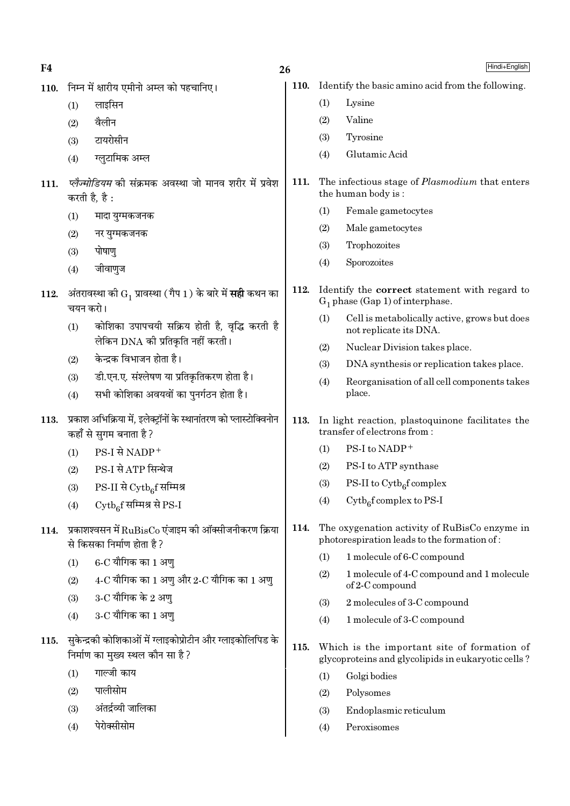| F4   |          | 26                                                                                             |             |     | Hindi+English                                                                                     |
|------|----------|------------------------------------------------------------------------------------------------|-------------|-----|---------------------------------------------------------------------------------------------------|
| 110. |          | निम्न में क्षारीय एमीनो अम्ल को पहचानिए।                                                       | <b>110.</b> |     | Identify the basic amino acid from the following.                                                 |
|      | (1)      | लाइसिन                                                                                         |             | (1) | Lysine                                                                                            |
|      | (2)      | वैलीन                                                                                          |             | (2) | Valine                                                                                            |
|      | (3)      | टायरोसीन                                                                                       |             | (3) | Tyrosine                                                                                          |
|      | (4)      | ग्लुटामिक अम्ल                                                                                 |             | (4) | Glutamic Acid                                                                                     |
| 111. |          | <i>प्लैज्मोडियम</i> की संक्रमक अवस्था जो मानव शरीर में प्रवेश<br>करती है, है :                 | 111.        |     | The infectious stage of <i>Plasmodium</i> that enters<br>the human body is:                       |
|      | (1)      | मादा युग्मकजनक                                                                                 |             | (1) | Female gametocytes                                                                                |
|      | (2)      | नर युग्मकजनक                                                                                   |             | (2) | Male gametocytes                                                                                  |
|      | (3)      | पोषाणु                                                                                         |             | (3) | Trophozoites                                                                                      |
|      | (4)      | जीवाणुज                                                                                        |             | (4) | Sporozoites                                                                                       |
| 112. | चयन करो। | अंतरावस्था को $G_1$ प्रावस्था (गैप 1) के बारे में <b>सही</b> कथन का                            | 112.        |     | Identify the <b>correct</b> statement with regard to<br>$G_1$ phase (Gap 1) of interphase.        |
|      | (1)      | कोशिका उपापचयी सक्रिय होती है, वृद्धि करती है                                                  |             | (1) | Cell is metabolically active, grows but does<br>not replicate its DNA.                            |
|      |          | लेकिन DNA की प्रतिकृति नहीं करती।                                                              |             | (2) | Nuclear Division takes place.                                                                     |
|      | (2)      | केन्द्रक विभाजन होता है।                                                                       |             | (3) | DNA synthesis or replication takes place.                                                         |
|      | (3)      | डी.एन.ए. संश्लेषण या प्रतिकृतिकरण होता है।                                                     |             | (4) | Reorganisation of all cell components takes                                                       |
|      | (4)      | सभी कोशिका अवयवों का पुनर्गठन होता है।                                                         |             |     | place.                                                                                            |
| 113. |          | प्रकाश अभिक्रिया में, इलेक्ट्रॉनों के स्थानांतरण को प्लास्टोक्विनोन<br>कहाँ से सुगम बनाता है ? | 113.        |     | In light reaction, plastoquinone facilitates the<br>transfer of electrons from:                   |
|      | (1)      | PS-I से NADP+                                                                                  |             | (1) | PS-I to NADP+                                                                                     |
|      | (2)      | PS-I से ATP सिन्थेज                                                                            |             | (2) | PS-I to ATP synthase                                                                              |
|      | (3)      | $PS-II$ से $\mathrm{Cytb}_6$ f सम्मिश्र                                                        |             | (3) | PS-II to $\mathrm{Cytb}_6$ f complex                                                              |
|      | (4)      | Cytbef सम्मिश्र से PS-I                                                                        |             | (4) | $\mathrm{Cytb}_{6}$ f complex to PS-I                                                             |
| 114. |          | प्रकाशश्वसन में $\rm RuBisCo$ एंजाइम की ऑक्सीजनीकरण क्रिया<br>से किसका निर्माण होता है ?       | 114.        |     | The oxygenation activity of RuBisCo enzyme in<br>photorespiration leads to the formation of:      |
|      | (1)      | $6$ -C यौगिक का 1 अणु                                                                          |             | (1) | 1 molecule of 6-C compound                                                                        |
|      | (2)      | $4$ -C यौगिक का 1 अणु और 2-C यौगिक का 1 अणु                                                    |             | (2) | 1 molecule of 4-C compound and 1 molecule<br>$of 2-C$ compound                                    |
|      | (3)      | $3$ -C यौगिक के 2 अणु                                                                          |             | (3) | 2 molecules of 3-C compound                                                                       |
|      | (4)      | 3-C यौगिक का 1 अणु                                                                             |             | (4) | 1 molecule of 3-C compound                                                                        |
| 115. |          | सुकेन्द्रकी कोशिकाओं में ग्लाइकोप्रोटीन और ग्लाइकोलिपिड के<br>निर्माण का मुख्य स्थल कौन सा है? | 115.        |     | Which is the important site of formation of<br>glycoproteins and glycolipids in eukaryotic cells? |
|      | (1)      | गाल्जी काय                                                                                     |             | (1) | Golgi bodies                                                                                      |
|      | (2)      | पालीसोम                                                                                        |             | (2) | Polysomes                                                                                         |
|      | (3)      | अंतर्द्रव्यी जालिका                                                                            |             | (3) | Endoplasmic reticulum                                                                             |
|      | (4)      | पेरोक्सीसोम                                                                                    |             | (4) | Peroxisomes                                                                                       |
|      |          |                                                                                                |             |     |                                                                                                   |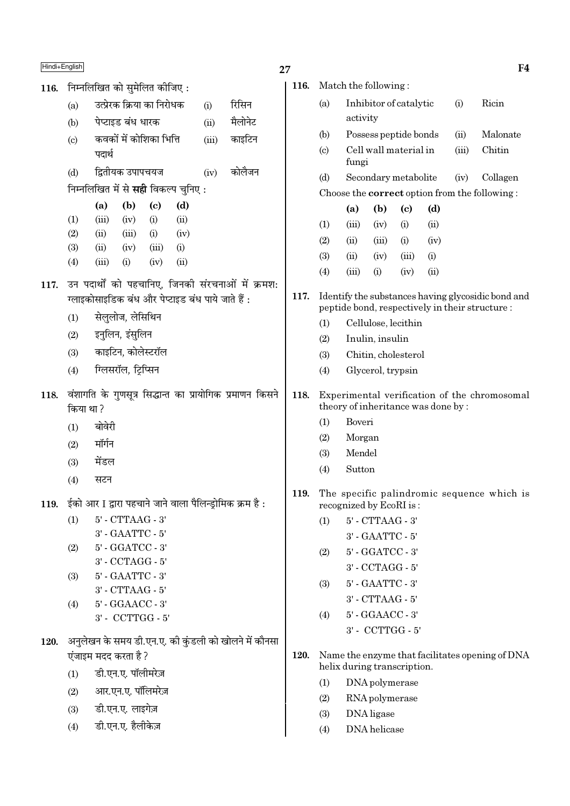116. निम्नलिखित को सुमेलित कीजिए:

- कवकों में कोशिका भित्ति  $\left( \mathrm{c}\right)$  $(iii)$ काइटिन पदार्थ
- द्वितीयक उपापचयज  $(d)$  $(iv)$ कोलैजन

निम्नलिखित में से **सही** विकल्प चुनिए :

|            | (a)   | (b)   | (c)   | (d)  |
|------------|-------|-------|-------|------|
| (1)        | (iii) | (iv)  | (i)   | (ii) |
| (2)        | (ii)  | (iii) | (i)   | (iv) |
| <b>(3)</b> | (ii)  | (iv)  | (iii) | (i)  |
| (4)        | (iii) | (i)   | (iv)  | (ii) |
|            |       |       |       |      |

- 117. उन पदार्थों को पहचानिए, जिनकी संरचनाओं में क्रमश: ग्लाइकोसाइडिक बंध और पेप्टाइड बंध पाये जाते हैं :
	- सेलुलोज, लेसिथिन  $(1)$
	- इनुलिन, इंसुलिन  $(2)$
	- काइटिन, कोलेस्टरॉल  $(3)$
	- ग्लिसरॉल, ट्रिप्सिन  $(4)$
- 118. वंशागति के गुणसूत्र सिद्धान्त का प्रायोगिक प्रमाणन किसने किया था?
	- बोवेरी  $(1)$
	- मॉर्गन  $(2)$
	- मेंडल  $(3)$
	- सटन  $(4)$
- 119. ईको आर I द्वारा पहचाने जाने वाला पैलिन्ड्रोमिक क्रम है:

 $5'$  - CTTAAG -  $3'$  $(1)$ 3' - GAATTC - 5' 5' - GGATCC - 3'  $(2)$ 

- $3'$  CCTAGG  $5'$
- 5' GAATTC 3'  $(3)$
- $3'$  CTTAAG  $5'$
- 5' GGAACC 3'  $(4)$
- $3'$  CCTTGG  $5'$
- 120. अनुलेखन के समय डी.एन.ए. की कुंडली को खोलने में कौनसा एंजाइम मदद करता है ?
	- डी.एन.ए. पॉलीमरेज़  $(1)$
	- आर.एन.ए. पॉलिमरेज़  $(2)$
	- डी.एन.ए. लाइगेज़  $(3)$
	- डी.एन.ए. हैलीकेज़  $(4)$

| 116. |     | Match the following:                                                                                  |                      |                            |                                    |                                                      |                                              |  |  |  |
|------|-----|-------------------------------------------------------------------------------------------------------|----------------------|----------------------------|------------------------------------|------------------------------------------------------|----------------------------------------------|--|--|--|
|      | (a) |                                                                                                       |                      | Inhibitor of catalytic     | (i)                                | Ricin                                                |                                              |  |  |  |
|      |     | activity                                                                                              |                      |                            |                                    |                                                      |                                              |  |  |  |
|      | (b) |                                                                                                       |                      | Possess peptide bonds      |                                    | (ii)                                                 | Malonate                                     |  |  |  |
|      | (c) | fungi                                                                                                 |                      | Cell wall material in      |                                    | (iii)                                                | Chitin                                       |  |  |  |
|      | (d) |                                                                                                       |                      | Secondary metabolite       | (iv)                               | Collagen                                             |                                              |  |  |  |
|      |     |                                                                                                       |                      |                            |                                    | Choose the <b>correct</b> option from the following: |                                              |  |  |  |
|      |     | (a)                                                                                                   | (b)                  | $\left( \mathrm{e}\right)$ |                                    |                                                      |                                              |  |  |  |
|      | (1) | (iii)                                                                                                 | (iv)                 | (i)                        | (ii)                               |                                                      |                                              |  |  |  |
|      | (2) | (ii)                                                                                                  | (iii)                | (i)                        | (iv)                               |                                                      |                                              |  |  |  |
|      | (3) | (ii)                                                                                                  | (iv)                 | (iii)                      | (i)                                |                                                      |                                              |  |  |  |
|      | (4) | (iii)                                                                                                 | (i)                  | (iv)                       | (ii)                               |                                                      |                                              |  |  |  |
| 117. |     | Identify the substances having glycosidic bond and<br>peptide bond, respectively in their structure : |                      |                            |                                    |                                                      |                                              |  |  |  |
|      | (1) | Cellulose, lecithin                                                                                   |                      |                            |                                    |                                                      |                                              |  |  |  |
|      | (2) |                                                                                                       | Inulin, insulin      |                            |                                    |                                                      |                                              |  |  |  |
|      | (3) |                                                                                                       |                      | Chitin, cholesterol        |                                    |                                                      |                                              |  |  |  |
|      | (4) | Glycerol, trypsin                                                                                     |                      |                            |                                    |                                                      |                                              |  |  |  |
| 118. |     |                                                                                                       |                      |                            | theory of inheritance was done by: |                                                      | Experimental verification of the chromosomal |  |  |  |
|      | (1) | Boveri                                                                                                |                      |                            |                                    |                                                      |                                              |  |  |  |
|      | (2) | Morgan                                                                                                |                      |                            |                                    |                                                      |                                              |  |  |  |
|      | (3) | Mendel                                                                                                |                      |                            |                                    |                                                      |                                              |  |  |  |
|      | (4) | Sutton                                                                                                |                      |                            |                                    |                                                      |                                              |  |  |  |
| 119. |     | recognized by EcoRI is:                                                                               |                      |                            |                                    |                                                      | The specific palindromic sequence which is   |  |  |  |
|      | (1) |                                                                                                       | $5'$ - $CTTAAG - 3'$ |                            |                                    |                                                      |                                              |  |  |  |
|      |     |                                                                                                       | $3'$ - GAATTC - $5'$ |                            |                                    |                                                      |                                              |  |  |  |
|      | (2) |                                                                                                       | 5' - GGATCC - 3'     |                            |                                    |                                                      |                                              |  |  |  |
|      |     |                                                                                                       | 3' - CCTAGG - 5'     |                            |                                    |                                                      |                                              |  |  |  |
|      | (3) |                                                                                                       | 5' - GAATTC - 3'     |                            |                                    |                                                      |                                              |  |  |  |
|      |     | 3' - CTTAAG - 5'                                                                                      |                      |                            |                                    |                                                      |                                              |  |  |  |
|      | (4) | 5' - GGAACC - 3'<br>3' - CCTTGG - 5'                                                                  |                      |                            |                                    |                                                      |                                              |  |  |  |
|      |     |                                                                                                       |                      |                            |                                    |                                                      |                                              |  |  |  |
| 120. |     | Name the enzyme that facilitates opening of DNA<br>helix during transcription.                        |                      |                            |                                    |                                                      |                                              |  |  |  |
|      | (1) |                                                                                                       | DNA polymerase       |                            |                                    |                                                      |                                              |  |  |  |

- $(2)$ RNA polymerase
- $(3)$ DNA ligase
- $(4)$ DNA helicase

 $F<sub>4</sub>$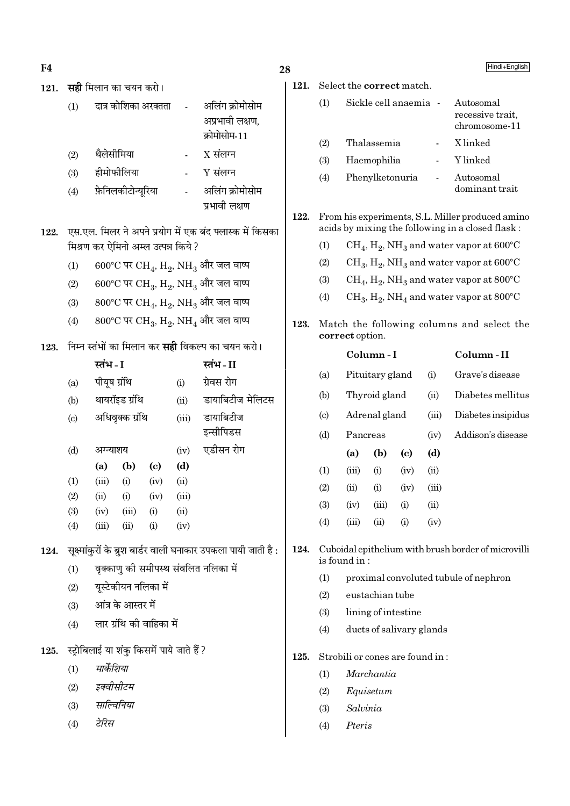$F<sub>4</sub>$ 

| 121. |     | <b>सही</b> मिलान का चयन करो। |                    |                                                    |       |                                                                                   |
|------|-----|------------------------------|--------------------|----------------------------------------------------|-------|-----------------------------------------------------------------------------------|
|      | (1) |                              |                    | दात्र कोशिका अरक्तता                               |       | अलिंग क्रोमोसोम<br>अप्रभावी लक्षण,<br>क्रोमोसोम-11                                |
|      | (2) | थैलेसीमिया                   |                    |                                                    |       | $X$ संलग्न                                                                        |
|      | (3) | हीमोफीलिया                   |                    |                                                    |       | $Y$ संलग्न                                                                        |
|      | (4) |                              | फ़ेनिलकीटोन्यूरिया |                                                    |       | अलिंग क्रोमोसोम<br>प्रभावी लक्षण                                                  |
| 122. |     |                              |                    | मिश्रण कर ऐमिनो अम्ल उत्पन्न किये ?                |       | एस.एल. मिलर ने अपने प्रयोग में एक बंद फ्लास्क में किसका                           |
|      | (1) |                              |                    |                                                    |       | 600°C पर CH <sub>4</sub> , H <sub>2</sub> , NH <sub>3</sub> और जल वाष्प           |
|      | (2) |                              |                    |                                                    |       | 600°C पर CH <sub>3</sub> , H <sub>2</sub> , NH <sub>3</sub> और जल वाष्प           |
|      | (3) |                              |                    |                                                    |       | $800^{\circ}$ C पर CH <sub>4</sub> , H <sub>2</sub> , NH <sub>3</sub> और जल वाष्प |
|      | (4) |                              |                    |                                                    |       | $800^{\circ}$ C पर CH <sub>3</sub> , H <sub>2</sub> , NH <sub>4</sub> और जल वाष्प |
| 123. |     |                              |                    |                                                    |       | निम्न स्तंभों का मिलान कर <b>सही</b> विकल्प का चयन करो।                           |
|      |     | स्तंभ - I                    |                    |                                                    |       | स्तंभ-II                                                                          |
|      | (a) | पीयूष ग्रंथि                 |                    |                                                    | (i)   | ग्रेवस रोग                                                                        |
|      | (b) |                              | थायरॉइड ग्रंथि     |                                                    | (ii)  | डायाबिटीज मेलिटस                                                                  |
|      | (c) |                              | अधिवृक्क ग्रंथि    |                                                    | (iii) | डायाबिटीज<br>इन्सीपिडस                                                            |
|      | (d) | अग्न्याशय                    |                    |                                                    | (iv)  | एडीसन रोग                                                                         |
|      |     | (a)                          | (b)                | (c)                                                | (d)   |                                                                                   |
|      | (1) | (iii)                        | (i)                | (iv)                                               | (ii)  |                                                                                   |
|      | (2) | (ii)                         | (i)                | (iv)                                               | (iii) |                                                                                   |
|      |     |                              |                    | (3) (iv) (iii) (i) (ii)                            |       |                                                                                   |
|      |     |                              |                    | $(4)$ $(iii)$ $(ii)$ $(i)$ $(iv)$                  |       |                                                                                   |
|      |     |                              |                    |                                                    |       | 124.    सूक्ष्मांकुरों के ब्रुश बार्डर वाली घनाकार उपकला पायी जाती है :           |
|      | (1) |                              |                    |                                                    |       | वृक्काणु को समीपस्थ संवलित नलिका में                                              |
|      |     | (2) यूस्टेकीयन नलिका में     |                    |                                                    |       |                                                                                   |
|      |     | (3) आंत्र के आस्तर में       |                    |                                                    |       |                                                                                   |
|      |     |                              |                    | $(4)$ लार ग्रंथि की वाहिका में                     |       |                                                                                   |
|      |     |                              |                    | 125.    स्ट्रोबिलाई या शंकु किसमें पाये जाते हैं ? |       |                                                                                   |
|      | (1) | मार्केशिया                   |                    |                                                    |       |                                                                                   |
|      |     | (2) इक्वीसीटम                |                    |                                                    |       |                                                                                   |
|      |     | (3) साल्विनिया               |                    |                                                    |       |                                                                                   |
|      |     | (4) टेरिस                    |                    |                                                    |       |                                                                                   |
|      |     |                              |                    |                                                    |       |                                                                                   |

28

121.

 $(1)$ 

### Select the correct match. Sickle cell anaemia -Autosomal recessive trait. chromosome-11 Thalassemia X linked

- $(2)$ Y linked  $(3)$ Haemophilia  $\overline{a}$
- $(4)$ Phenylketonuria Autosomal  $\overline{a}$ dominant trait
- 122. From his experiments, S.L. Miller produced amino acids by mixing the following in a closed flask:
	- $(1)$  $CH_4$ ,  $H_2$ , NH<sub>3</sub> and water vapor at 600°C
	- $(2)$  $CH_3, H_2, NH_3$  and water vapor at  $600^{\circ}$ C
	- $CH_4$ ,  $H_2$ , NH<sub>3</sub> and water vapor at 800°C  $(3)$
	- $CH_3$ ,  $H_2$ , NH<sub>4</sub> and water vapor at 800°C  $(4)$
- Match the following columns and select the 123. correct option.

|                             |          | Column-I        |      | Column - II |                    |
|-----------------------------|----------|-----------------|------|-------------|--------------------|
| (a)                         |          | Pituitary gland |      | (i)         | Grave's disease    |
| (b)                         |          | Thyroid gland   |      | (ii)        | Diabetes mellitus  |
| $\left( \mathrm{c} \right)$ |          | Adrenal gland   |      | (iii)       | Diabetes insipidus |
| (d)                         | Pancreas |                 |      | (iv)        | Addison's disease  |
|                             | (a)      | (b)             | (c)  | (d)         |                    |
| (1)                         | (iii)    | (i)             | (iv) | (ii)        |                    |
| (2)                         | (ii)     | (i)             | (iv) | (iii)       |                    |
| (3)                         | (iv)     | (iii)           | (i)  | (ii)        |                    |
| (4)                         | (iii)    | (ii)            | (i)  | (iv)        |                    |
|                             |          |                 |      |             |                    |

- 124. Cuboidal epithelium with brush border of microvilli is found in:
	- $(1)$ proximal convoluted tubule of nephron
	- $(2)$ eustachian tube

- $(3)$ lining of intestine
- $(4)$ ducts of salivary glands
- 125. Strobili or cones are found in:
	- $(1)$ Marchantia
	- $(2)$ Equisetum
	- $(3)$ Salvinia
	- $(4)$ Pteris

Hindi+English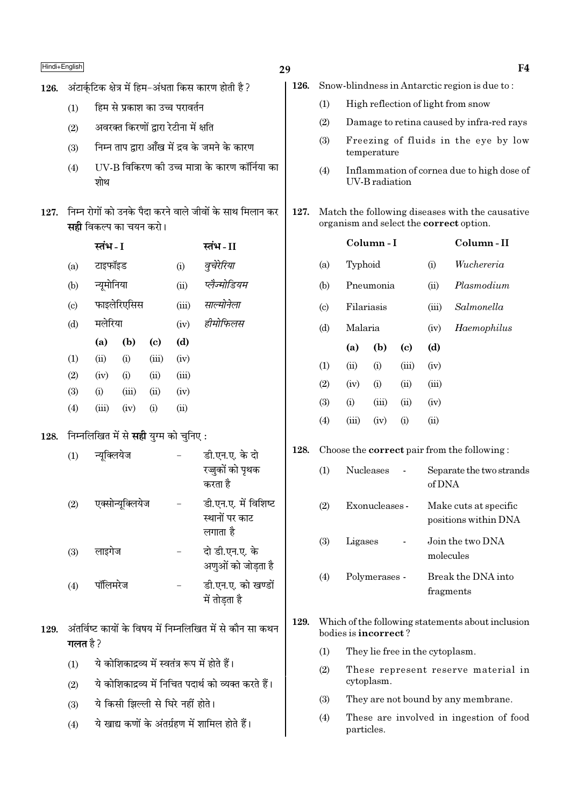| Hindi+English |                                                                                           |                                               |                                                 |              |                                   |                                                                                                        | 29   |                           |                      |                |                             |                                                                                            | F4                                                 |
|---------------|-------------------------------------------------------------------------------------------|-----------------------------------------------|-------------------------------------------------|--------------|-----------------------------------|--------------------------------------------------------------------------------------------------------|------|---------------------------|----------------------|----------------|-----------------------------|--------------------------------------------------------------------------------------------|----------------------------------------------------|
| 126.          |                                                                                           |                                               |                                                 |              |                                   | अंटार्कुटिक क्षेत्र में हिम–अंधता किस कारण होती है ?                                                   | 126. |                           |                      |                |                             |                                                                                            | Snow-blindness in Antarctic region is due to:      |
|               | (1)                                                                                       |                                               | हिम से प्रकाश का उच्च परावर्तन                  |              |                                   |                                                                                                        |      |                           |                      |                |                             |                                                                                            | High reflection of light from snow                 |
|               | (2)                                                                                       |                                               | अवरक्त किरणों द्वारा रेटीना में क्षति           |              |                                   |                                                                                                        |      |                           |                      |                |                             |                                                                                            | Damage to retina caused by infra-red rays          |
|               | (3)                                                                                       |                                               |                                                 |              |                                   | निम्न ताप द्वारा आँख में द्रव के जमने के कारण                                                          |      | (3)                       |                      | temperature    |                             |                                                                                            | Freezing of fluids in the eye by low               |
|               | (4)                                                                                       | शोथ                                           |                                                 |              |                                   | UV-B विकिरण की उच्च मात्रा के कारण कॉर्निया का                                                         |      | (4)                       |                      | UV-B radiation |                             |                                                                                            | Inflammation of cornea due to high dose of         |
| 127.          | निम्न रोगों को उनके पैदा करने वाले जीवों के साथ मिलान कर<br><b>सही</b> विकल्प का चयन करो। |                                               |                                                 |              |                                   | 127.                                                                                                   |      |                           |                      |                |                             | Match the following diseases with the causative<br>organism and select the correct option. |                                                    |
|               |                                                                                           | स्तंभ - I                                     |                                                 |              |                                   | स्तंभ - II                                                                                             |      |                           |                      | Column-I       |                             |                                                                                            | Column-II                                          |
|               | (a)                                                                                       | टाइफॉइड                                       |                                                 |              | (i)                               | वुचेरेरिया                                                                                             |      | (a)                       | Typhoid              |                |                             | (i)                                                                                        | Wuchereria                                         |
|               | (b)                                                                                       | न्यूमोनिया                                    |                                                 |              | (ii)                              | प्लैज्मोडियम                                                                                           |      | (b)                       |                      | Pneumonia      |                             | (ii)                                                                                       | Plasmodium                                         |
|               | $\left( \text{c} \right)$                                                                 |                                               | फाइलेरिएसिस                                     |              | (iii)                             | साल्मोनेला                                                                                             |      | $\left( \text{c} \right)$ | Filariasis           |                |                             | (iii)                                                                                      | Salmonella                                         |
|               | (d)                                                                                       | मलेरिया                                       |                                                 |              | (iv)                              | हीमोफिलस                                                                                               |      | (d)                       | Malaria              |                |                             | (iv)                                                                                       | Haemophilus                                        |
|               |                                                                                           | (a)                                           | (b)                                             | (c)          | (d)                               |                                                                                                        |      |                           | (a)                  | (b)            | $\left( \mathbf{c} \right)$ | (d)                                                                                        |                                                    |
|               | (1)                                                                                       | (ii)                                          | (i)                                             | (iii)        | (iv)                              |                                                                                                        |      | (1)                       | (ii)                 | (i)            | (iii)                       | (iv)                                                                                       |                                                    |
|               | (2)<br>(3)                                                                                | (iv)<br>(i)                                   | (i)<br>(iii)                                    | (ii)<br>(ii) | (iii)<br>(iv)                     |                                                                                                        |      | (2)                       | (iv)                 | (i)            | (ii)                        | (iii)                                                                                      |                                                    |
|               | (4)                                                                                       | (iii)                                         | (iv)                                            | (i)          | (ii)                              |                                                                                                        |      | (3)                       | (i)                  | (iii)          | (ii)                        | (iv)                                                                                       |                                                    |
|               |                                                                                           |                                               |                                                 |              |                                   |                                                                                                        |      | (4)                       | (iii)                | (iv)           | (i)                         | (ii)                                                                                       |                                                    |
| 128.          |                                                                                           | निम्नलिखित में से <b>सही</b> युग्म को चुनिए : |                                                 |              |                                   |                                                                                                        |      |                           |                      |                |                             |                                                                                            |                                                    |
|               | (1)                                                                                       | न्यूक्लियेज                                   |                                                 |              |                                   | डी.एन.ए. के दो                                                                                         | 128. |                           |                      |                |                             |                                                                                            | Choose the <b>correct</b> pair from the following: |
|               |                                                                                           |                                               |                                                 |              |                                   | रज्जुकों को पृथक<br>करता है                                                                            |      |                           | (1)<br>Nucleases     |                |                             | Separate the two strands<br>of DNA                                                         |                                                    |
|               | (2)                                                                                       |                                               | एक्सोन्यूक्लियेज                                |              |                                   | डी.एन.ए. में विशिष्ट                                                                                   |      | (2)                       |                      | Exonucleases - |                             | Make cuts at specific                                                                      |                                                    |
|               |                                                                                           |                                               |                                                 |              |                                   | स्थानों पर काट<br>लगाता है                                                                             |      |                           |                      |                |                             |                                                                                            | positions within DNA                               |
|               | (3)                                                                                       | लाइगेज                                        |                                                 |              |                                   | दो डी.एन.ए. के                                                                                         |      | (3)                       | Ligases              |                |                             | molecules                                                                                  | Join the two DNA                                   |
|               |                                                                                           |                                               |                                                 |              |                                   | अणुओं को जोड़ता है                                                                                     |      |                           |                      |                |                             |                                                                                            |                                                    |
|               | (4)                                                                                       | पॉलिमरेज                                      |                                                 |              |                                   | डी.एन.ए. को खण्डों<br>में तोड़ता है                                                                    |      | (4)                       |                      | Polymerases -  |                             |                                                                                            | Break the DNA into<br>fragments                    |
| 129.          |                                                                                           |                                               |                                                 |              |                                   | अंतर्विष्ट कायों के विषय में निम्नलिखित में से कौन सा कथन                                              | 129. |                           | bodies is incorrect? |                |                             |                                                                                            | Which of the following statements about inclusion  |
|               | गलत है ?                                                                                  |                                               |                                                 |              |                                   |                                                                                                        |      | (1)                       |                      |                |                             | They lie free in the cytoplasm.                                                            |                                                    |
|               | (1)<br>(2)                                                                                |                                               |                                                 |              |                                   | ये कोशिकाद्रव्य में स्वतंत्र रूप में होते हैं।<br>ये कोशिकाद्रव्य में निचित पदार्थ को व्यक्त करते हैं। |      | (2)                       |                      | cytoplasm.     |                             |                                                                                            | These represent reserve material in                |
|               |                                                                                           |                                               |                                                 |              | ये किसी झिल्ली से घिरे नहीं होते। |                                                                                                        |      | (3)                       |                      |                |                             |                                                                                            | They are not bound by any membrane.                |
|               | (3)                                                                                       |                                               |                                                 |              |                                   |                                                                                                        |      | (4)                       |                      |                |                             |                                                                                            | These are involved in ingestion of food            |
|               | (4)                                                                                       |                                               | ये खाद्य कणों के अंतर्ग्रहण में शामिल होते हैं। |              |                                   |                                                                                                        |      |                           | particles.           |                |                             |                                                                                            |                                                    |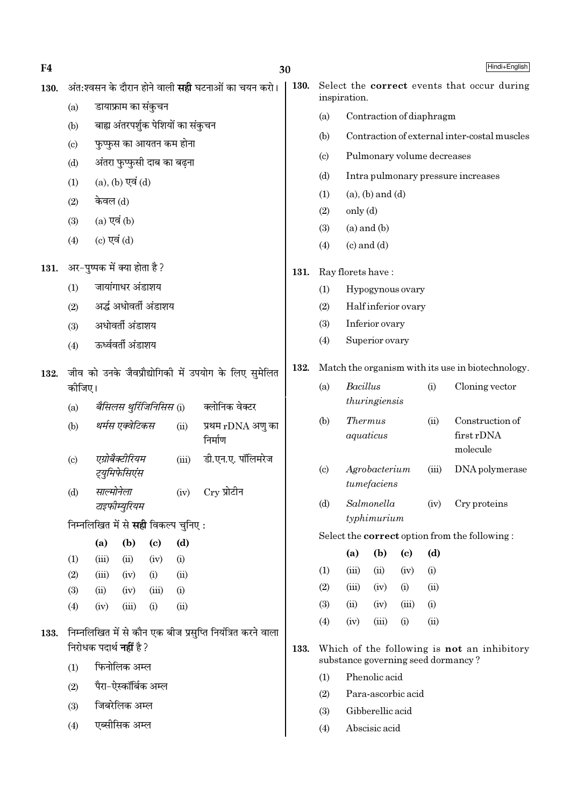| F4   |            |                                    |                                  |                             |                                            |                                                            | 30          |                                                    |                                                             |                              |                            |                          | Hindi+English                                     |  |
|------|------------|------------------------------------|----------------------------------|-----------------------------|--------------------------------------------|------------------------------------------------------------|-------------|----------------------------------------------------|-------------------------------------------------------------|------------------------------|----------------------------|--------------------------|---------------------------------------------------|--|
| 130. |            |                                    |                                  |                             |                                            | अंत:श्वसन के दौरान होने वाली <b>सही</b> घटनाओं का चयन करो। | <b>130.</b> |                                                    | Select the correct events that occur during<br>inspiration. |                              |                            |                          |                                                   |  |
|      | (a)        | डायाफ्राम का संकुचन                |                                  |                             |                                            |                                                            |             | (a)                                                |                                                             |                              |                            | Contraction of diaphragm |                                                   |  |
|      | (b)        | बाह्य अंतरपर्शुक पेशियों का संकुचन |                                  |                             |                                            |                                                            |             | (b)                                                | Contraction of external inter-costal muscles                |                              |                            |                          |                                                   |  |
|      | (c)        |                                    | फुप्फुस का आयतन कम होना          |                             |                                            |                                                            |             |                                                    |                                                             | Pulmonary volume decreases   |                            |                          |                                                   |  |
|      | (d)        |                                    | अंतरा फुप्फुसी दाब का बढ़ना      |                             |                                            |                                                            |             | (c)                                                |                                                             |                              |                            |                          |                                                   |  |
|      | (1)        |                                    | $(a)$ , $(b)$ एवं $(d)$          |                             |                                            |                                                            |             | (d)                                                |                                                             |                              |                            |                          | Intra pulmonary pressure increases                |  |
|      | (2)        | केवल (d)                           |                                  |                             |                                            |                                                            |             | (1)                                                |                                                             | $(a)$ , $(b)$ and $(d)$      |                            |                          |                                                   |  |
|      | (3)        |                                    | $(a)$ एवं $(b)$                  |                             |                                            |                                                            |             | (2)                                                | only (d)                                                    |                              |                            |                          |                                                   |  |
|      | (4)        |                                    | (c) एवं $(d)$                    |                             |                                            | (3)<br>(4)                                                 |             | $(a)$ and $(b)$<br>$(c)$ and $(d)$                 |                                                             |                              |                            |                          |                                                   |  |
| 131. |            | अर-पुष्पक में क्या होता है?        |                                  |                             |                                            |                                                            |             |                                                    |                                                             | Ray florets have:            |                            |                          |                                                   |  |
|      | (1)        |                                    | जायांगाधर अंडाशय                 |                             |                                            |                                                            |             | (1)                                                |                                                             | Hypogynous ovary             |                            |                          |                                                   |  |
|      | (2)        |                                    | अर्द्ध अधोवर्ती अंडाशय           |                             |                                            |                                                            |             | (2)                                                |                                                             | Half inferior ovary          |                            |                          |                                                   |  |
|      | (3)        |                                    | अधोवर्ती अंडाशय                  |                             |                                            |                                                            |             | (3)                                                |                                                             | Inferior ovary               |                            |                          |                                                   |  |
|      | (4)        |                                    | ऊर्ध्ववर्ती अंडाशय               |                             |                                            |                                                            |             | (4)                                                |                                                             | Superior ovary               |                            |                          |                                                   |  |
| 132. |            |                                    |                                  |                             |                                            | जीव को उनके जैवप्रौद्योगिकी में उपयोग के लिए सुमेलित       | 132.        |                                                    |                                                             |                              |                            |                          | Match the organism with its use in biotechnology. |  |
|      | कोजिए।     |                                    |                                  |                             |                                            |                                                            |             | (a)                                                | Bacillus                                                    |                              |                            | (i)                      | Cloning vector                                    |  |
|      | (a)        |                                    | बैसिलस थुरिंजिनिसिस (i)          |                             |                                            | क्लोनिक वेक्टर                                             |             |                                                    |                                                             | thuringiensis                |                            |                          |                                                   |  |
|      | (b)        |                                    | थर्मस एक्वेटिकस                  |                             | (ii)                                       | प्रथम rDNA अणु का<br>निर्माण                               |             | (b)                                                | <b>Thermus</b>                                              | aquaticus                    |                            | (ii)                     | Construction of<br>first rDNA<br>molecule         |  |
|      | (c)        |                                    | एग्रोबैक्टीरियम<br>ट्युमिफेसिएंस |                             | (iii)                                      | डी.एन.ए. पॉलिमरेज                                          |             | (c)                                                |                                                             | Agrobacterium<br>tumefaciens |                            | (iii)                    | DNA polymerase                                    |  |
|      | (d)        |                                    | साल्मोनेला<br>टाइफीम्युरियम      |                             | (iv)                                       | $Cry$ प्रोटीन                                              |             | (d)                                                |                                                             | Salmonella<br>typhimurium    |                            | (iv)                     | Cry proteins                                      |  |
|      |            |                                    |                                  |                             | निम्नलिखित में से <b>सही</b> विकल्प चुनिए: |                                                            |             |                                                    |                                                             |                              |                            |                          |                                                   |  |
|      |            | (a)                                | (b)                              | $\left( \mathbf{c} \right)$ | (d)                                        |                                                            |             |                                                    | (a)                                                         | (b)                          | $\left( \mathrm{c}\right)$ | (d)                      | Select the correct option from the following:     |  |
|      | (1)        | (iii)                              | (ii)                             | (iv)                        | (i)                                        |                                                            |             | (1)                                                | (iii)                                                       | (ii)                         | (iv)                       | (i)                      |                                                   |  |
|      | (2)<br>(3) | (iii)<br>(ii)                      | (iv)<br>(iv)                     | (i)<br>(iii)                | (ii)                                       |                                                            |             | (2)                                                | (iii)                                                       | (iv)                         | (i)                        | (ii)                     |                                                   |  |
|      | (4)        | (iv)                               | (iii)                            | (i)                         | (i)<br>(ii)                                |                                                            |             | (3)                                                | (ii)                                                        | (iv)                         | (iii)                      | (i)                      |                                                   |  |
|      |            |                                    |                                  |                             |                                            |                                                            |             | (4)                                                | (iv)                                                        | (iii)                        | (i)                        | (ii)                     |                                                   |  |
| 133. |            |                                    | निरोधक पदार्थ <b>नहीं</b> है ?   |                             |                                            | निम्नलिखित में से कौन एक बीज प्रसुप्ति नियंत्रित करने वाला | 133.        | Which of the following is <b>not</b> an inhibitory |                                                             |                              |                            |                          |                                                   |  |
|      | (1)        |                                    | फिनोलिक अम्ल                     |                             |                                            |                                                            |             |                                                    |                                                             |                              |                            |                          | substance governing seed dormancy?                |  |
|      | (2)        |                                    | पैरा–ऐस्कॉर्बिक अम्ल             |                             |                                            |                                                            |             | (1)                                                |                                                             | Phenolic acid                |                            |                          |                                                   |  |
|      | (3)        |                                    | जिबरेलिक अम्ल                    |                             |                                            |                                                            |             |                                                    | Para-ascorbic acid<br>(2)                                   |                              |                            |                          |                                                   |  |
|      |            |                                    | एब्सीसिक अम्ल                    |                             |                                            |                                                            |             | (3)                                                |                                                             | Gibberellic acid             |                            |                          |                                                   |  |
|      | (4)        |                                    |                                  |                             |                                            |                                                            |             | (4)                                                |                                                             | Abscisic acid                |                            |                          |                                                   |  |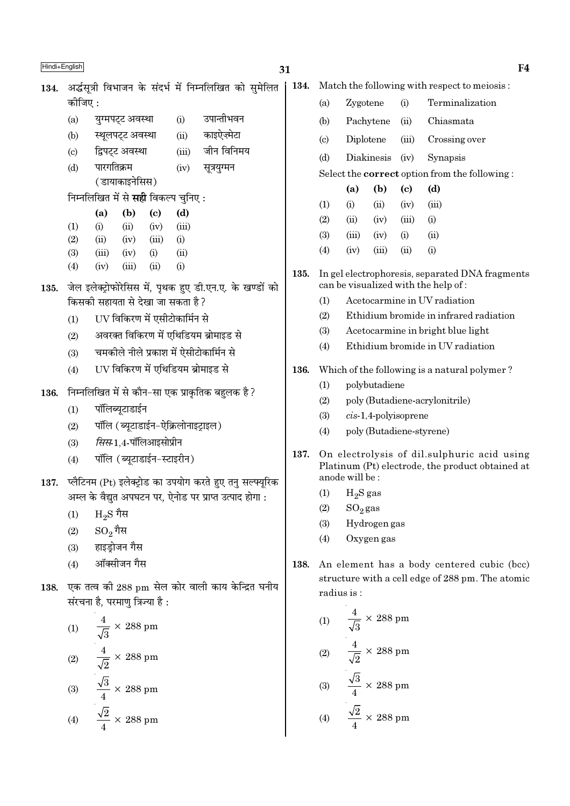| Hindi+English |                                           |                                                                                    |                                                |               |                                             |                                                           | 31   |                                                                                                 |                                                |                         |                            |                                                                                        | F4 |  |  |
|---------------|-------------------------------------------|------------------------------------------------------------------------------------|------------------------------------------------|---------------|---------------------------------------------|-----------------------------------------------------------|------|-------------------------------------------------------------------------------------------------|------------------------------------------------|-------------------------|----------------------------|----------------------------------------------------------------------------------------|----|--|--|
| 134.          |                                           |                                                                                    |                                                |               |                                             | अर्द्धसूत्री विभाजन के संदर्भ में निम्नलिखित को सुमेलित   | 134. |                                                                                                 |                                                |                         |                            | Match the following with respect to meiosis:                                           |    |  |  |
|               | कोजिए :                                   |                                                                                    |                                                |               |                                             |                                                           |      | (a)                                                                                             | Zygotene                                       |                         | (i)                        | Terminalization                                                                        |    |  |  |
|               | (a)                                       |                                                                                    | युग्मपट्ट अवस्था                               |               | (i)                                         | उपान्तीभवन                                                |      | (b)                                                                                             |                                                | Pachytene               | (ii)                       | Chiasmata                                                                              |    |  |  |
|               | (b)                                       |                                                                                    | स्थूलपट्ट अवस्था                               |               | (ii)                                        | काइऐज़्मेटा                                               |      | (c)                                                                                             | Diplotene                                      |                         | (iii)                      | Crossing over                                                                          |    |  |  |
|               | $\left( \mathrm{c} \right)$               |                                                                                    | द्विपट्ट अवस्था                                |               | (iii)                                       | जीन विनिमय                                                |      | (d)                                                                                             |                                                | Diakinesis              | (iv)                       | Synapsis                                                                               |    |  |  |
|               | (d)                                       | पारगतिक्रम<br>सूत्रयुग्मन<br>(iv)                                                  |                                                |               |                                             |                                                           |      | Select the <b>correct</b> option from the following:                                            |                                                |                         |                            |                                                                                        |    |  |  |
|               |                                           |                                                                                    | (डायाकाइनेसिस)                                 |               |                                             |                                                           |      |                                                                                                 | (a)                                            | (b)                     | $\left( \mathrm{e}\right)$ | (d)                                                                                    |    |  |  |
|               |                                           |                                                                                    |                                                |               | निम्नलिखित में से <b>सही</b> विकल्प चुनिए : |                                                           |      | (1)                                                                                             | (i)                                            | (ii)                    | (iv)                       | (iii)                                                                                  |    |  |  |
|               |                                           | (a)                                                                                | (b)                                            | (c)           | (d)                                         |                                                           |      | (2)                                                                                             | (ii)                                           | (iv)                    | (iii)                      | (i)                                                                                    |    |  |  |
|               | (1)<br>(2)                                | (i)<br>(ii)                                                                        | (ii)<br>(iv)                                   | (iv)<br>(iii) | (iii)<br>(i)                                |                                                           |      | (3)                                                                                             | (iii)                                          | (iv)                    | (i)                        | (ii)                                                                                   |    |  |  |
|               | (3)                                       | (iii)                                                                              | (iv)                                           | (i)           | (ii)                                        |                                                           |      | (4)                                                                                             | (iv)                                           | (iii)                   | (ii)                       | (i)                                                                                    |    |  |  |
|               | (4)                                       | (iv)                                                                               | (iii)                                          | (ii)          | (i)                                         |                                                           |      |                                                                                                 |                                                |                         |                            |                                                                                        |    |  |  |
| 135.          |                                           |                                                                                    |                                                |               |                                             | जेल इलेक्ट्रोफोरेसिस में, पृथक हुए डी.एन.ए. के खण्डों को  | 135. |                                                                                                 |                                                |                         |                            | In gel electrophoresis, separated DNA fragments<br>can be visualized with the help of: |    |  |  |
|               |                                           |                                                                                    |                                                |               | किसकी सहायता से देखा जा सकता है ?           |                                                           |      | (1)                                                                                             |                                                |                         |                            | Acetocarmine in UV radiation                                                           |    |  |  |
|               | (1)                                       |                                                                                    |                                                |               |                                             |                                                           |      | (2)                                                                                             |                                                |                         |                            | Ethidium bromide in infrared radiation                                                 |    |  |  |
|               | (2)                                       | UV विकिरण में एसीटोकार्मिन से<br>अवरक्त विकिरण में एथिडियम ब्रोमाइड से             |                                                |               |                                             |                                                           |      | (3)                                                                                             | Acetocarmine in bright blue light              |                         |                            |                                                                                        |    |  |  |
|               | (3)                                       |                                                                                    |                                                |               |                                             |                                                           |      | Ethidium bromide in UV radiation<br>(4)                                                         |                                                |                         |                            |                                                                                        |    |  |  |
|               |                                           | चमकोले नीले प्रकाश में ऐसीटोकार्मिन से<br>UV विकिरण में एथिडियम ब्रोमाइड से<br>(4) |                                                |               |                                             |                                                           |      |                                                                                                 |                                                |                         |                            | Which of the following is a natural polymer?                                           |    |  |  |
|               |                                           |                                                                                    |                                                |               |                                             |                                                           | 136. | (1)                                                                                             |                                                | polybutadiene           |                            |                                                                                        |    |  |  |
| 136.          |                                           |                                                                                    |                                                |               |                                             | निम्नलिखित में से कौन–सा एक प्राकृतिक बहुलक है ?          |      | (2)                                                                                             |                                                |                         |                            | poly (Butadiene-acrylonitrile)                                                         |    |  |  |
|               | पॉलिब्यूटाडाईन<br>(1)                     |                                                                                    |                                                |               |                                             |                                                           |      | (3)                                                                                             |                                                | $cis-1,4$ -polyisoprene |                            |                                                                                        |    |  |  |
|               | पॉलि (ब्यूटाडाईन-ऐक्रिलोनाइट्राइल)<br>(2) |                                                                                    |                                                |               |                                             |                                                           |      | poly (Butadiene-styrene)<br>(4)                                                                 |                                                |                         |                            |                                                                                        |    |  |  |
|               | (3)                                       |                                                                                    | <i>सिस</i> -1,4-पॉलिआइसोप्रीन                  |               |                                             |                                                           |      |                                                                                                 |                                                |                         |                            |                                                                                        |    |  |  |
|               | (4)                                       |                                                                                    | पॉलि (ब्यूटाडाईन-स्टाइरीन)                     |               |                                             |                                                           | 137. | On electrolysis of dil.sulphuric acid using<br>Platinum (Pt) electrode, the product obtained at |                                                |                         |                            |                                                                                        |    |  |  |
| 137.          |                                           |                                                                                    |                                                |               |                                             | प्लैटिनम (Pt) इलेक्ट्रोड का उपयोग करते हुए तनु सल्फ्यूरिक |      | anode will be:                                                                                  |                                                |                         |                            |                                                                                        |    |  |  |
|               |                                           |                                                                                    |                                                |               |                                             | अम्ल के वैद्युत अपघटन पर, ऐनोड पर प्राप्त उत्पाद होगा :   |      |                                                                                                 | (1) $H_2S$ gas                                 |                         |                            |                                                                                        |    |  |  |
|               | (1)                                       | $_{\rm H_2}$ $\rm S$ गैस                                                           |                                                |               |                                             |                                                           |      | (3)                                                                                             | (2)<br>$SO_2$ gas<br>Hydrogen gas              |                         |                            |                                                                                        |    |  |  |
|               | (2)                                       | $\mathrm{SO}_2$ गैस                                                                |                                                |               |                                             |                                                           |      | (4)                                                                                             |                                                | Oxygen gas              |                            |                                                                                        |    |  |  |
|               | (3)                                       |                                                                                    | हाइड्रोजन गैस                                  |               |                                             |                                                           |      |                                                                                                 |                                                |                         |                            |                                                                                        |    |  |  |
|               | (4)                                       |                                                                                    | ऑक्सीजन गैस                                    |               |                                             |                                                           | 138. |                                                                                                 |                                                |                         |                            | An element has a body centered cubic (bcc)                                             |    |  |  |
| 138.          |                                           |                                                                                    |                                                |               |                                             | एक तत्व की 288 pm सेल कोर वाली काय केन्द्रित घनीय         |      |                                                                                                 |                                                |                         |                            | structure with a cell edge of 288 pm. The atomic                                       |    |  |  |
|               |                                           |                                                                                    | संरचना है, परमाणु त्रिज्या है:                 |               |                                             |                                                           |      |                                                                                                 | radius is:                                     |                         |                            |                                                                                        |    |  |  |
|               |                                           |                                                                                    |                                                |               |                                             |                                                           |      |                                                                                                 | (1) $\frac{4}{\sqrt{3}} \times 288 \text{ pm}$ |                         |                            |                                                                                        |    |  |  |
|               | $(1)$                                     |                                                                                    | $\frac{4}{\sqrt{3}}\times288~\mathrm{pm}$      |               |                                             |                                                           |      |                                                                                                 |                                                |                         |                            |                                                                                        |    |  |  |
|               |                                           |                                                                                    | (2) $\frac{4}{\sqrt{2}} \times 288 \text{ pm}$ |               |                                             |                                                           |      |                                                                                                 | (2) $\frac{4}{\sqrt{2}} \times 288 \text{ pm}$ |                         |                            |                                                                                        |    |  |  |
|               |                                           |                                                                                    | (3) $\frac{\sqrt{3}}{4} \times 288 \text{ pm}$ |               |                                             |                                                           |      |                                                                                                 | (3) $\frac{\sqrt{3}}{4} \times 288 \text{ pm}$ |                         |                            |                                                                                        |    |  |  |
|               |                                           |                                                                                    | (4) $\frac{\sqrt{2}}{4} \times 288 \text{ pm}$ |               |                                             |                                                           |      |                                                                                                 | (4) $\frac{\sqrt{2}}{4} \times 288 \text{ pm}$ |                         |                            |                                                                                        |    |  |  |

 $\mathbf{E}$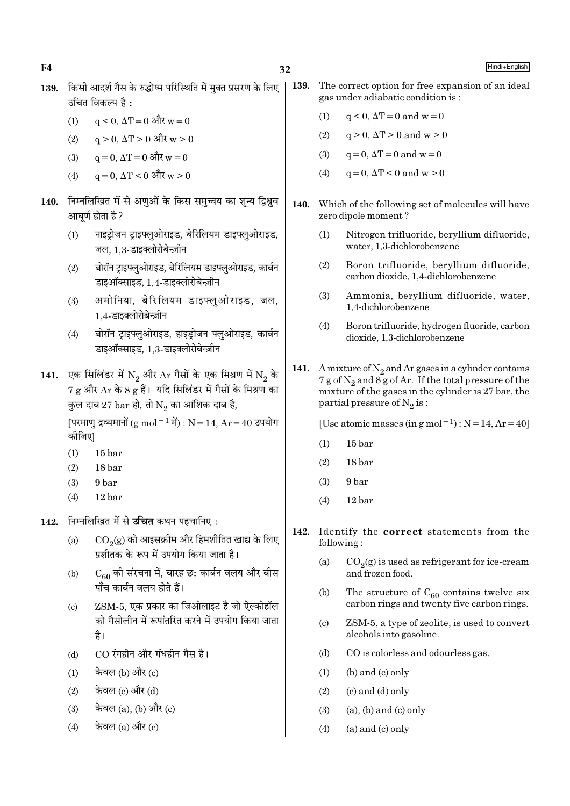32

- 139. किसी आदर्श गैस के रुद्धोष्म परिस्थिति में मक्त प्रसरण के लिए उचित विकल्प है $\cdot$ 
	- $q \le 0$ ,  $\Delta T = 0$  और  $w = 0$  $(1)$
	- $q > 0$ ,  $\Delta T > 0$  और  $w > 0$  $(2)$
	- $a = 0$ .  $\Delta T = 0$  और w = 0  $(3)$
	- $q = 0$ .  $\Delta T < 0$  और  $w > 0$  $(4)$
- 140. निम्नलिखित में से अणुओं के किस समुच्चय का शून्य द्विध्नुव आघर्ण होता है ?
	- नाइट्रोजन ट्राइफ्लुओराइड, बेरिलियम डाइफ्लुओराइड,  $(1)$ जल. 1.3-डाइक्लोरोबेन्ज़ीन
	- बोरॉन ट्राइफ्लुओराइड, बेरिलियम डाइफ्लुओराइड, कार्बन  $(2)$ डाइऑक्साइड. 1.4-डाइक्लोरोबेन्ज़ीन
	- अमोनिया. बेरिलियम डाइफ्लओराइड. जल.  $(3)$ 1.4-डाइक्लोरोबेन्ज़ीन
	- बोरॉन टाइफ्लओराइड, हाइडोजन फ्लओराइड, कार्बन  $(4)$ डाइऑक्साइड, 1.3-डाइक्लोरोबेन्ज़ीन
- 141. एक सिलिंडर में  $N_2$  और  $Ar$  गैसों के एक मिश्रण में  $N_2$  के 7 g और Ar के 8 g हैं। यदि सिलिंडर में गैसों के मिश्रण का कुल दाब 27  $bar$  हो, तो  $N_2$  का आंशिक दाब है,

[परमाणु द्रव्यमानों (g mol<sup>-1</sup> में) : N = 14, Ar = 40 उपयोग कीजिए।

- $(1)$ 15 bar
- $(2)$ 18 bar
- 9<sub>bar</sub>  $(3)$
- $(4)$  $12<sub>bar</sub>$
- 142. निम्नलिखित में से उचित कथन पहचानिए:
	- $CO<sub>9</sub>(g)$  को आइसक्रीम और हिमशीतित खाद्य के लिए  $(a)$ प्रशीतक के रूप में उपयोग किया जाता है।
	- $C_{60}$  की संरचना में, बारह छ: कार्बन वलय और बीस  $(h)$ <u>पाँच कार्बन वलय होते हैं।</u>
	- ZSM-5, एक प्रकार का जिओलाइट है जो ऐल्कोहॉल  $(c)$ को गैसोलीन में रूपांतरित करने में उपयोग किया जाता है।
	- CO रंगहीन और गंधहीन गैस है।  $(d)$
	- केवल (b) और (c)  $(1)$
	- केवल (c) और (d)  $(2)$
	- केवल (a), (b) और (c)  $(3)$
	- केवल  $(a)$  और  $(c)$  $(4)$
- 139. The correct option for free expansion of an ideal gas under adiabatic condition is:
	- $q < 0$ ,  $\Delta T = 0$  and  $w = 0$  $(1)$
	- $q > 0$ ,  $\Delta T > 0$  and  $w > 0$  $(2)$
	- $q = 0$ ,  $\Delta T = 0$  and  $w = 0$  $(3)$
	- $q = 0$ ,  $\Delta T < 0$  and  $w > 0$  $(4)$
- 140. Which of the following set of molecules will have zero dipole moment?
	- $(1)$ Nitrogen trifluoride, beryllium difluoride, water, 1,3-dichlorobenzene
	- $(2)$ Boron trifluoride, beryllium difluoride, carbon dioxide, 1.4-dichlorobenzene
	- $(3)$ Ammonia, beryllium difluoride, water, 1.4-dichlorobenzene
	- $(4)$ Boron trifluoride, hydrogen fluoride, carbon dioxide, 1,3-dichlorobenzene
- 141. A mixture of  $N_2$  and Ar gases in a cylinder contains 7 g of  $N_2$  and 8 g of Ar. If the total pressure of the mixture of the gases in the cylinder is 27 bar, the partial pressure of  $N_2$  is:

[Use atomic masses (in g mol<sup>-1</sup>) :  $N = 14$ ,  $Ar = 40$ ]

- $(1)$  $15<sub>bar</sub>$
- $(2)$ 18 bar
- $(3)$ 9<sub>bar</sub>
- $(4)$  $12<sub>bar</sub>$
- 142. Identify the correct statements from the following:
	- $CO<sub>2</sub>(g)$  is used as refrigerant for ice-cream  $(a)$ and frozen food.
	- The structure of  $C_{60}$  contains twelve six  $(b)$ carbon rings and twenty five carbon rings.
	- ZSM-5, a type of zeolite, is used to convert  $(c)$ alcohols into gasoline.
	- $(d)$ CO is colorless and odourless gas.
	- $(b)$  and  $(c)$  only  $(1)$
	- $(2)$  $(c)$  and  $(d)$  only
	- $(3)$  $(a)$ ,  $(b)$  and  $(c)$  only
	- $(4)$  $(a)$  and  $(c)$  only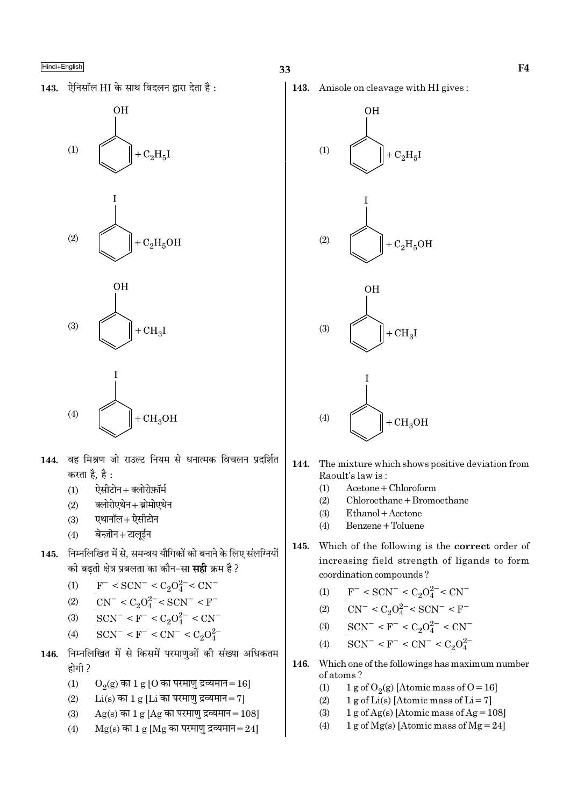143. ऐनिसॉल HI के साथ विदलन द्वारा देता है:







- वह मिश्रण जो राउल्ट नियम से धनात्मक विचलन प्रदर्शित 144. करता है, है :
	- ऐसीटोन + क्लोरोफ़ॉर्म  $(1)$
	- क्लोरोएथेन + ब्रोमोएथेन  $(2)$
	- एथानॉल+ऐसीटोन  $(3)$
	- बेन्ज़ीन+टालूईन  $(4)$
- निम्नलिखित में से, समन्वय यौगिकों को बनाने के लिए संलग्नियों 145. की बढती क्षेत्र प्रबलता का कौन–सा **सही** क्रम है ?
	- $F^-$  < SCN<sup>-</sup> < C<sub>2</sub>O<sub>4</sub><sup>2-</sup> < CN<sup>-</sup>  $(1)$

(2) 
$$
CN^{-} < C_2O_4^{2-} < SCN^{-} < F^{-}
$$

- $SCN^- < F^- < C_2O_4^{2-} < CN^ (3)$
- $SCN^- < F^- < CN^- < C_2O_4^{2-}$  $(4)$
- निम्नलिखित में से किसमें परमाणुओं की संख्या अधिकतम 146. होगी ?
	- $(1)$  $O_2(g)$  का 1 g [O का परमाणु द्रव्यमान = 16]
	- $Li(s)$  का 1 g [Li का परमाणु द्रव्यमान= 7]  $(2)$
	- $(3)$  $Ag(s)$  का 1 g [Ag का परमाणु द्रव्यमान = 108]
	- $(4)$  $Mg(s)$  का 1  $g$  [Mg का परमाणु द्रव्यमान=24]

143. Anisole on cleavage with HI gives:



- 144. The mixture which shows positive deviation from Raoult's law is:
	- $(1)$  $Acetone + Chloroform$
	- $(2)$ Chloroethane + Bromoethane
	- $(3)$ Ethanol + Acetone
	- Benzene + Toluene  $(4)$
- Which of the following is the correct order of 145. increasing field strength of ligands to form coordination compounds?
	- $F^-$  < SCN<sup>-</sup> < C<sub>2</sub>O<sub>4</sub><sup>2</sup><sup>-</sup> < CN<sup>-</sup>  $(1)$
	- $CN^{-} < C_2O_4^{2-} < SCN^{-} < F^{-}$  $(2)$
	- $SCN^- < F^- < C_2O_4^{2-} < CN^ (3)$
	- $SCN^- < F^- < CN^- < C_2O_4^{2-}$  $(4)$
- 146. Which one of the followings has maximum number of atoms?
	- 1 g of O<sub>2</sub>(g) [Atomic mass of O = 16]  $(1)$
	- 1 g of Li(s) [Atomic mass of Li = 7]  $(2)$
	- 1 g of Ag(s) [Atomic mass of Ag =  $108$ ]  $(3)$
	- $(4)$ 1 g of Mg(s) [Atomic mass of Mg = 24]

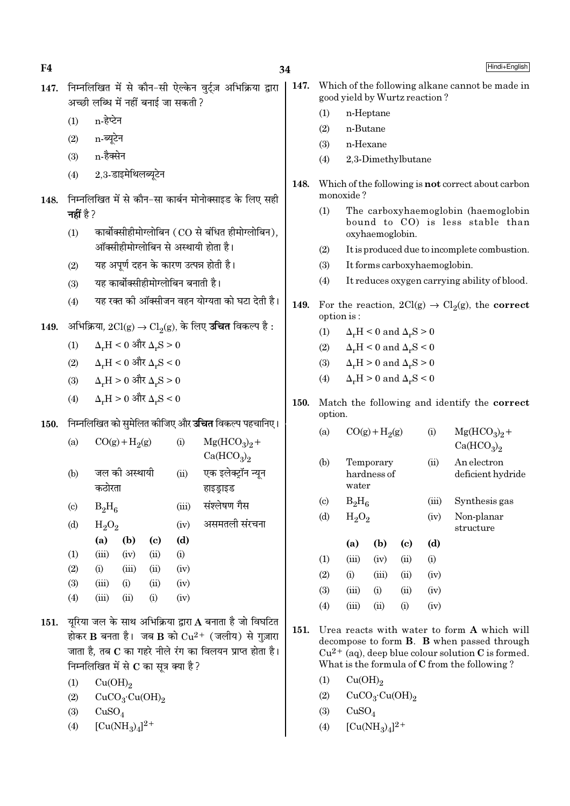$\mathbf{F4}$  Hindi+English

- 147. निम्नलिखित में से कौन-सी ऐल्केन वर्टज़ अभिक्रिया द्वारा अच्छी लब्धि में नहीं बनाई जा सकती ?
	- $(1)$  n-हेप्टेन
	- $(2)$  n-ब्यूटेन
	- $(3)$  n-हैक्सेन
	- $(4)$  2.3-डाइमेथिलब्यटेन
- 148. निम्नलिखित में से कौन-सा कार्बन मोनोक्साइड के लिए सही **नहीं** है ?
	- $(1)$  कार्बोक्सीहीमोग्लोबिन  $(CO, G)$  बंधित हीमोग्लोबिन), <u>ऑक्सीहीमोग्लोबिन से अस्थायी होता है।</u>
	- $(2)$  यह अपूर्ण दहन के कारण उत्पन्न होती है।
	- $(3)$  यह कार्बोक्सीहीमोग्लोबिन बनाती है।
	- $(4)$  यह रक्त की ऑक्सीजन वहन योग्यता को घटा देती है।
- $149.$  अभिक्रिया,  $2Cl(g) \rightarrow Cl_2(g)$ , के लिए **उचित** विकल्प है :
	- (1)  $\Delta_r H < 0$  और  $\Delta_r S > 0$
	- (2)  $\Delta_r$ H < 0 और  $\Delta_r$ S < 0
	- $(3)$   $\Delta_r$ H > 0 और  $\Delta_r$ S > 0
	- $(4)$  Δ<sub>r</sub>H > 0 और Δ<sub>r</sub>S < 0
- 150. निम्नलिखित को सुमेलित कीजिए और **उचित** विकल्प पहचानिए।

| (a)                       |          | $CO(g) + H2(g)$ |                            | (i)   | $Mg(HCO3)2 +$                      |  |  |  |
|---------------------------|----------|-----------------|----------------------------|-------|------------------------------------|--|--|--|
|                           |          |                 |                            |       | Ca(HCO <sub>3</sub> ) <sub>2</sub> |  |  |  |
| (b)                       |          | जल की अस्थायी   |                            | (ii)  | एक इलेक्ट्रॉन न्यून                |  |  |  |
|                           | कठोरता   |                 |                            |       | हाइड्राइड                          |  |  |  |
| $\left( \text{c} \right)$ | $B_2H_6$ |                 |                            | (iii) | संश्लेषण गैस                       |  |  |  |
| (d)                       | $H_2O_2$ |                 |                            | (iv)  | असमतली संरचना                      |  |  |  |
|                           | (a)      | (b)             | $\left( \mathrm{c}\right)$ | (d)   |                                    |  |  |  |
| (1)                       | (iii)    | (iv)            | (ii)                       | (i)   |                                    |  |  |  |
| (2)                       | (i)      | (iii)           | (ii)                       | (iv)  |                                    |  |  |  |
| (3)                       | (iii)    | (i)             | (ii)                       | (iv)  |                                    |  |  |  |
| (4)                       | (iii)    | (ii)            | (i)                        | (iv)  |                                    |  |  |  |

- 151. यूरिया जल के साथ अभिक्रिया द्वारा A बनाता है जो विघटित होकर  $\bf{B}$  बनता है। जब  $\bf{B}$  को  $\rm Cu^{2+}$  (जलीय) से गज़ारा जाता है, तब  ${\bf C}$  का गहरे नीले रंग का विलयन प्राप्त होता है। निम्नलिखित में से  $\bf C$  का सूत्र क्या है ?
	- $(1)$   $Cu(OH)<sub>2</sub>$
	- (2)  $CuCO<sub>3</sub>·Cu(OH)<sub>2</sub>$
	- $(3)$   $CuSO<sub>4</sub>$
	- (4)  $[Cu(NH_3)_4]^{2+}$
- 147. Which of the following alkane cannot be made in good yield by Wurtz reaction ?
	- (1) n-Heptane
	- (2) n-Butane
	- (3) n-Hexane
	- (4) 2,3-Dimethylbutane
- 148. Which of the following is not correct about carbon monoxide ?
	- (1) The carboxyhaemoglobin (haemoglobin bound to CO) is less stable than oxyhaemoglobin.
	- (2) It is produced due to incomplete combustion.
	- (3) It forms carboxyhaemoglobin.
	- (4) It reduces oxygen carrying ability of blood.
- 149. For the reaction,  $2Cl(g) \rightarrow Cl_2(g)$ , the correct option is :
	- (1)  $\Delta_r H \leq 0$  and  $\Delta_r S > 0$
	- (2)  $\Delta_r H \leq 0$  and  $\Delta_r S \leq 0$
	- (3)  $\Delta_r H > 0$  and  $\Delta_r S > 0$
	- (4)  $\Delta_r H > 0$  and  $\Delta_r S < 0$
- 150. Match the following and identify the correct option.
	- (a)  $CO(g) + H<sub>2</sub>(g)$ (g) (i)  $Mg(HCO_3)_2 +$  $Ca(HCO<sub>3</sub>)<sub>2</sub>$
	- (b) Temporary (ii) An electron hardness of deficient hydride water

structure

(c)  $B_2H_6$ (iii) Synthesis gas (d)  $H_2O_2$ (iv) Non-planar

|                   | (a)   | (b)       | (c)      | (d)  |
|-------------------|-------|-----------|----------|------|
| (1)               | (iii) | (iv)      | (ii)     | (i)  |
| (2)               | (i)   | (iii)     | (ii)     | (iv) |
| <b>(3)</b>        | (iii) | $\rm (i)$ | (ii)     | (iv) |
| $\left( 4\right)$ | (iii) | $\sin$    | $\rm(i)$ | (iv) |

- 151. Urea reacts with water to form A which will decompose to form B. B when passed through  $Cu^{2+}$  (aq), deep blue colour solution C is formed. What is the formula of C from the following ?
	- $(1)$   $Cu(OH)_{2}$
	- (2)  $CuCO<sub>3</sub>·Cu(OH)<sub>2</sub>$
	- $(3)$  CuSO<sub>4</sub>
	- (4)  $[Cu(NH_3)_4]^{2+}$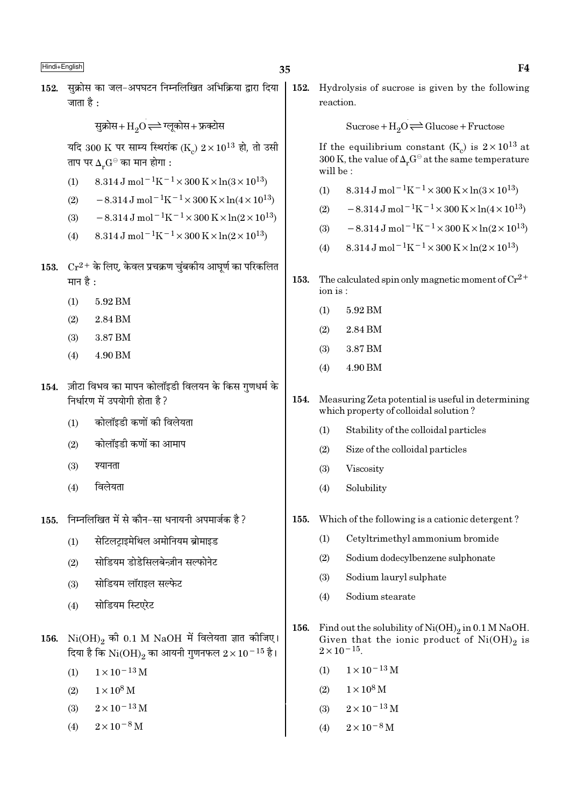- 35
- 152. सुक्रोस का जल-अपघटन निम्नलिखित अभिक्रिया द्वारा दिया जाता है $\cdot$

सुक्रोस+ $\mathrm{H}_{2}\mathrm{O}$   $\rightleftharpoons$  ग्लूकोस+ फ्रक्टोस

यदि 300 K पर साम्य स्थिरांक (K)  $2 \times 10^{13}$  हो, तो उसी ताप पर  $\Delta_{\mu}G^{\ominus}$  का मान होगा :

- 8.314 J mol<sup>-1</sup>K<sup>-1</sup> × 300 K × ln(3 × 10<sup>13</sup>)  $(1)$
- $-8.314 \,\mathrm{J} \,\mathrm{mol}^{-1} \mathrm{K}^{-1} \times 300 \,\mathrm{K} \times \ln(4 \times 10^{13})$  $(2)$
- $-8.314 \text{ J} \text{ mol}^{-1} \text{K}^{-1} \times 300 \text{ K} \times \ln(2 \times 10^{13})$  $(3)$
- 8.314 J mol<sup>-1</sup>K<sup>-1</sup> × 300 K × ln(2 × 10<sup>13</sup>)  $(4)$
- 153.  $Cr^{2+}$  के लिए, केवल प्रचक्रण चुंबकीय आघूर्ण का परिकलित मान है :
	- $(1)$ 5.92 BM
	- $(2)$ 2.84 BM
	- 3.87 BM  $(3)$
	- 4.90 BM  $(4)$
- 154. ज़ीटा विभव का मापन कोलॉइडी विलयन के किस गुणधर्म के निर्धारण में उपयोगी होता है ?
	- कोलॉइडी कणों की विलेयता  $(1)$
	- $(2)$ कोलॉइडी कणों का आमाप
	- $(3)$ श्यानता
	- विलेयता  $(4)$
- निम्नलिखित में से कौन-सा धनायनी अपमार्जक है ? 155.
	- सेटिलटाइमेथिल अमोनियम ब्रोमाइड  $(1)$
	- सोडियम डोडेसिलबेन्ज़ीन सल्फोनेट  $(2)$
	- सोडियम लॉराइल सल्फेट  $(3)$
	- सोडियम स्टिएरेट  $(4)$
- 156.  $Ni(OH)_{2}$  की 0.1 M NaOH में विलेयता ज्ञात कीजिए। दिया है कि  $\rm{Ni(OH)_2}$  का आयनी गुणनफल  $2 \times 10^{-15}$  है।
	- $1 \times 10^{-13}$  M  $(1)$
	- $1 \times 10^8$  M  $(2)$
	- $2 \times 10^{-13}$  M  $(3)$
	- $2 \times 10^{-8}$  M  $(4)$

152. Hydrolysis of sucrose is given by the following reaction.

 $Sucrose + H<sub>2</sub>O \rightleftharpoons Glucose + Fructose$ 

If the equilibrium constant (K<sub>c</sub>) is  $2 \times 10^{13}$  at 300 K, the value of  $\Delta_r G^\ominus$  at the same temperature will be:

- 8.314 J mol<sup>-1</sup>K<sup>-1</sup> × 300 K × ln(3 × 10<sup>13</sup>)  $(1)$
- $-8.314 \,\mathrm{J}$  mol<sup>-1</sup>K<sup>-1</sup>×300 K×ln(4×10<sup>13</sup>)  $(2)$
- $-8.314 \text{ J} \text{ mol}^{-1} \text{K}^{-1} \times 300 \text{ K} \times \ln(2 \times 10^{13})$  $(3)$
- $8.314 \,\mathrm{J}$  mol<sup>-1</sup>K<sup>-1</sup>×300 K×ln(2×10<sup>13</sup>)  $(4)$
- 153. The calculated spin only magnetic moment of  $Cr^{2+}$ ion is:
	- 5.92 BM  $(1)$
	- $(2)$ 2.84 BM
	- $(3)$ 3.87 BM
	- $(4)$ 4.90 BM
- 154. Measuring Zeta potential is useful in determining which property of colloidal solution?
	- $(1)$ Stability of the colloidal particles
	- $(2)$ Size of the colloidal particles
	- $(3)$ Viscosity
	- $(4)$ Solubility
- 155. Which of the following is a cationic detergent?
	- Cetyltrimethyl ammonium bromide  $(1)$
	- $(2)$ Sodium dodecylbenzene sulphonate
	- $(3)$ Sodium lauryl sulphate
	- Sodium stearate  $(4)$
- Find out the solubility of  $\mathrm{Ni(OH)}_2$  in 0.1 M NaOH. 156. Given that the ionic product of  $Ni(OH)_{2}$  is  $2 \times 10^{-15}$ .
	- $1 \times 10^{-13}$  M  $(1)$
	- $(2)$  $1 \times 10^8$  M
	- $2 \times 10^{-13}$  M  $(3)$
	- $2\times10^{-8}\,\rm{M}$  $(4)$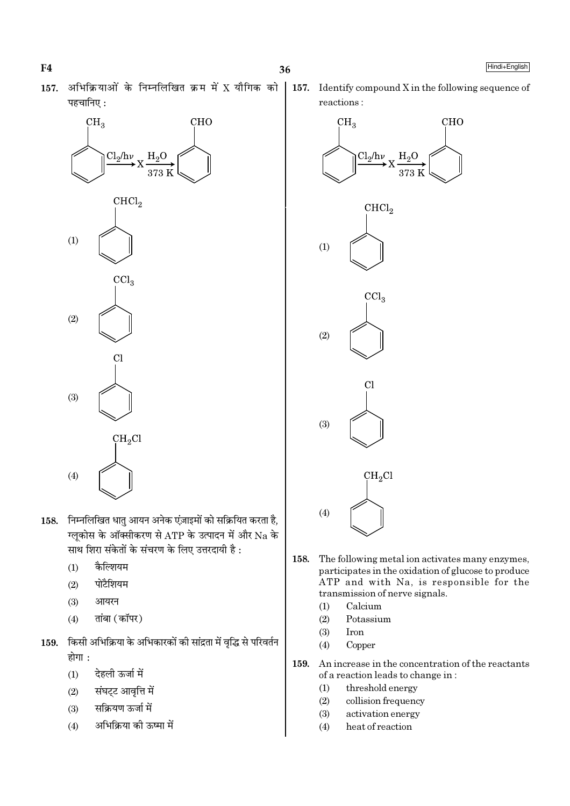157. अभिक्रियाओं के निम्नलिखित क्रम में X यौगिक को पहचानिए:



- 158. निम्नलिखित धातु आयन अनेक एंजाइमों को सक्रियित करता है, ग्लुकोस के ऑक्सीकरण से ATP के उत्पादन में और Na के साथ शिरा संकेतों के संचरण के लिए उत्तरदायी है :
	- कैल्शियम  $(1)$
	- पोटैशियम  $(2)$
	- $(3)$ आयरन
	- तांबा (कॉपर)  $(4)$
- 159. किसी अभिक्रिया के अभिकारकों की सांद्रता में वृद्धि से परिवर्तन होगा :
	- देहली ऊर्जा में  $(1)$
	- संघट्ट आवृत्ति में  $(2)$
	- सक्रियण ऊर्जा में  $(3)$
	- अभिक्रिया की ऊष्मा में  $(4)$

| 157. Identify compound  $X$  in the following sequence of reactions:

36



- The following metal ion activates many enzymes, 158. participates in the oxidation of glucose to produce ATP and with Na, is responsible for the transmission of nerve signals.
	- Calcium  $(1)$
	- Potassium  $(2)$
	- $(3)$ **Iron**
	- $(4)$ Copper
- 159. An increase in the concentration of the reactants of a reaction leads to change in:
	- $(1)$ threshold energy
	- $(2)$ collision frequency
	- $(3)$ activation energy
	- $(4)$ heat of reaction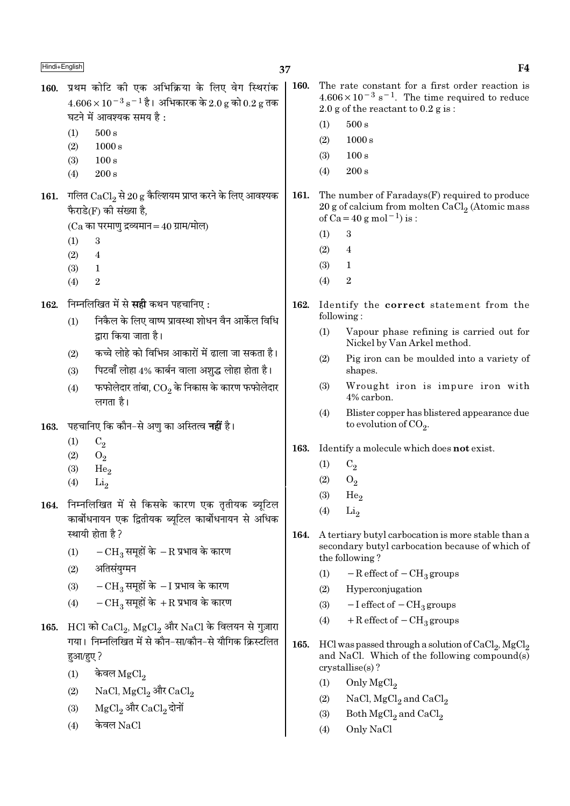- 160. प्रथम कोटि की एक अभिक्रिया के लिए वेग स्थिरांक 160. The rate constant for a first order reaction is  $4.606 \times 10^{-3}$  s<sup>-1</sup>. The time required to reduce  $4.606 \times 10^{-3}$  s  $^{-1}$  है। अभिकारक के 2.0 g को 0.2 g तक 2.0 g of the reactant to  $0.2$  g is: घटने में आवश्यक समय है:  $500 s$  $(1)$  $(1)$  $500 s$  $(2)$  $1000 s$  $(2)$  $1000 s$  $(3)$  $100 s$  $(3)$  $100 s$  $(4)$  $200 s$  $(4)$  $200 s$ 161. गलित  $CaCl<sub>2</sub>$  से 20 g कैल्शियम प्राप्त करने के लिए आवश्यक 161. The number of Faradays(F) required to produce 20 g of calcium from molten  $CaCl<sub>2</sub>$  (Atomic mass फैराडे(F) की संख्या है, of Ca = 40 g mol<sup>-1</sup>) is :  $(Ca$  का परमाण द्रव्यमान = 40 ग्राम/मोल)  $(1)$ 3  $(1)$  $\mathbf{a}$  $\overline{4}$  $(2)$  $(2)$  $\overline{4}$  $(3)$  $\mathbf{1}$  $(3)$  $\mathbf{1}$  $(4)$  $\mathfrak{D}$  $\overline{2}$  $(4)$ निम्नलिखित में से **सही** कथन पहचानिए : 162. 162. Identify the correct statement from the following: निकैल के लिए वाष्प प्रावस्था शोधन वैन आर्केल विधि  $(1)$  $(1)$ द्रारा किया जाता है। Nickel by Van Arkel method. कच्चे लोहे को विभिन्न आकारों में ढाला जा सकता है।  $(2)$  $(2)$ पिटवाँ लोहा 4% कार्बन वाला अशुद्ध लोहा होता है।  $(3)$ shapes. फफोलेदार तांबा,  $\mathrm{CO}_2$  के निकास के कारण फफोलेदार  $(3)$  $(4)$ 4% carbon. लगता है।  $(4)$ पहचानिए कि कौन–से अण का अस्तित्व **नहीं** है। to evolution of  $CO<sub>9</sub>$ . 163.  $(1)$  $C_2$ 163. Identify a molecule which does not exist.  $(2)$  $O<sub>2</sub>$  $(1)$  $C<sub>2</sub>$  $(3)$  $He<sub>2</sub>$  $(2)$  $O<sub>2</sub>$  $(4)$  $\rm Li_2$  $(3)$  $He<sub>2</sub>$ 164. निम्नलिखित में से किसके कारण एक तृतीयक ब्यूटिल  $(4)$ Li<sub>2</sub> कार्बोधनायन एक द्वितीयक ब्यूटिल कार्बोधनायन से अधिक स्थायी होता है? 164.  $-\text{CH}_3$ समूहों के  $-\text{R}$  प्रभाव के कारण  $(1)$ the following? अतिसंयुग्मन  $(2)$  $(1)$  $-R$  effect of  $-CH<sub>3</sub>$  groups  $-{\rm CH}_3$  समूहों के  $-{\rm I}$  प्रभाव के कारण  $(3)$  $(2)$ Hyperconjugation  $-CH_3$  समूहों के +R प्रभाव के कारण  $(4)$  $(3)$  $-I$  effect of  $-CH<sub>3</sub>$  groups  $+$  R effect of  $-$  CH<sub>3</sub> groups  $(4)$ 165. HCl को CaCl, MgCl, और NaCl के विलयन से गुज़ारा गया। निम्नलिखित में से कौन-सा/कौन-से यौगिक क्रिस्टलित 165. and NaCl. Which of the following compound(s) हआ/हए? crystallise(s)?  $(1)$ केवल  $MgCl<sub>2</sub>$ 
	- $NaCl, MgCl<sub>2</sub>$  और  $CaCl<sub>2</sub>$  $(2)$
	- ${ {\rm MgCl}_2}$ और  ${ {\rm CaCl}_2}$ दोनों  $(3)$
	- केवल NaCl  $(4)$

 $F<sub>4</sub>$ 

- 
- - Vapour phase refining is carried out for
	- Pig iron can be moulded into a variety of
	- Wrought iron is impure iron with
	- Blister copper has blistered appearance due

- A tertiary butyl carbocation is more stable than a secondary butyl carbocation because of which of
- HCl was passed through a solution of CaCl<sub>2</sub>, MgCl<sub>2</sub>
	- $(1)$ Only  $MgCl<sub>2</sub>$
	- NaCl,  $MgCl<sub>2</sub>$  and  $CaCl<sub>2</sub>$  $(2)$
	- $(3)$ Both MgCl<sub>2</sub> and CaCl<sub>2</sub>
	- Only NaCl  $(4)$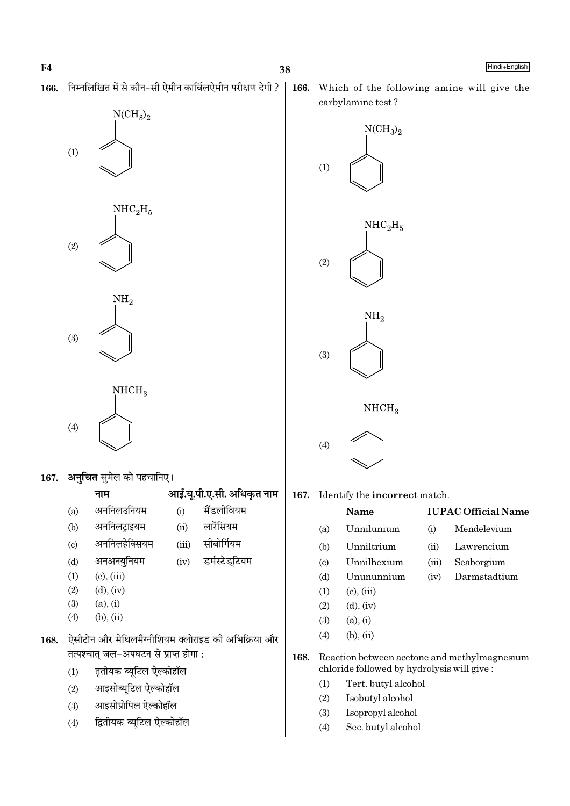निम्नलिखित में से कौन-सी ऐमीन कार्बिलऐमीन परीक्षण देगी ? 166.



 $(2)$ 

 $\mathrm{NH}_2$  $(3)$ 



167. अनचित समेल को पहचानिए।

|                            | नाम           |       | आई.यू.पी.ए.सी. अधिकृत नाम |
|----------------------------|---------------|-------|---------------------------|
| (a)                        | अननिलउनियम    | (i)   | मैंडलीवियम                |
| (b)                        | अननिलट्राइयम  | (ii)  | लारेंसियम                 |
| $\left( \mathrm{c}\right)$ | अननिलहेक्सियम | (iii) | सीबोर्गियम                |
| (d)                        | अनअनयुनियम    | (iv)  | डर्मस्टेड्टियम            |

- अनअनयुनियम  $(d)$
- $(1)$  $(c)$ ,  $(iii)$  $(2)$  $(d)$ ,  $(iv)$
- $(3)$  $(a), (i)$
- $(b)$ ,  $(ii)$  $(4)$
- ऐसीटोन और मेथिलमैग्नीशियम क्लोराइड की अभिक्रिया और 168. तत्पश्चात् जल-अपघटन से प्राप्त होगा:
	- तृतीयक ब्यूटिल ऐल्कोहॉल  $(1)$
	- आइसोब्यूटिल ऐल्कोहॉल  $(2)$
	- आइसोप्रोपिल ऐल्कोहॉल  $(3)$
	- द्वितीयक ब्यूटिल ऐल्कोहॉल  $(4)$

166. Which of the following amine will give the carbylamine test?



167. Identify the incorrect match.

#### Name **IUPAC Official Name** Unnilunium Mendelevium  $(i)$ Unniltrium  $(ii)$ Lawrencium Unnilhexium Seaborgium  $(iii)$ Unununnium Darmstadtium  $(iv)$  $(c)$ ,  $(iii)$

- $(2)$  $(d)$ ,  $(iv)$
- $(3)$  $(a), (i)$

 $(a)$ 

 $(b)$ 

 $(c)$ 

 $(d)$ 

 $(1)$ 

- $(b), (ii)$  $(4)$
- 168. Reaction between acetone and methylmagnesium chloride followed by hydrolysis will give:
	- $(1)$ Tert. butyl alcohol
	- $(2)$ Isobutyl alcohol
	- $(3)$ Isopropyl alcohol
	- Sec. butyl alcohol  $(4)$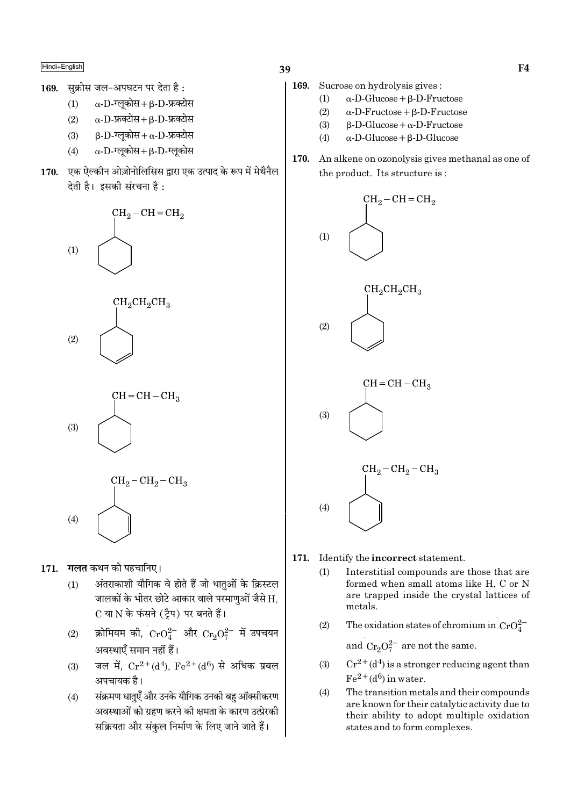सक्रोस जल-अपघटन पर देता है: 169.

> $\alpha$ -D-ग्लूकोस+ $\beta$ -D-फ्रक्टोस  $(1)$

- $\alpha$ -D-फ्रक्टोस +  $\beta$ -D-फ्रक्टोस  $(2)$
- $\beta$ -D-ग्लूकोस+  $\alpha$ -D-फ्रक्टोस  $(3)$
- $\alpha$ -D-ग्लूकोस+ $\beta$ -D-ग्लूकोस  $(4)$
- 170. एक ऐल्कीन ओज़ोनोलिसिस द्वारा एक उत्पाद के रूप में मेथैनैल देती है। इसकी संरचना है:







$$
\begin{array}{c}\n\rm CH_2-CH_2-CH_3 \\
\hline\n\end{array}
$$

गलत कथन को पहचानिए। 171.

 $(4)$ 

- अंतराकाशी यौगिक वे होते हैं जो धातुओं के क्रिस्टल  $(1)$ जालकों के भीतर छोटे आकार वाले परमाणुओं जैसे H. C या N के फंसने (ट्रैप) पर बनते हैं।
- क्रोमियम की,  $CrO_4^{2-}$  और  $Cr_2O_7^{2-}$  में उपचयन  $(2)$ अवस्थाएँ समान नहीं हैं।
- जल में,  $Cr^{2+}(d^4)$ ,  $Fe^{2+}(d^6)$  से अधिक प्रबल  $(3)$ अपचायक है।
- संक्रमण धातुएँ और उनके यौगिक उनकी बहु ऑक्सीकरण  $(4)$ अवस्थाओं को ग्रहण करने की क्षमता के कारण उत्प्रेरकी सक्रियता और संकुल निर्माण के लिए जाने जाते हैं।
- 169. Sucrose on hydrolysis gives:
	- $(1)$  $\alpha$ -D-Glucose +  $\beta$ -D-Fructose
	- $(2)$  $\alpha$ -D-Fructose + B-D-Fructose
	- $(3)$  $\beta$ -D-Glucose +  $\alpha$ -D-Fructose
	- $\alpha$ -D-Glucose +  $\beta$ -D-Glucose  $(4)$
- 170. An alkene on ozonolysis gives methanal as one of the product. Its structure is:



- 171. Identify the incorrect statement.
	- $(1)$ Interstitial compounds are those that are formed when small atoms like H, C or N are trapped inside the crystal lattices of metals.
	- The oxidation states of chromium in  $CrO_4^{2-}$  $(2)$

and  $Cr_2O_7^{2-}$  are not the same.

- $Cr^{2+}(d^4)$  is a stronger reducing agent than  $(3)$  $Fe<sup>2+</sup>(d<sup>6</sup>)$  in water.
- $(4)$ The transition metals and their compounds are known for their catalytic activity due to their ability to adopt multiple oxidation states and to form complexes.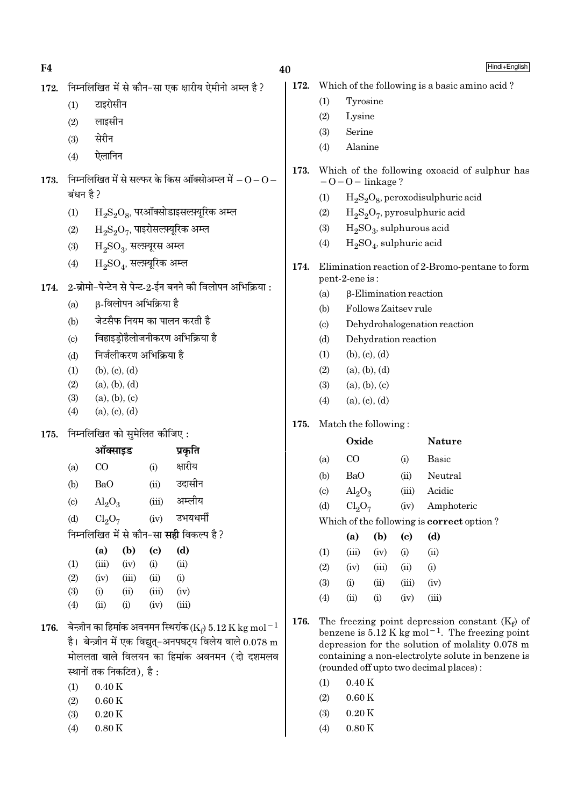| F4   |                                                                                                                                                                                                     |                                          |       |                             |                                                           | 40   |                               |                                                                    |                          |                            | Hindi+English                                                                                                                                                                                                                      |  |  |
|------|-----------------------------------------------------------------------------------------------------------------------------------------------------------------------------------------------------|------------------------------------------|-------|-----------------------------|-----------------------------------------------------------|------|-------------------------------|--------------------------------------------------------------------|--------------------------|----------------------------|------------------------------------------------------------------------------------------------------------------------------------------------------------------------------------------------------------------------------------|--|--|
| 172. |                                                                                                                                                                                                     |                                          |       |                             | निम्नलिखित में से कौन-सा एक क्षारीय ऐमीनो अम्ल है?        | 172. |                               |                                                                    |                          |                            | Which of the following is a basic amino acid?                                                                                                                                                                                      |  |  |
|      | (1)                                                                                                                                                                                                 | टाइरोसीन                                 |       |                             |                                                           |      | (1)                           | Tyrosine                                                           |                          |                            |                                                                                                                                                                                                                                    |  |  |
|      | (2)                                                                                                                                                                                                 | लाइसीन                                   |       |                             |                                                           |      | (2)                           | Lysine                                                             |                          |                            |                                                                                                                                                                                                                                    |  |  |
|      | (3)                                                                                                                                                                                                 | सेरीन                                    |       |                             |                                                           |      | (3)                           | Serine                                                             |                          |                            |                                                                                                                                                                                                                                    |  |  |
|      | (4)                                                                                                                                                                                                 | ऐलानिन                                   |       |                             |                                                           |      | (4)                           | Alanine                                                            |                          |                            |                                                                                                                                                                                                                                    |  |  |
| 173. |                                                                                                                                                                                                     |                                          |       |                             | निम्नलिखित में से सल्फर के किस ऑक्सोअम्ल में $-0$ – $0$ – | 173. |                               | Which of the following oxoacid of sulphur has<br>$-0-0$ – linkage? |                          |                            |                                                                                                                                                                                                                                    |  |  |
|      | बंधन है ?                                                                                                                                                                                           |                                          |       |                             |                                                           |      | (1)                           |                                                                    |                          |                            | $H_2S_2O_8$ , peroxodisulphuric acid                                                                                                                                                                                               |  |  |
|      | (1)                                                                                                                                                                                                 |                                          |       |                             | $\mathrm{H_{2}S_{2}O_{8}}$ , परऑक्सोडाइसल्फ़्यूरिक अम्ल   |      | (2)                           | $H_2S_2O_7$ , pyrosulphuric acid                                   |                          |                            |                                                                                                                                                                                                                                    |  |  |
|      | (2)                                                                                                                                                                                                 | $\rm H_2S_2O_7$ , पाइरोसल्फ़्यूरिक अम्ल  |       | (3)                         |                                                           |      |                               | $H2SO3$ , sulphurous acid                                          |                          |                            |                                                                                                                                                                                                                                    |  |  |
|      | (3)                                                                                                                                                                                                 | $\mathrm{H_{2}SO_{3}}$ , सल्फ़्यूरस अम्ल |       |                             |                                                           |      | (4)                           |                                                                    | $H2SO4$ , sulphuric acid |                            |                                                                                                                                                                                                                                    |  |  |
|      | (4)                                                                                                                                                                                                 | $H_2SO_4$ , सल्फ़्यूरिक अम्ल             |       |                             |                                                           | 174. |                               | pent-2-ene is:                                                     |                          |                            | Elimination reaction of 2-Bromo-pentane to form                                                                                                                                                                                    |  |  |
| 174. |                                                                                                                                                                                                     |                                          |       |                             | 2-ब्रोमो-पेन्टेन से पेन्ट-2-ईन बनने की विलोपन अभिक्रिया : |      | (a)                           |                                                                    |                          |                            |                                                                                                                                                                                                                                    |  |  |
|      | (a)                                                                                                                                                                                                 | β-विलोपन अभिक्रिया है                    |       |                             |                                                           |      | (b)                           | $\beta$ -Elimination reaction<br>Follows Zaitsev rule              |                          |                            |                                                                                                                                                                                                                                    |  |  |
|      | (b)                                                                                                                                                                                                 | जेटसैफ नियम का पालन करती है              |       |                             |                                                           |      | $\left( \text{c} \right)$     |                                                                    |                          |                            | Dehydrohalogenation reaction                                                                                                                                                                                                       |  |  |
|      | $\left( \mathrm{c}\right)$                                                                                                                                                                          |                                          |       |                             | विहाइड़ोहैलोजनीकरण अभिक्रिया है                           |      | (d)                           |                                                                    | Dehydration reaction     |                            |                                                                                                                                                                                                                                    |  |  |
|      | (d)                                                                                                                                                                                                 |                                          |       | निर्जलीकरण अभिक्रिया है     |                                                           |      | (1)                           |                                                                    | (b), (c), (d)            |                            |                                                                                                                                                                                                                                    |  |  |
|      | (1)                                                                                                                                                                                                 | (b), (c), (d)                            |       |                             |                                                           |      | (2)                           |                                                                    | (a), (b), (d)            |                            |                                                                                                                                                                                                                                    |  |  |
|      | (2)                                                                                                                                                                                                 | (a), (b), (d)                            |       |                             |                                                           |      | (3)                           |                                                                    | (a), (b), (c)            |                            |                                                                                                                                                                                                                                    |  |  |
|      | (3)                                                                                                                                                                                                 | (a), (b), (c)                            |       |                             |                                                           |      | (4)<br>(a), (c), (d)          |                                                                    |                          |                            |                                                                                                                                                                                                                                    |  |  |
|      | (4)                                                                                                                                                                                                 | (a), (c), (d)                            |       |                             |                                                           | 175. | Match the following:          |                                                                    |                          |                            |                                                                                                                                                                                                                                    |  |  |
| 175. |                                                                                                                                                                                                     | निम्नलिखित को सुमेलित कीजिए:             |       |                             |                                                           |      | Oxide<br><b>Nature</b>        |                                                                    |                          |                            |                                                                                                                                                                                                                                    |  |  |
|      |                                                                                                                                                                                                     | ऑक्साइड                                  |       |                             | प्रकृति                                                   |      |                               |                                                                    |                          |                            |                                                                                                                                                                                                                                    |  |  |
|      | (a)                                                                                                                                                                                                 | CO                                       |       | (i)                         | क्षारीय                                                   |      | (a)                           | CO                                                                 |                          | (i)                        | <b>Basic</b>                                                                                                                                                                                                                       |  |  |
|      | (b)                                                                                                                                                                                                 | BaO                                      |       | (ii)                        | उदासीन                                                    |      | (b)                           | <b>BaO</b>                                                         |                          | (ii)                       | Neutral                                                                                                                                                                                                                            |  |  |
|      | $\left( \mathrm{c} \right)$                                                                                                                                                                         | $\text{Al}_2\text{O}_3$                  |       | (iii)                       | अम्लीय                                                    |      | $\left( \circ \right)$<br>(d) | $\text{Al}_2\text{O}_3$<br>Cl <sub>2</sub> O <sub>7</sub>          |                          | (iii)<br>(iv)              | Acidic<br>Amphoteric                                                                                                                                                                                                               |  |  |
|      | (d)                                                                                                                                                                                                 | Cl <sub>2</sub> O <sub>7</sub>           |       | (iv)                        | उभयधर्मी                                                  |      |                               |                                                                    |                          |                            | Which of the following is correct option?                                                                                                                                                                                          |  |  |
|      |                                                                                                                                                                                                     |                                          |       |                             | निम्नलिखित में से कौन-सा <b>सही</b> विकल्प है?            |      |                               | (a)                                                                | (b)                      | $\left( \mathrm{c}\right)$ | (d)                                                                                                                                                                                                                                |  |  |
|      |                                                                                                                                                                                                     | (a)                                      | (b)   | $\left( \mathbf{c} \right)$ | (d)                                                       |      | (1)                           | (iii)                                                              | (iv)                     | (i)                        | (ii)                                                                                                                                                                                                                               |  |  |
|      | (1)                                                                                                                                                                                                 | (iii)                                    | (iv)  | (i)                         | (ii)                                                      |      | (2)                           | (iv)                                                               | (iii)                    | (ii)                       | (i)                                                                                                                                                                                                                                |  |  |
|      | (2)                                                                                                                                                                                                 | (iv)                                     | (iii) | (ii)                        | (i)                                                       |      | (3)                           | (i)                                                                | (ii)                     | (iii)                      | (iv)                                                                                                                                                                                                                               |  |  |
|      | (3)                                                                                                                                                                                                 | (i)                                      | (ii)  | (iii)                       | (iv)                                                      |      | (4)                           | (ii)                                                               | (i)                      | (iv)                       | (iii)                                                                                                                                                                                                                              |  |  |
|      | (4)                                                                                                                                                                                                 | (ii)                                     | (i)   | (iv)                        | (iii)                                                     | 176. |                               |                                                                    |                          |                            |                                                                                                                                                                                                                                    |  |  |
| 176. | बेन्ज़ीन का हिमांक अवनमन स्थिरांक (K <sub>t</sub> ) 5.12 K kg mol <sup>-1</sup><br>है। बेन्ज़ीन में एक विद्युत्–अनपघट्य विलेय वाले $0.078 \text{ m}$<br>मोललता वाले विलयन का हिमांक अवनमन (दो दशमलव |                                          |       |                             |                                                           |      |                               |                                                                    |                          |                            | The freezing point depression constant $(K_f)$ of<br>benzene is $5.12 \text{ K}$ kg mol <sup>-1</sup> . The freezing point<br>depression for the solution of molality 0.078 m<br>containing a non-electrolyte solute in benzene is |  |  |

 $\left(1\right)\qquad0.40\:\mathrm{K}$ 

स्थानों तक निकटित), है :

 $0.40K$ 

 $0.60\,\mathrm{K}$ 

 $0.20\,\mathrm{K}$  $0.80K$ 

 $(1)$ 

 $(2)$ 

 $(3)$ 

 $(4)$ 

(2)  $0.60 \text{ K}$ 

(rounded off upto two decimal places):

 $% \left( \left( \mathcal{A}\right) \right) ^{1}\left( \mathcal{A}\right) ^{1}\left( \mathcal{A}\right) ^{1}\left( \mathcal{A}\right) ^{1}\left( \mathcal{A}\right) ^{1}\left( \mathcal{A}\right) ^{1}\left( \mathcal{A}\right) ^{1}\left( \mathcal{A}\right) ^{1}\left( \mathcal{A}\right) ^{1}\left( \mathcal{A}\right) ^{1}\left( \mathcal{A}\right) ^{1}\left( \mathcal{A}\right) ^{1}\left( \mathcal{A}\right) ^{1}\left( \mathcal{A}\right) ^{1}\left( \mathcal{A}\right) ^{1}\left($ 

- $(3)$  $0.20\,\mathrm{K}$
- $(4)$  $0.80K$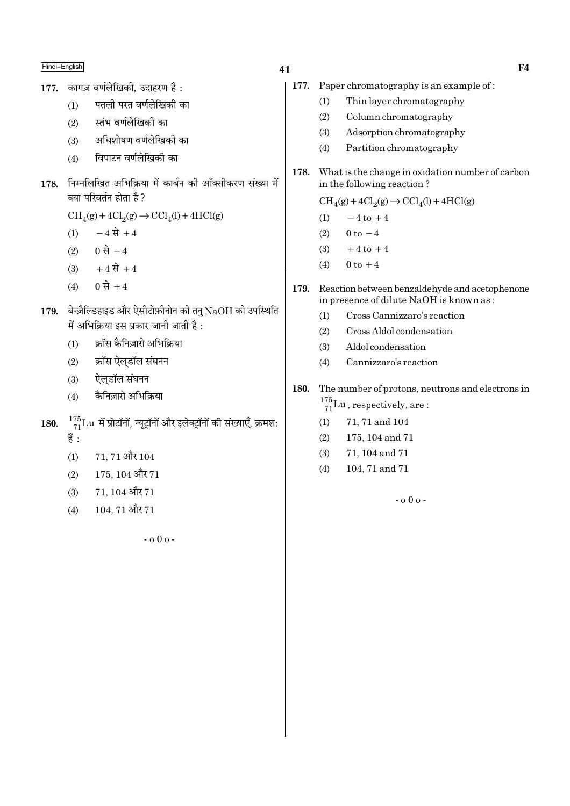177. कागज़ वर्णलेखिकी. उदाहरण है:

- पतली परत वर्णलेखिकी का  $(1)$
- स्तंभ वर्णलेखिकी का  $(2)$
- अधिशोषण वर्णलेखिकी का  $(3)$
- विपाटन वर्णलेखिकी का  $(4)$
- 178. निम्नलिखित अभिक्रिया में कार्बन की ऑक्सीकरण संख्या में क्या परिवर्तन होता है ?

 $CH<sub>4</sub>(g) + 4Cl<sub>2</sub>(g) \rightarrow CCl<sub>4</sub>(l) + 4HCl(g)$ 

- $-4 \vec{R} + 4$  $(1)$
- 0 से  $-4$  $(2)$
- $+4 \vec{R} + 4$  $(3)$
- $0 \, \dot{\vec{H}} + 4$  $(4)$
- $179.$  बेन्ज़ैल्डिहाइड और ऐसीटोफ़ीनोन की तन  $\mathrm{NaOH}$  की उपस्थिति में अभिक्रिया इस प्रकार जानी जाती है :
	- क्रॉस कैनिज़ारो अभिक्रिया  $(1)$
	- क्रॉस ऐलडॉल संघनन  $(2)$
	- ऐलडॉल संघनन  $(3)$
	- कैनिज़ारो अभिक्रिया  $(4)$
- $\frac{175}{71}$ Lu में प्रोटॉनों, न्यूट्रॉनों और इलेक्ट्रॉनों की संख्याएँ, क्रमश: 180. हैं :
	- 71, 71 और 104  $(1)$
	- $175, 104$  और  $71$  $(2)$
	- 71.104 और 71  $(3)$
	- 104.71 और 71  $(4)$

 $-000 -$ 

- 177. Paper chromatography is an example of:
	- Thin layer chromatography  $(1)$
	- $(2)$ Column chromatography
	- Adsorption chromatography  $(3)$
	- $(4)$ Partition chromatography
- 178. What is the change in oxidation number of carbon in the following reaction?

 $\text{CH}_4(g) + 4\text{Cl}_2(g) \rightarrow \text{CCl}_4(l) + 4\text{HCl}(g)$ 

- $-4$  to  $+4$  $(1)$
- $0$  to  $-4$  $(2)$
- $+4$  to  $+4$  $(3)$
- $0 \text{ to } +4$  $(4)$
- Reaction between benzaldehyde and acetophenone 179. in presence of dilute NaOH is known as:
	- Cross Cannizzaro's reaction  $(1)$
	- $(2)$ Cross Aldol condensation
	- Aldol condensation  $(3)$
	- Cannizzaro's reaction  $(4)$
- The number of protons, neutrons and electrons in 180.  $\frac{175}{71}$ Lu, respectively, are:
	- $(1)$ 71, 71 and 104
	- $(2)$ 175, 104 and 71
	- 71, 104 and 71  $(3)$
	- 104, 71 and 71  $(4)$

 $-000 -$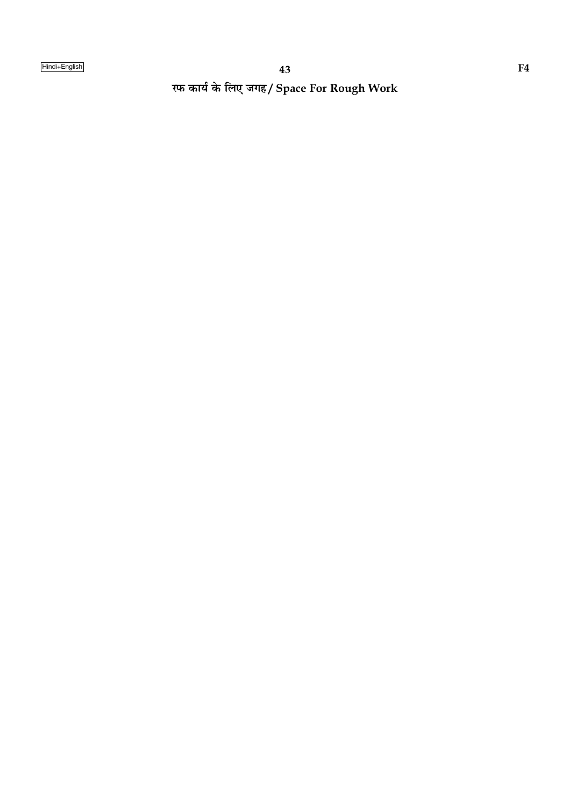रफ कार्य के लिए जगह/ Space For Rough Work